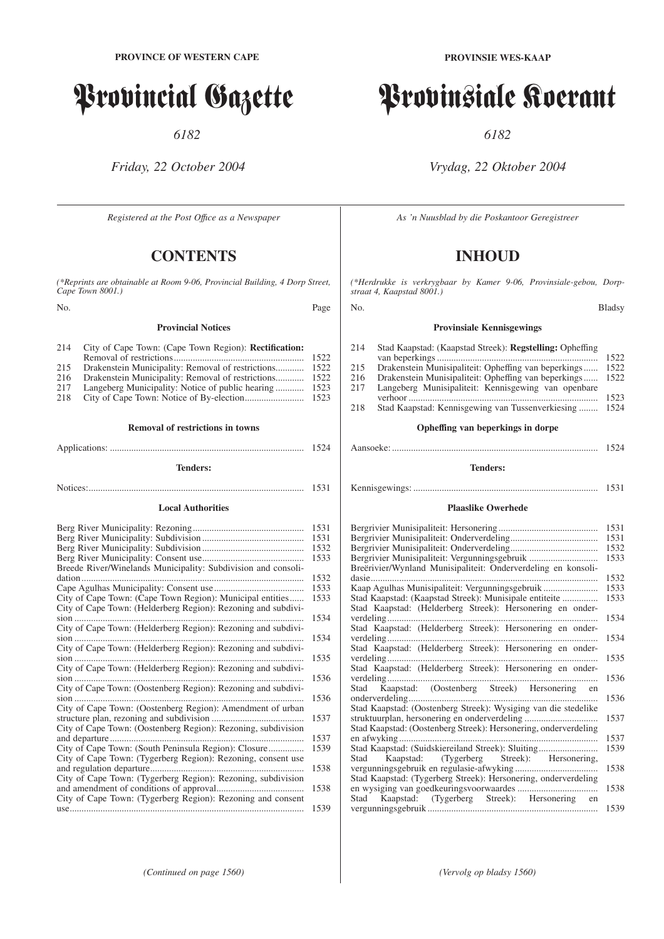# Provincial Gazette

*6182*

*Friday, 22 October 2004*

*Registered at the Post Offıce as a Newspaper*

# **CONTENTS**

*(\*Reprints are obtainable at Room 9-06, Provincial Building, 4 Dorp Street, Cape Town 8001.)*

No. Page

# **Provincial Notices**

| 214 | City of Cape Town: (Cape Town Region): <b>Rectification:</b> |      |
|-----|--------------------------------------------------------------|------|
|     |                                                              | 1522 |
| 215 |                                                              | 1522 |
| 216 |                                                              | 1522 |
| 217 | Langeberg Municipality: Notice of public hearing             | 1523 |
| 218 |                                                              |      |

# **Removal of restrictions in towns** Applications: .................................................................................. 1524

**Tenders:**

# Notices:........................................................................................... 1531 **Local Authorities**

|                                                               | 1531 |
|---------------------------------------------------------------|------|
|                                                               | 1531 |
|                                                               | 1532 |
|                                                               | 1533 |
| Breede River/Winelands Municipality: Subdivision and consoli- |      |
|                                                               | 1532 |
|                                                               | 1533 |
| City of Cape Town: (Cape Town Region): Municipal entities     | 1533 |
| City of Cape Town: (Helderberg Region): Rezoning and subdivi- |      |
|                                                               | 1534 |
| City of Cape Town: (Helderberg Region): Rezoning and subdivi- |      |
|                                                               | 1534 |
| City of Cape Town: (Helderberg Region): Rezoning and subdivi- |      |
|                                                               | 1535 |
| City of Cape Town: (Helderberg Region): Rezoning and subdivi- |      |
|                                                               | 1536 |
|                                                               |      |
| City of Cape Town: (Oostenberg Region): Rezoning and subdivi- |      |
|                                                               | 1536 |
| City of Cape Town: (Oostenberg Region): Amendment of urban    |      |
|                                                               | 1537 |
| City of Cape Town: (Oostenberg Region): Rezoning, subdivision |      |
|                                                               | 1537 |
| City of Cape Town: (South Peninsula Region): Closure          | 1539 |
| City of Cape Town: (Tygerberg Region): Rezoning, consent use  |      |
|                                                               | 1538 |
| City of Cape Town: (Tygerberg Region): Rezoning, subdivision  |      |
|                                                               | 1538 |
| City of Cape Town: (Tygerberg Region): Rezoning and consent   |      |
|                                                               | 1539 |
|                                                               |      |

**PROVINSIE WES-KAAP**

# Provinsiale Koerant

*6182*

# *Vrydag, 22 Oktober 2004*

*As 'n Nuusblad by die Poskantoor Geregistreer*

# **INHOUD**

*(\*Herdrukke is verkrygbaar by Kamer 9-06, Provinsiale-gebou, Dorpstraat 4, Kaapstad 8001.)*

# No. Bladsy

#### **Provinsiale Kennisgewings**

| 214 | Stad Kaapstad: (Kaapstad Streek): <b>Regstelling:</b> Opheffing |      |
|-----|-----------------------------------------------------------------|------|
|     |                                                                 | 1522 |
| 215 | Drakenstein Munisipaliteit: Opheffing van beperkings            | 1522 |
| 216 | Drakenstein Munisipaliteit: Opheffing van beperkings            | 1522 |
| 217 | Langeberg Munisipaliteit: Kennisgewing van openbare             |      |
|     |                                                                 | 1523 |
| 218 | Stad Kaapstad: Kennisgewing van Tussenverkiesing                | 1524 |
|     |                                                                 |      |

#### **Opheffing van beperkings in dorpe**

# Aansoeke: ....................................................................................... 1524

#### **Tenders:**

# Kennisgewings: .............................................................................. 1531

# **Plaaslike Owerhede**

|                                                                 | 1531 |  |
|-----------------------------------------------------------------|------|--|
| 1531                                                            |      |  |
| 1532                                                            |      |  |
| Bergrivier Munisipaliteit: Vergunningsgebruik                   | 1533 |  |
| Breërivier/Wynland Munisipaliteit: Onderverdeling en konsoli-   |      |  |
|                                                                 | 1532 |  |
| Kaap Agulhas Munisipaliteit: Vergunningsgebruik                 | 1533 |  |
| Stad Kaapstad: (Kaapstad Streek): Munisipale entiteite          | 1533 |  |
| Stad Kaapstad: (Helderberg Streek): Hersonering en onder-       |      |  |
|                                                                 | 1534 |  |
| Stad Kaapstad: (Helderberg Streek): Hersonering en onder-       |      |  |
|                                                                 | 1534 |  |
| Stad Kaapstad: (Helderberg Streek): Hersonering en onder-       |      |  |
|                                                                 | 1535 |  |
| Stad Kaapstad: (Helderberg Streek): Hersonering en onder-       |      |  |
|                                                                 | 1536 |  |
| Stad Kaapstad: (Oostenberg Streek) Hersonering en               |      |  |
|                                                                 | 1536 |  |
| Stad Kaapstad: (Oostenberg Streek): Wysiging van die stedelike  |      |  |
|                                                                 | 1537 |  |
| Stad Kaapstad: (Oostenberg Streek): Hersonering, onderverdeling |      |  |
|                                                                 | 1537 |  |
| Stad Kaapstad: (Suidskiereiland Streek): Sluiting               | 1539 |  |
| Stad Kaapstad: (Tygerberg Streek): Hersonering,                 |      |  |
|                                                                 | 1538 |  |
| Stad Kaapstad: (Tygerberg Streek): Hersonering, onderverdeling  |      |  |
|                                                                 | 1538 |  |
| Stad Kaapstad: (Tygerberg Streek): Hersonering en               |      |  |
|                                                                 | 1539 |  |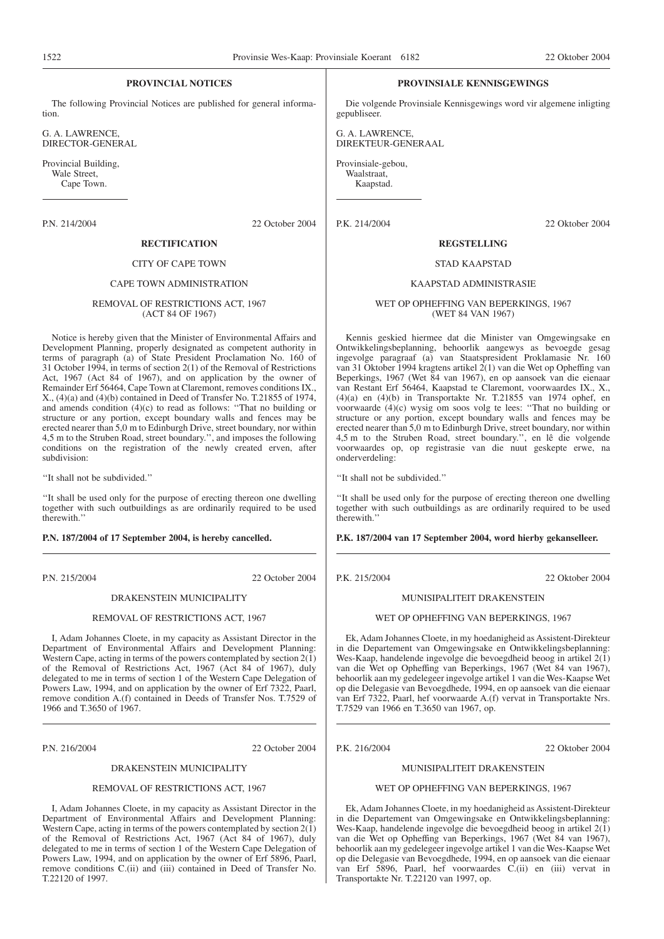# **PROVINCIAL NOTICES**

The following Provincial Notices are published for general information.

G. A. LAWRENCE, DIRECTOR-GENERAL

Provincial Building, Wale Street, Cape Town.

P.N. 214/2004 22 October 2004

### **RECTIFICATION**

# CITY OF CAPE TOWN

## CAPE TOWN ADMINISTRATION

#### REMOVAL OF RESTRICTIONS ACT, 1967 (ACT 84 OF 1967)

Notice is hereby given that the Minister of Environmental Affairs and Development Planning, properly designated as competent authority in terms of paragraph (a) of State President Proclamation No. 160 of 31 October 1994, in terms of section 2(1) of the Removal of Restrictions Act, 1967 (Act 84 of 1967), and on application by the owner of Remainder Erf 56464, Cape Town at Claremont, removes conditions IX., X., (4)(a) and (4)(b) contained in Deed of Transfer No. T.21855 of 1974, and amends condition (4)(c) to read as follows: ''That no building or structure or any portion, except boundary walls and fences may be erected nearer than 5,0 m to Edinburgh Drive, street boundary, nor within 4,5 m to the Struben Road, street boundary.'', and imposes the following conditions on the registration of the newly created erven, after subdivision:

''It shall not be subdivided.''

''It shall be used only for the purpose of erecting thereon one dwelling together with such outbuildings as are ordinarily required to be used therewith.''

#### **P.N. 187/2004 of 17 September 2004, is hereby cancelled.**

#### DRAKENSTEIN MUNICIPALITY

#### REMOVAL OF RESTRICTIONS ACT, 1967

I, Adam Johannes Cloete, in my capacity as Assistant Director in the Department of Environmental Affairs and Development Planning: Western Cape, acting in terms of the powers contemplated by section  $2(1)$ of the Removal of Restrictions Act, 1967 (Act 84 of 1967), duly delegated to me in terms of section 1 of the Western Cape Delegation of Powers Law, 1994, and on application by the owner of Erf 7322, Paarl, remove condition A.(f) contained in Deeds of Transfer Nos. T.7529 of 1966 and T.3650 of 1967.

P.N. 216/2004 22 October 2004

## DRAKENSTEIN MUNICIPALITY

#### REMOVAL OF RESTRICTIONS ACT, 1967

I, Adam Johannes Cloete, in my capacity as Assistant Director in the Department of Environmental Affairs and Development Planning: Western Cape, acting in terms of the powers contemplated by section  $2(\tilde{1})$ of the Removal of Restrictions Act, 1967 (Act 84 of 1967), duly delegated to me in terms of section 1 of the Western Cape Delegation of Powers Law, 1994, and on application by the owner of Erf 5896, Paarl, remove conditions C.(ii) and (iii) contained in Deed of Transfer No. T.22120 of 1997.

#### **PROVINSIALE KENNISGEWINGS**

Die volgende Provinsiale Kennisgewings word vir algemene inligting gepubliseer.

G. A. LAWRENCE, DIREKTEUR-GENERAAL

Provinsiale-gebou, Waalstraat, Kaapstad.

P.K. 214/2004 22 Oktober 2004

#### **REGSTELLING**

#### STAD KAAPSTAD

#### KAAPSTAD ADMINISTRASIE

#### WET OP OPHEFFING VAN BEPERKINGS, 1967 (WET 84 VAN 1967)

Kennis geskied hiermee dat die Minister van Omgewingsake en Ontwikkelingsbeplanning, behoorlik aangewys as bevoegde gesag ingevolge paragraaf (a) van Staatspresident Proklamasie Nr. 160 van 31 Oktober 1994 kragtens artikel  $2(1)$  van die Wet op Opheffing van Beperkings, 1967 (Wet 84 van 1967), en op aansoek van die eienaar van Restant Erf 56464, Kaapstad te Claremont, voorwaardes IX., X., (4)(a) en (4)(b) in Transportakte Nr. T.21855 van 1974 ophef, en voorwaarde (4)(c) wysig om soos volg te lees: ''That no building or structure or any portion, except boundary walls and fences may be erected nearer than 5,0 m to Edinburgh Drive, street boundary, nor within 4,5 m to the Struben Road, street boundary.'', en lê die volgende voorwaardes op, op registrasie van die nuut geskepte erwe, na onderverdeling:

''It shall not be subdivided.''

''It shall be used only for the purpose of erecting thereon one dwelling together with such outbuildings as are ordinarily required to be used therewith.''

**P.K. 187/2004 van 17 September 2004, word hierby gekanselleer.**

P.K. 215/2004 22 Oktober 2004

#### MUNISIPALITEIT DRAKENSTEIN

#### WET OP OPHEFFING VAN BEPERKINGS, 1967

Ek, Adam Johannes Cloete, in my hoedanigheid as Assistent-Direkteur in die Departement van Omgewingsake en Ontwikkelingsbeplanning: Wes-Kaap, handelende ingevolge die bevoegdheid beoog in artikel 2(1) van die Wet op Opheffing van Beperkings, 1967 (Wet 84 van 1967), behoorlik aan my gedelegeer ingevolge artikel 1 van die Wes-Kaapse Wet op die Delegasie van Bevoegdhede, 1994, en op aansoek van die eienaar van Erf 7322, Paarl, hef voorwaarde A.(f) vervat in Transportakte Nrs. T.7529 van 1966 en T.3650 van 1967, op.

P.K. 216/2004 22 Oktober 2004

#### MUNISIPALITEIT DRAKENSTEIN

#### WET OP OPHEFFING VAN BEPERKINGS, 1967

Ek, Adam Johannes Cloete, in my hoedanigheid as Assistent-Direkteur in die Departement van Omgewingsake en Ontwikkelingsbeplanning: Wes-Kaap, handelende ingevolge die bevoegdheid beoog in artikel 2(1) van die Wet op Opheffing van Beperkings, 1967 (Wet 84 van 1967), behoorlik aan my gedelegeer ingevolge artikel 1 van die Wes-Kaapse Wet op die Delegasie van Bevoegdhede, 1994, en op aansoek van die eienaar van Erf 5896, Paarl, hef voorwaardes C.(ii) en (iii) vervat in Transportakte Nr. T.22120 van 1997, op.

P.N. 215/2004 22 October 2004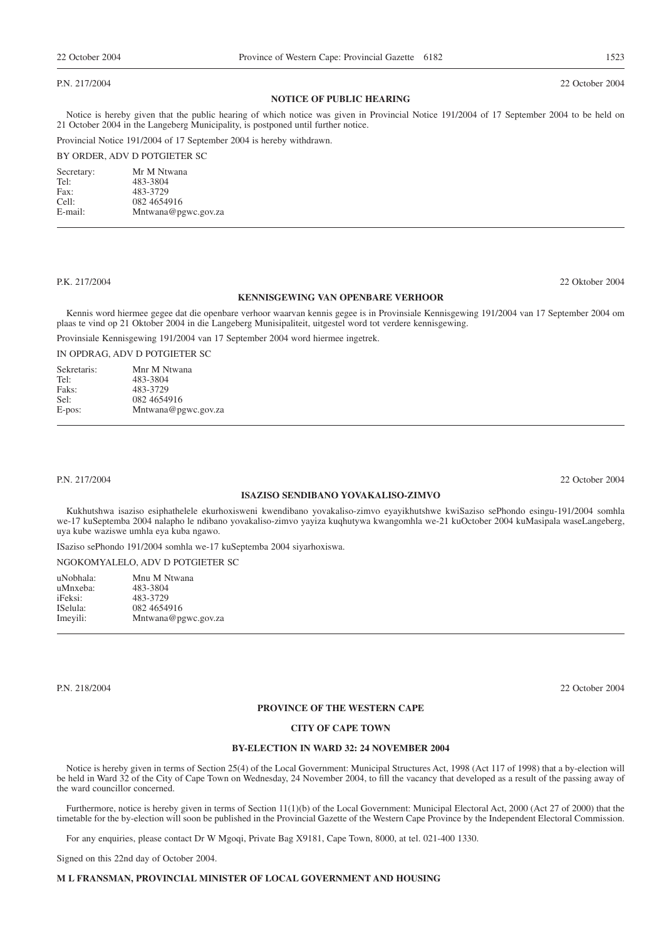#### P.N. 217/2004 22 October 2004

#### **NOTICE OF PUBLIC HEARING**

Notice is hereby given that the public hearing of which notice was given in Provincial Notice 191/2004 of 17 September 2004 to be held on 21 October 2004 in the Langeberg Municipality, is postponed until further notice.

Provincial Notice 191/2004 of 17 September 2004 is hereby withdrawn.

#### BY ORDER, ADV D POTGIETER SC

| Secretary: | Mr M Ntwana         |
|------------|---------------------|
| Tel:       | 483-3804            |
| Fax:       | 483-3729            |
| Cell:      | 082 4654916         |
| E-mail:    | Mntwana@pgwc.gov.za |

#### P.K. 217/2004 22 Oktober 2004

#### **KENNISGEWING VAN OPENBARE VERHOOR**

Kennis word hiermee gegee dat die openbare verhoor waarvan kennis gegee is in Provinsiale Kennisgewing 191/2004 van 17 September 2004 om plaas te vind op 21 Oktober 2004 in die Langeberg Munisipaliteit, uitgestel word tot verdere kennisgewing.

Provinsiale Kennisgewing 191/2004 van 17 September 2004 word hiermee ingetrek.

IN OPDRAG, ADV D POTGIETER SC

| Sekretaris: | Mnr M Ntwana        |
|-------------|---------------------|
| Tel:        | 483-3804            |
| Faks:       | 483-3729            |
| Sel:        | 082 4654916         |
| $E$ -pos:   | Mntwana@pgwc.gov.za |

#### P.N. 217/2004 22 October 2004

# **ISAZISO SENDIBANO YOVAKALISO-ZIMVO**

Kukhutshwa isaziso esiphathelele ekurhoxisweni kwendibano yovakaliso-zimvo eyayikhutshwe kwiSaziso sePhondo esingu-191/2004 somhla we-17 kuSeptemba 2004 nalapho le ndibano yovakaliso-zimvo yayiza kuqhutywa kwangomhla we-21 kuOctober 2004 kuMasipala waseLangeberg, uya kube waziswe umhla eya kuba ngawo.

ISaziso sePhondo 191/2004 somhla we-17 kuSeptemba 2004 siyarhoxiswa.

NGOKOMYALELO, ADV D POTGIETER SC

| Mnu M Ntwana        |
|---------------------|
| 483-3804            |
| 483-3729            |
| 082 4654916         |
| Mntwana@pgwc.gov.za |
|                     |

P.N. 218/2004 22 October 2004

#### **PROVINCE OF THE WESTERN CAPE**

#### **CITY OF CAPE TOWN**

#### **BY-ELECTION IN WARD 32: 24 NOVEMBER 2004**

Notice is hereby given in terms of Section 25(4) of the Local Government: Municipal Structures Act, 1998 (Act 117 of 1998) that a by-election will be held in Ward 32 of the City of Cape Town on Wednesday, 24 November 2004, to fill the vacancy that developed as a result of the passing away of the ward councillor concerned.

Furthermore, notice is hereby given in terms of Section 11(1)(b) of the Local Government: Municipal Electoral Act, 2000 (Act 27 of 2000) that the timetable for the by-election will soon be published in the Provincial Gazette of the Western Cape Province by the Independent Electoral Commission.

For any enquiries, please contact Dr W Mgoqi, Private Bag X9181, Cape Town, 8000, at tel. 021-400 1330.

Signed on this 22nd day of October 2004.

#### **M L FRANSMAN, PROVINCIAL MINISTER OF LOCAL GOVERNMENT AND HOUSING**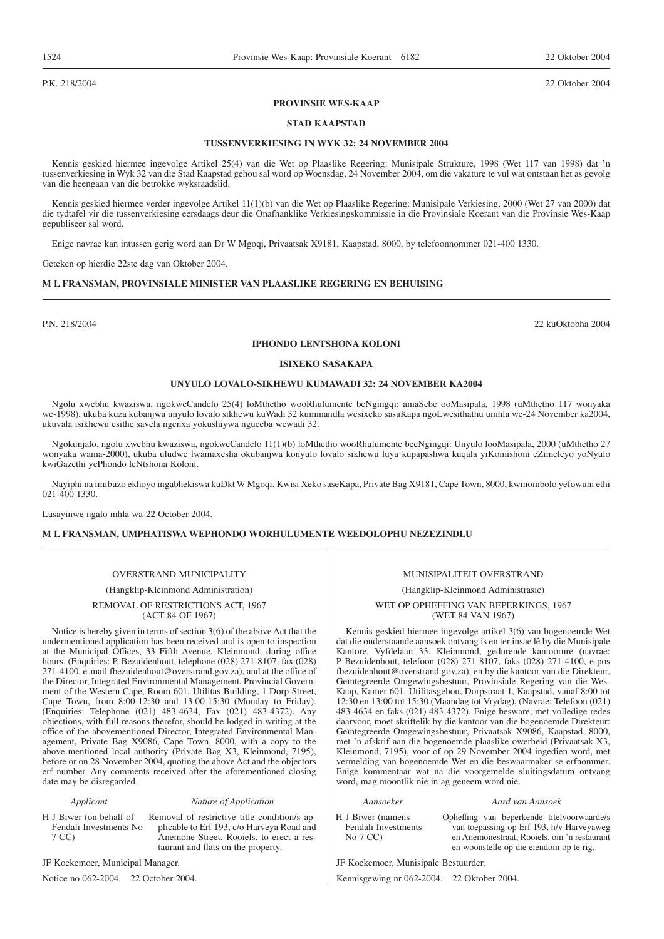P.K. 218/2004 22 Oktober 2004

#### **PROVINSIE WES-KAAP**

#### **STAD KAAPSTAD**

#### **TUSSENVERKIESING IN WYK 32: 24 NOVEMBER 2004**

Kennis geskied hiermee ingevolge Artikel 25(4) van die Wet op Plaaslike Regering: Munisipale Strukture, 1998 (Wet 117 van 1998) dat 'n tussenverkiesing in Wyk 32 van die Stad Kaapstad gehou sal word op Woensdag, 24 November 2004, om die vakature te vul wat ontstaan het as gevolg van die heengaan van die betrokke wyksraadslid.

Kennis geskied hiermee verder ingevolge Artikel 11(1)(b) van die Wet op Plaaslike Regering: Munisipale Verkiesing, 2000 (Wet 27 van 2000) dat die tydtafel vir die tussenverkiesing eersdaags deur die Onafhanklike Verkiesingskommissie in die Provinsiale Koerant van die Provinsie Wes-Kaap gepubliseer sal word.

Enige navrae kan intussen gerig word aan Dr W Mgoqi, Privaatsak X9181, Kaapstad, 8000, by telefoonnommer 021-400 1330.

Geteken op hierdie 22ste dag van Oktober 2004.

#### **M L FRANSMAN, PROVINSIALE MINISTER VAN PLAASLIKE REGERING EN BEHUISING**

P.N. 218/2004 22 kuOktobha 2004

#### **IPHONDO LENTSHONA KOLONI**

#### **ISIXEKO SASAKAPA**

#### **UNYULO LOVALO-SIKHEWU KUMAWADI 32: 24 NOVEMBER KA2004**

Ngolu xwebhu kwaziswa, ngokweCandelo 25(4) loMthetho wooRhulumente beNgingqi: amaSebe ooMasipala, 1998 (uMthetho 117 wonyaka we-1998), ukuba kuza kubanjwa unyulo lovalo sikhewu kuWadi 32 kummandla wesixeko sasaKapa ngoLwesithathu umhla we-24 November ka2004, ukuvala isikhewu esithe savela ngenxa yokushiywa nguceba wewadi 32.

Ngokunjalo, ngolu xwebhu kwaziswa, ngokweCandelo 11(1)(b) loMthetho wooRhulumente beeNgingqi: Unyulo looMasipala, 2000 (uMthetho 27 wonyaka wama-2000), ukuba uludwe lwamaxesha okubanjwa konyulo lovalo sikhewu luya kupapashwa kuqala yiKomishoni eZimeleyo yoNyulo kwiGazethi yePhondo leNtshona Koloni.

Nayiphi na imibuzo ekhoyo ingabhekiswa kuDkt W Mgoqi, Kwisi Xeko saseKapa, Private Bag X9181, Cape Town, 8000, kwinombolo yefowuni ethi 021-400 1330.

Lusayinwe ngalo mhla wa-22 October 2004.

#### **M L FRANSMAN, UMPHATISWA WEPHONDO WORHULUMENTE WEEDOLOPHU NEZEZINDLU**

#### OVERSTRAND MUNICIPALITY

(Hangklip-Kleinmond Administration)

#### REMOVAL OF RESTRICTIONS ACT, 1967 (ACT 84 OF 1967)

Notice is hereby given in terms of section 3(6) of the above Act that the undermentioned application has been received and is open to inspection at the Municipal Offices, 33 Fifth Avenue, Kleinmond, during office hours. (Enquiries: P. Bezuidenhout, telephone (028) 271-8107, fax (028) 271-4100, e-mail fbezuidenhout@overstrand.gov.za), and at the office of the Director, Integrated Environmental Management, Provincial Government of the Western Cape, Room 601, Utilitas Building, 1 Dorp Street, Cape Town, from 8:00-12:30 and 13:00-15:30 (Monday to Friday). (Enquiries: Telephone (021) 483-4634, Fax (021) 483-4372). Any objections, with full reasons therefor, should be lodged in writing at the office of the abovementioned Director, Integrated Environmental Management, Private Bag X9086, Cape Town, 8000, with a copy to the above-mentioned local authority (Private Bag X3, Kleinmond, 7195), before or on 28 November 2004, quoting the above Act and the objectors erf number. Any comments received after the aforementioned closing date may be disregarded.

#### *Applicant Nature of Application*

H-J Biwer (on behalf of Fendali Investments No 7 CC) Removal of restrictive title condition/s ap-

plicable to Erf 193, c/o Harveya Road and Anemone Street, Rooiels, to erect a restaurant and flats on the property.

JF Koekemoer, Municipal Manager.

Notice no 062-2004. 22 October 2004.

#### MUNISIPALITEIT OVERSTRAND

(Hangklip-Kleinmond Administrasie)

#### WET OP OPHEFFING VAN BEPERKINGS, 1967 (WET 84 VAN 1967)

Kennis geskied hiermee ingevolge artikel 3(6) van bogenoemde Wet dat die onderstaande aansoek ontvang is en ter insae lê by die Munisipale Kantore, Vyfdelaan 33, Kleinmond, gedurende kantoorure (navrae: P Bezuidenhout, telefoon (028) 271-8107, faks (028) 271-4100, e-pos fbezuidenhout@overstrand.gov.za), en by die kantoor van die Direkteur, Geïntegreerde Omgewingsbestuur, Provinsiale Regering van die Wes-Kaap, Kamer 601, Utilitasgebou, Dorpstraat 1, Kaapstad, vanaf 8:00 tot 12:30 en 13:00 tot 15:30 (Maandag tot Vrydag), (Navrae: Telefoon (021) 483-4634 en faks (021) 483-4372). Enige besware, met volledige redes daarvoor, moet skriftelik by die kantoor van die bogenoemde Direkteur: Geïntegreerde Omgewingsbestuur, Privaatsak X9086, Kaapstad, 8000, met 'n afskrif aan die bogenoemde plaaslike owerheid (Privaatsak X3, Kleinmond, 7195), voor of op 29 November 2004 ingedien word, met vermelding van bogenoemde Wet en die beswaarmaker se erfnommer. Enige kommentaar wat na die voorgemelde sluitingsdatum ontvang word, mag moontlik nie in ag geneem word nie.

#### *Aansoeker Aard van Aansoek*

H-J Biwer (namens Fendali Investments No 7 CC)

Opheffing van beperkende titelvoorwaarde/s van toepassing op Erf 193, h/v Harveyaweg en Anemonestraat, Rooiels, om 'n restaurant en woonstelle op die eiendom op te rig.

JF Koekemoer, Munisipale Bestuurder.

Kennisgewing nr 062-2004. 22 Oktober 2004.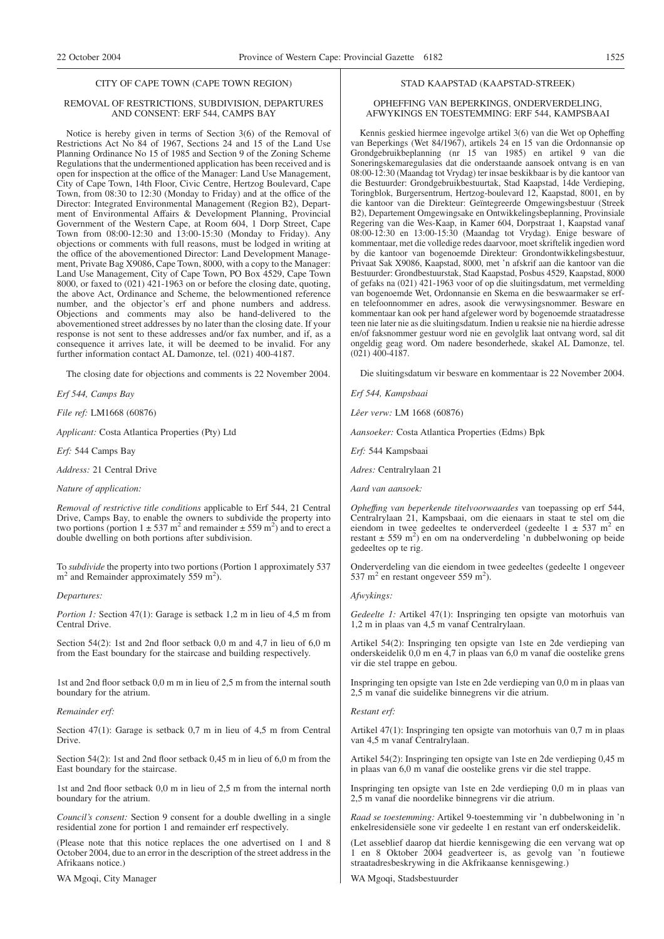#### CITY OF CAPE TOWN (CAPE TOWN REGION)

#### REMOVAL OF RESTRICTIONS, SUBDIVISION, DEPARTURES AND CONSENT: ERF 544, CAMPS BAY

Notice is hereby given in terms of Section 3(6) of the Removal of Restrictions Act No 84 of 1967, Sections 24 and 15 of the Land Use Planning Ordinance No 15 of 1985 and Section 9 of the Zoning Scheme Regulations that the undermentioned application has been received and is open for inspection at the office of the Manager: Land Use Management, City of Cape Town, 14th Floor, Civic Centre, Hertzog Boulevard, Cape Town, from 08:30 to 12:30 (Monday to Friday) and at the office of the Director: Integrated Environmental Management (Region B2), Department of Environmental Affairs & Development Planning, Provincial Government of the Western Cape, at Room 604, 1 Dorp Street, Cape Town from 08:00-12:30 and 13:00-15:30 (Monday to Friday). Any objections or comments with full reasons, must be lodged in writing at the office of the abovementioned Director: Land Development Management, Private Bag X9086, Cape Town, 8000, with a copy to the Manager: Land Use Management, City of Cape Town, PO Box 4529, Cape Town 8000, or faxed to (021) 421-1963 on or before the closing date, quoting, the above Act, Ordinance and Scheme, the belowmentioned reference number, and the objector's erf and phone numbers and address. Objections and comments may also be hand-delivered to the abovementioned street addresses by no later than the closing date. If your response is not sent to these addresses and/or fax number, and if, as a consequence it arrives late, it will be deemed to be invalid. For any further information contact AL Damonze, tel. (021) 400-4187.

The closing date for objections and comments is 22 November 2004.

*Erf 544, Camps Bay*

*File ref:* LM1668 (60876)

*Applicant:* Costa Atlantica Properties (Pty) Ltd

*Erf:* 544 Camps Bay

*Address:* 21 Central Drive

*Nature of application:*

*Removal of restrictive title conditions* applicable to Erf 544, 21 Central Drive, Camps Bay, to enable the owners to subdivide the property into two portions (portion  $1 \pm 537$  m<sup>2</sup> and remainder  $\pm 559$  m<sup>2</sup>) and to erect a double dwelling on both portions after subdivision.

To *subdivide* the property into two portions (Portion 1 approximately 537  $m<sup>2</sup>$  and Remainder approximately 559 m<sup>2</sup>).

#### *Departures:*

*Portion 1:* Section 47(1): Garage is setback 1,2 m in lieu of 4,5 m from Central Drive.

Section 54(2): 1st and 2nd floor setback 0,0 m and 4,7 in lieu of 6,0 m from the East boundary for the staircase and building respectively.

1st and 2nd floor setback 0,0 m m in lieu of 2,5 m from the internal south boundary for the atrium.

#### *Remainder erf:*

Section 47(1): Garage is setback 0,7 m in lieu of 4,5 m from Central Drive.

Section 54(2): 1st and 2nd floor setback 0,45 m in lieu of 6,0 m from the East boundary for the staircase.

1st and 2nd floor setback 0,0 m in lieu of 2,5 m from the internal north boundary for the atrium.

*Council's consent:* Section 9 consent for a double dwelling in a single residential zone for portion 1 and remainder erf respectively.

(Please note that this notice replaces the one advertised on 1 and 8 October 2004, due to an error in the description of the street address in the Afrikaans notice.)

WA Mgoqi, City Manager

#### STAD KAAPSTAD (KAAPSTAD-STREEK)

#### OPHEFFING VAN BEPERKINGS, ONDERVERDELING, AFWYKINGS EN TOESTEMMING: ERF 544, KAMPSBAAI

Kennis geskied hiermee ingevolge artikel 3(6) van die Wet op Opheffing van Beperkings (Wet 84/1967), artikels 24 en 15 van die Ordonnansie op Grondgebruikbeplanning (nr 15 van 1985) en artikel 9 van die Soneringskemaregulasies dat die onderstaande aansoek ontvang is en van 08:00-12:30 (Maandag tot Vrydag) ter insae beskikbaar is by die kantoor van die Bestuurder: Grondgebruikbestuurtak, Stad Kaapstad, 14de Verdieping, Toringblok, Burgersentrum, Hertzog-boulevard 12, Kaapstad, 8001, en by die kantoor van die Direkteur: Geïntegreerde Omgewingsbestuur (Streek B2), Departement Omgewingsake en Ontwikkelingsbeplanning, Provinsiale Regering van die Wes-Kaap, in Kamer 604, Dorpstraat 1, Kaapstad vanaf 08:00-12:30 en 13:00-15:30 (Maandag tot Vrydag). Enige besware of kommentaar, met die volledige redes daarvoor, moet skriftelik ingedien word by die kantoor van bogenoemde Direkteur: Grondontwikkelingsbestuur, Privaat Sak X9086, Kaapstad, 8000, met 'n afskrif aan die kantoor van die Bestuurder: Grondbestuurstak, Stad Kaapstad, Posbus 4529, Kaapstad, 8000 of gefaks na (021) 421-1963 voor of op die sluitingsdatum, met vermelding van bogenoemde Wet, Ordonnansie en Skema en die beswaarmaker se erfen telefoonnommer en adres, asook die verwysingsnommer. Besware en kommentaar kan ook per hand afgelewer word by bogenoemde straatadresse teen nie later nie as die sluitingsdatum. Indien u reaksie nie na hierdie adresse en/of faksnommer gestuur word nie en gevolglik laat ontvang word, sal dit ongeldig geag word. Om nadere besonderhede, skakel AL Damonze, tel. (021) 400-4187.

Die sluitingsdatum vir besware en kommentaar is 22 November 2004.

*Erf 544, Kampsbaai*

*Lêer verw:* LM 1668 (60876)

*Aansoeker:* Costa Atlantica Properties (Edms) Bpk

*Erf:* 544 Kampsbaai

*Adres:* Centralrylaan 21

*Aard van aansoek:*

*Opheffıng van beperkende titelvoorwaardes* van toepassing op erf 544, Centralrylaan 21, Kampsbaai, om die eienaars in staat te stel om die eiendom in twee gedeeltes te onderverdeel (gedeelte  $1 \pm 537$  m<sup>2</sup> en restant  $\pm$  559 m<sup>2</sup>) en om na onderverdeling 'n dubbelwoning op beide gedeeltes op te rig.

Onderverdeling van die eiendom in twee gedeeltes (gedeelte 1 ongeveer  $537 \text{ m}^2$  en restant ongeveer 559 m<sup>2</sup>).

*Afwykings:*

*Gedeelte 1:* Artikel 47(1): Inspringing ten opsigte van motorhuis van 1,2 m in plaas van 4,5 m vanaf Centralrylaan.

Artikel 54(2): Inspringing ten opsigte van 1ste en 2de verdieping van onderskeidelik 0,0 m en 4,7 in plaas van 6,0 m vanaf die oostelike grens vir die stel trappe en gebou.

Inspringing ten opsigte van 1ste en 2de verdieping van 0,0 m in plaas van 2,5 m vanaf die suidelike binnegrens vir die atrium.

*Restant erf:*

Artikel 47(1): Inspringing ten opsigte van motorhuis van 0,7 m in plaas van 4,5 m vanaf Centralrylaan.

Artikel 54(2): Inspringing ten opsigte van 1ste en 2de verdieping 0,45 m in plaas van 6,0 m vanaf die oostelike grens vir die stel trappe.

Inspringing ten opsigte van 1ste en 2de verdieping 0,0 m in plaas van 2,5 m vanaf die noordelike binnegrens vir die atrium.

*Raad se toestemming:* Artikel 9-toestemming vir 'n dubbelwoning in 'n enkelresidensiële sone vir gedeelte 1 en restant van erf onderskeidelik.

(Let asseblief daarop dat hierdie kennisgewing die een vervang wat op 1 en 8 Oktober 2004 geadverteer is, as gevolg van 'n foutiewe straatadresbeskrywing in die Akfrikaanse kennisgewing.)

WA Mgoqi, Stadsbestuurder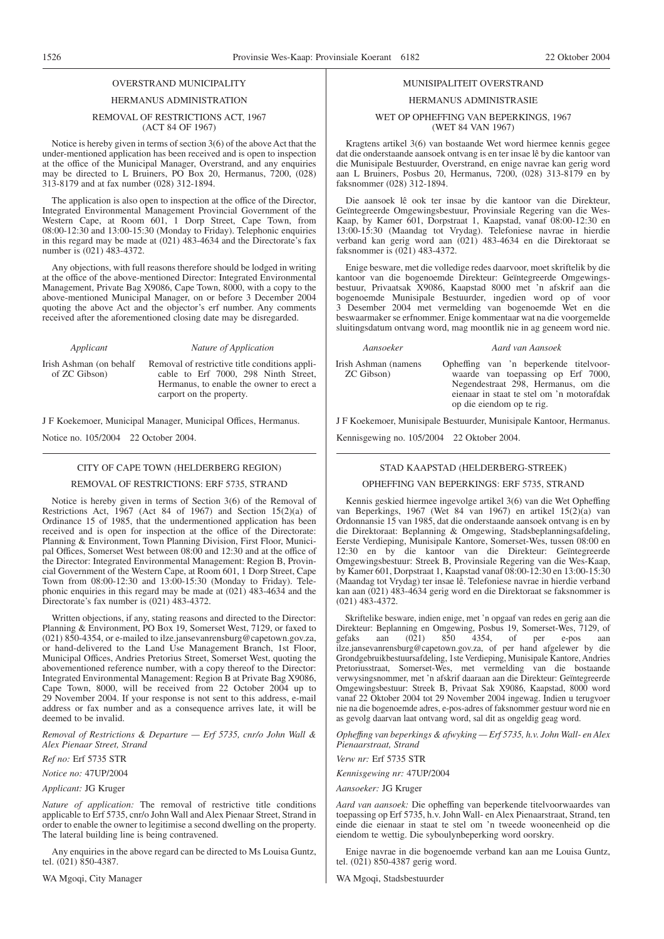#### HERMANUS ADMINISTRATION

## REMOVAL OF RESTRICTIONS ACT, 1967 (ACT 84 OF 1967)

Notice is hereby given in terms of section 3(6) of the above Act that the under-mentioned application has been received and is open to inspection at the office of the Municipal Manager, Overstrand, and any enquiries may be directed to L Bruiners, PO Box 20, Hermanus, 7200, (028) 313-8179 and at fax number (028) 312-1894.

The application is also open to inspection at the office of the Director, Integrated Environmental Management Provincial Government of the Western Cape, at Room 601, 1 Dorp Street, Cape Town, from 08:00-12:30 and 13:00-15:30 (Monday to Friday). Telephonic enquiries in this regard may be made at (021) 483-4634 and the Directorate's fax number is (021) 483-4372.

Any objections, with full reasons therefore should be lodged in writing at the office of the above-mentioned Director: Integrated Environmental Management, Private Bag X9086, Cape Town, 8000, with a copy to the above-mentioned Municipal Manager, on or before 3 December 2004 quoting the above Act and the objector's erf number. Any comments received after the aforementioned closing date may be disregarded.

*Applicant Nature of Application*

Irish Ashman (on behalf of ZC Gibson)

Removal of restrictive title conditions applicable to Erf 7000, 298 Ninth Street, Hermanus, to enable the owner to erect a carport on the property.

J F Koekemoer, Municipal Manager, Municipal Offices, Hermanus.

Notice no. 105/2004 22 October 2004.

#### CITY OF CAPE TOWN (HELDERBERG REGION)

#### REMOVAL OF RESTRICTIONS: ERF 5735, STRAND

Notice is hereby given in terms of Section 3(6) of the Removal of Restrictions Act,  $1967$  (Act 84 of 1967) and Section 15(2)(a) of Ordinance 15 of 1985, that the undermentioned application has been received and is open for inspection at the office of the Directorate: Planning & Environment, Town Planning Division, First Floor, Municipal Offices, Somerset West between 08:00 and 12:30 and at the office of the Director: Integrated Environmental Management: Region B, Provincial Government of the Western Cape, at Room 601, 1 Dorp Street, Cape Town from 08:00-12:30 and 13:00-15:30 (Monday to Friday). Telephonic enquiries in this regard may be made at (021) 483-4634 and the Directorate's fax number is (021) 483-4372.

Written objections, if any, stating reasons and directed to the Director: Planning & Environment, PO Box 19, Somerset West, 7129, or faxed to (021) 850-4354, or e-mailed to ilze.jansevanrensburg@capetown.gov.za, or hand-delivered to the Land Use Management Branch, 1st Floor, Municipal Offices, Andries Pretorius Street, Somerset West, quoting the abovementioned reference number, with a copy thereof to the Director: Integrated Environmental Management: Region B at Private Bag X9086, Cape Town, 8000, will be received from 22 October 2004 up to 29 November 2004. If your response is not sent to this address, e-mail address or fax number and as a consequence arrives late, it will be deemed to be invalid.

*Removal of Restrictions & Departure — Erf 5735, cnr/o John Wall & Alex Pienaar Street, Strand*

*Ref no:* Erf 5735 STR

*Notice no:* 47UP/2004

*Applicant:* JG Kruger

*Nature of application:* The removal of restrictive title conditions applicable to Erf 5735, cnr/o John Wall and Alex Pienaar Street, Strand in order to enable the owner to legitimise a second dwelling on the property. The lateral building line is being contravened.

Any enquiries in the above regard can be directed to Ms Louisa Guntz, tel. (021) 850-4387.

WA Mgoqi, City Manager

#### MUNISIPALITEIT OVERSTRAND

#### HERMANUS ADMINISTRASIE

## WET OP OPHEFFING VAN BEPERKINGS, 1967 (WET 84 VAN 1967)

Kragtens artikel 3(6) van bostaande Wet word hiermee kennis gegee dat die onderstaande aansoek ontvang is en ter insae lê by die kantoor van die Munisipale Bestuurder, Overstrand, en enige navrae kan gerig word aan L Bruiners, Posbus 20, Hermanus, 7200, (028) 313-8179 en by faksnommer (028) 312-1894.

Die aansoek lê ook ter insae by die kantoor van die Direkteur, Geïntegreerde Omgewingsbestuur, Provinsiale Regering van die Wes-Kaap, by Kamer 601, Dorpstraat 1, Kaapstad, vanaf 08:00-12:30 en 13:00-15:30 (Maandag tot Vrydag). Telefoniese navrae in hierdie verband kan gerig word aan (021) 483-4634 en die Direktoraat se faksnommer is (021) 483-4372.

Enige besware, met die volledige redes daarvoor, moet skriftelik by die kantoor van die bogenoemde Direkteur: Geïntegreerde Omgewingsbestuur, Privaatsak X9086, Kaapstad 8000 met 'n afskrif aan die bogenoemde Munisipale Bestuurder, ingedien word op of voor 3 Desember 2004 met vermelding van bogenoemde Wet en die beswaarmaker se erfnommer. Enige kommentaar wat na die voorgemelde sluitingsdatum ontvang word, mag moontlik nie in ag geneem word nie.

*Aansoeker Aard van Aansoek* Irish Ashman (namens ZC Gibson)

Opheffing van 'n beperkende titelvoor-

waarde van toepassing op Erf 7000, Negendestraat 298, Hermanus, om die eienaar in staat te stel om 'n motorafdak op die eiendom op te rig.

J F Koekemoer, Munisipale Bestuurder, Munisipale Kantoor, Hermanus.

Kennisgewing no. 105/2004 22 Oktober 2004.

# STAD KAAPSTAD (HELDERBERG-STREEK)

OPHEFFING VAN BEPERKINGS: ERF 5735, STRAND

Kennis geskied hiermee ingevolge artikel 3(6) van die Wet Opheffing van Beperkings, 1967 (Wet 84 van 1967) en artikel 15(2)(a) van Ordonnansie 15 van 1985, dat die onderstaande aansoek ontvang is en by die Direktoraat: Beplanning & Omgewing, Stadsbeplanningsafdeling, Eerste Verdieping, Munisipale Kantore, Somerset-Wes, tussen 08:00 en 12:30 en by die kantoor van die Direkteur: Geïntegreerde Omgewingsbestuur: Streek B, Provinsiale Regering van die Wes-Kaap, by Kamer 601, Dorpstraat 1, Kaapstad vanaf 08:00-12:30 en 13:00-15:30 (Maandag tot Vrydag) ter insae lê. Telefoniese navrae in hierdie verband kan aan (021) 483-4634 gerig word en die Direktoraat se faksnommer is (021) 483-4372.

Skriftelike besware, indien enige, met 'n opgaaf van redes en gerig aan die Direkteur: Beplanning en Omgewing, Posbus 19, Somerset-Wes, 7129, of gefaks aan (021) 850 4354, of per e-pos aan gefaks aan  $(021)$   $850$   $4354$ , of per e-pos aan ilze.jansevanrensburg@capetown.gov.za, of per hand afgelewer by die Grondgebruikbestuursafdeling, 1ste Verdieping, Munisipale Kantore, Andries Pretoriusstraat, Somerset-Wes, met vermelding van die bostaande verwysingsnommer, met 'n afskrif daaraan aan die Direkteur: Geïntegreerde Omgewingsbestuur: Streek B, Privaat Sak X9086, Kaapstad, 8000 word vanaf 22 Oktober 2004 tot 29 November 2004 ingewag. Indien u terugvoer nie na die bogenoemde adres, e-pos-adres of faksnommer gestuur word nie en as gevolg daarvan laat ontvang word, sal dit as ongeldig geag word.

*Opheffıng van beperkings & afwyking — Erf 5735, h.v. John Wall- en Alex Pienaarstraat, Strand*

*Verw nr:* Erf 5735 STR

*Kennisgewing nr:* 47UP/2004

*Aansoeker:* JG Kruger

*Aard van aansoek:* Die opheffing van beperkende titelvoorwaardes van toepassing op Erf 5735, h.v. John Wall- en Alex Pienaarstraat, Strand, ten einde die eienaar in staat te stel om 'n tweede wooneenheid op die eiendom te wettig. Die syboulynbeperking word oorskry.

Enige navrae in die bogenoemde verband kan aan me Louisa Guntz, tel.  $(021)$  850-4387 gerig word.

WA Mgoqi, Stadsbestuurder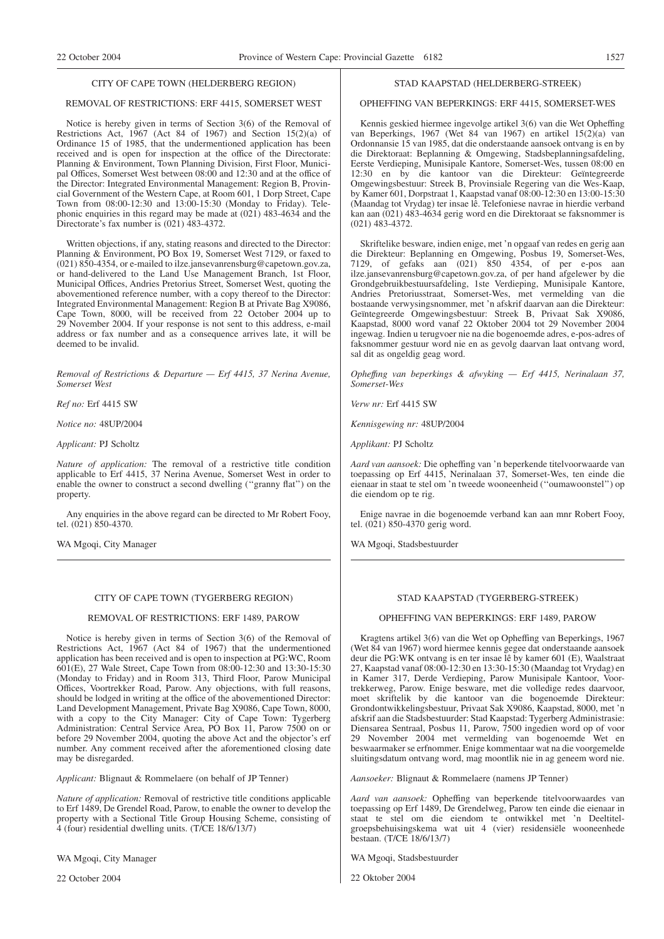#### REMOVAL OF RESTRICTIONS: ERF 4415, SOMERSET WEST

Notice is hereby given in terms of Section 3(6) of the Removal of Restrictions Act, 1967 (Act 84 of 1967) and Section 15(2)(a) of Ordinance 15 of 1985, that the undermentioned application has been received and is open for inspection at the office of the Directorate: Planning & Environment, Town Planning Division, First Floor, Municipal Offices, Somerset West between 08:00 and 12:30 and at the office of the Director: Integrated Environmental Management: Region B, Provincial Government of the Western Cape, at Room 601, 1 Dorp Street, Cape Town from 08:00-12:30 and 13:00-15:30 (Monday to Friday). Telephonic enquiries in this regard may be made at (021) 483-4634 and the Directorate's fax number is (021) 483-4372.

Written objections, if any, stating reasons and directed to the Director: Planning & Environment, PO Box 19, Somerset West 7129, or faxed to (021) 850-4354, or e-mailed to ilze.jansevanrensburg@capetown.gov.za, or hand-delivered to the Land Use Management Branch, 1st Floor, Municipal Offices, Andries Pretorius Street, Somerset West, quoting the abovementioned reference number, with a copy thereof to the Director: Integrated Environmental Management: Region B at Private Bag X9086, Cape Town, 8000, will be received from 22 October 2004 up to 29 November 2004. If your response is not sent to this address, e-mail address or fax number and as a consequence arrives late, it will be deemed to be invalid.

*Removal of Restrictions & Departure — Erf 4415, 37 Nerina Avenue, Somerset West*

*Ref no:* Erf 4415 SW

*Notice no:* 48UP/2004

*Applicant:* PJ Scholtz

*Nature of application:* The removal of a restrictive title condition applicable to Erf 4415, 37 Nerina Avenue, Somerset West in order to enable the owner to construct a second dwelling (''granny flat'') on the property.

Any enquiries in the above regard can be directed to Mr Robert Fooy, tel. (021) 850-4370.

WA Mgoqi, City Manager

#### CITY OF CAPE TOWN (TYGERBERG REGION)

#### REMOVAL OF RESTRICTIONS: ERF 1489, PAROW

Notice is hereby given in terms of Section 3(6) of the Removal of Restrictions Act, 1967 (Act 84 of 1967) that the undermentioned application has been received and is open to inspection at PG:WC, Room 601(E), 27 Wale Street, Cape Town from 08:00-12:30 and 13:30-15:30 (Monday to Friday) and in Room 313, Third Floor, Parow Municipal Offices, Voortrekker Road, Parow. Any objections, with full reasons, should be lodged in writing at the office of the abovementioned Director: Land Development Management, Private Bag X9086, Cape Town, 8000, with a copy to the City Manager: City of Cape Town: Tygerberg Administration: Central Service Area, PO Box 11, Parow 7500 on or before 29 November 2004, quoting the above Act and the objector's erf number. Any comment received after the aforementioned closing date may be disregarded.

*Applicant:* Blignaut & Rommelaere (on behalf of JP Tenner)

*Nature of application:* Removal of restrictive title conditions applicable to Erf 1489, De Grendel Road, Parow, to enable the owner to develop the property with a Sectional Title Group Housing Scheme, consisting of 4 (four) residential dwelling units. (T/CE 18/6/13/7)

WA Mgoqi, City Manager

22 October 2004

#### STAD KAAPSTAD (HELDERBERG-STREEK)

## OPHEFFING VAN BEPERKINGS: ERF 4415, SOMERSET-WES

Kennis geskied hiermee ingevolge artikel 3(6) van die Wet Opheffing van Beperkings, 1967 (Wet 84 van 1967) en artikel 15(2)(a) van Ordonnansie 15 van 1985, dat die onderstaande aansoek ontvang is en by die Direktoraat: Beplanning & Omgewing, Stadsbeplanningsafdeling, Eerste Verdieping, Munisipale Kantore, Somerset-Wes, tussen 08:00 en 12:30 en by die kantoor van die Direkteur: Geïntegreerde Omgewingsbestuur: Streek B, Provinsiale Regering van die Wes-Kaap, by Kamer 601, Dorpstraat 1, Kaapstad vanaf 08:00-12:30 en 13:00-15:30 (Maandag tot Vrydag) ter insae lê. Telefoniese navrae in hierdie verband kan aan (021) 483-4634 gerig word en die Direktoraat se faksnommer is (021) 483-4372.

Skriftelike besware, indien enige, met 'n opgaaf van redes en gerig aan die Direkteur: Beplanning en Omgewing, Posbus 19, Somerset-Wes, 7129, of gefaks aan (021) 850 4354, of per e-pos aan ilze.jansevanrensburg@capetown.gov.za, of per hand afgelewer by die Grondgebruikbestuursafdeling, 1ste Verdieping, Munisipale Kantore, Andries Pretoriusstraat, Somerset-Wes, met vermelding van die bostaande verwysingsnommer, met 'n afskrif daarvan aan die Direkteur: Geïntegreerde Omgewingsbestuur: Streek B, Privaat Sak X9086, Kaapstad, 8000 word vanaf 22 Oktober 2004 tot 29 November 2004 ingewag. Indien u terugvoer nie na die bogenoemde adres, e-pos-adres of faksnommer gestuur word nie en as gevolg daarvan laat ontvang word, sal dit as ongeldig geag word.

*Opheffıng van beperkings & afwyking — Erf 4415, Nerinalaan 37, Somerset-Wes*

*Verw nr:* Erf 4415 SW

*Kennisgewing nr:* 48UP/2004

*Applikant:* PJ Scholtz

*Aard van aansoek:* Die opheffing van 'n beperkende titelvoorwaarde van toepassing op Erf 4415, Nerinalaan 37, Somerset-Wes, ten einde die eienaar in staat te stel om 'n tweede wooneenheid (''oumawoonstel'') op die eiendom op te rig.

Enige navrae in die bogenoemde verband kan aan mnr Robert Fooy, tel. (021) 850-4370 gerig word.

WA Mgoqi, Stadsbestuurder

#### STAD KAAPSTAD (TYGERBERG-STREEK)

#### OPHEFFING VAN BEPERKINGS: ERF 1489, PAROW

Kragtens artikel 3(6) van die Wet op Opheffing van Beperkings, 1967 (Wet 84 van 1967) word hiermee kennis gegee dat onderstaande aansoek deur die PG:WK ontvang is en ter insae lê by kamer 601 (E), Waalstraat 27, Kaapstad vanaf 08:00-12:30 en 13:30-15:30 (Maandag tot Vrydag) en in Kamer 317, Derde Verdieping, Parow Munisipale Kantoor, Voortrekkerweg, Parow. Enige besware, met die volledige redes daarvoor, moet skriftelik by die kantoor van die bogenoemde Direkteur: Grondontwikkelingsbestuur, Privaat Sak X9086, Kaapstad, 8000, met 'n afskrif aan die Stadsbestuurder: Stad Kaapstad: Tygerberg Administrasie: Diensarea Sentraal, Posbus 11, Parow, 7500 ingedien word op of voor 29 November 2004 met vermelding van bogenoemde Wet en beswaarmaker se erfnommer. Enige kommentaar wat na die voorgemelde sluitingsdatum ontvang word, mag moontlik nie in ag geneem word nie.

*Aansoeker:* Blignaut & Rommelaere (namens JP Tenner)

*Aard van aansoek:* Opheffing van beperkende titelvoorwaardes van toepassing op Erf 1489, De Grendelweg, Parow ten einde die eienaar in staat te stel om die eiendom te ontwikkel met 'n Deeltitelgroepsbehuisingskema wat uit 4 (vier) residensiële wooneenhede bestaan. (T/CE 18/6/13/7)

WA Mgoqi, Stadsbestuurder

22 Oktober 2004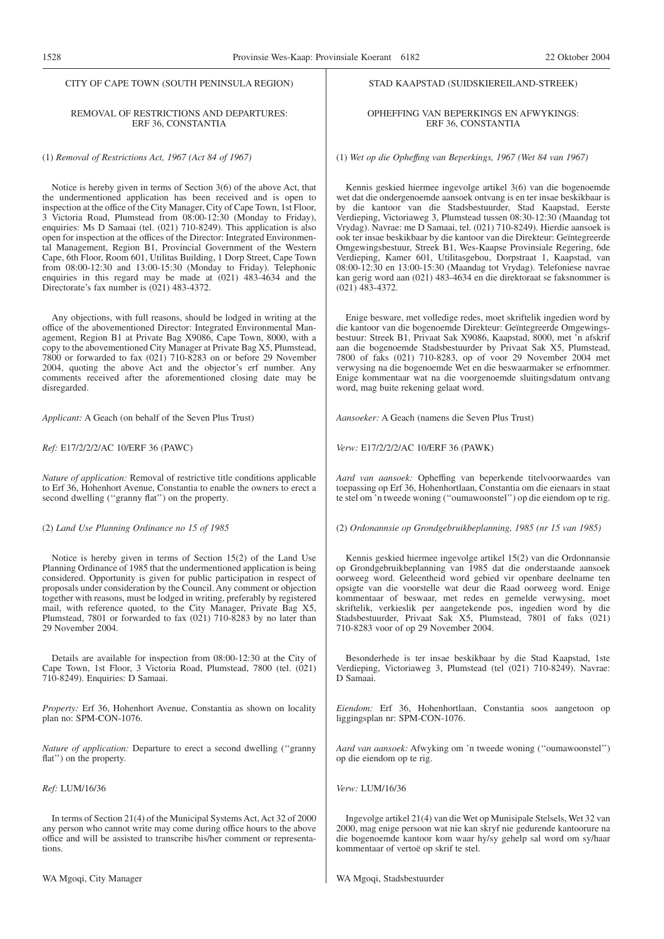## CITY OF CAPE TOWN (SOUTH PENINSULA REGION)

#### REMOVAL OF RESTRICTIONS AND DEPARTURES: ERF 36, CONSTANTIA

(1) *Removal of Restrictions Act, 1967 (Act 84 of 1967)*

Notice is hereby given in terms of Section 3(6) of the above Act, that the undermentioned application has been received and is open to inspection at the office of the City Manager, City of Cape Town, 1st Floor, 3 Victoria Road, Plumstead from 08:00-12:30 (Monday to Friday), enquiries: Ms D Samaai (tel. (021) 710-8249). This application is also open for inspection at the offices of the Director: Integrated Environmental Management, Region B1, Provincial Government of the Western Cape, 6th Floor, Room 601, Utilitas Building, 1 Dorp Street, Cape Town from 08:00-12:30 and 13:00-15:30 (Monday to Friday). Telephonic enquiries in this regard may be made at (021) 483-4634 and the Directorate's fax number is (021) 483-4372.

Any objections, with full reasons, should be lodged in writing at the office of the abovementioned Director: Integrated Environmental Management, Region B1 at Private Bag X9086, Cape Town, 8000, with a copy to the abovementioned City Manager at Private Bag X5, Plumstead, 7800 or forwarded to fax (021) 710-8283 on or before 29 November 2004, quoting the above Act and the objector's erf number. Any comments received after the aforementioned closing date may be disregarded.

*Applicant:* A Geach (on behalf of the Seven Plus Trust)

*Ref:* E17/2/2/2/AC 10/ERF 36 (PAWC)

*Nature of application:* Removal of restrictive title conditions applicable to Erf 36, Hohenhort Avenue, Constantia to enable the owners to erect a second dwelling (''granny flat'') on the property.

(2) *Land Use Planning Ordinance no 15 of 1985*

Notice is hereby given in terms of Section 15(2) of the Land Use Planning Ordinance of 1985 that the undermentioned application is being considered. Opportunity is given for public participation in respect of proposals under consideration by the Council. Any comment or objection together with reasons, must be lodged in writing, preferably by registered mail, with reference quoted, to the City Manager, Private Bag X5, Plumstead, 7801 or forwarded to fax (021) 710-8283 by no later than 29 November 2004.

Details are available for inspection from 08:00-12:30 at the City of Cape Town, 1st Floor, 3 Victoria Road, Plumstead, 7800 (tel. (021) 710-8249). Enquiries: D Samaai.

*Property:* Erf 36, Hohenhort Avenue, Constantia as shown on locality plan no: SPM-CON-1076.

*Nature of application:* Departure to erect a second dwelling (''granny flat") on the property.

#### *Ref:* LUM/16/36

In terms of Section 21(4) of the Municipal Systems Act, Act 32 of 2000 any person who cannot write may come during office hours to the above office and will be assisted to transcribe his/her comment or representations.

#### STAD KAAPSTAD (SUIDSKIEREILAND-STREEK)

#### OPHEFFING VAN BEPERKINGS EN AFWYKINGS: ERF 36, CONSTANTIA

(1) *Wet op die Opheffıng van Beperkings, 1967 (Wet 84 van 1967)*

Kennis geskied hiermee ingevolge artikel 3(6) van die bogenoemde wet dat die ondergenoemde aansoek ontvang is en ter insae beskikbaar is by die kantoor van die Stadsbestuurder, Stad Kaapstad, Eerste Verdieping, Victoriaweg 3, Plumstead tussen 08:30-12:30 (Maandag tot Vrydag). Navrae: me D Samaai, tel. (021) 710-8249). Hierdie aansoek is ook ter insae beskikbaar by die kantoor van die Direkteur: Geïntegreerde Omgewingsbestuur, Streek B1, Wes-Kaapse Provinsiale Regering, 6de Verdieping, Kamer 601, Utilitasgebou, Dorpstraat 1, Kaapstad, van 08:00-12:30 en 13:00-15:30 (Maandag tot Vrydag). Telefoniese navrae kan gerig word aan (021) 483-4634 en die direktoraat se faksnommer is (021) 483-4372.

Enige besware, met volledige redes, moet skriftelik ingedien word by die kantoor van die bogenoemde Direkteur: Geïntegreerde Omgewingsbestuur: Streek B1, Privaat Sak X9086, Kaapstad, 8000, met 'n afskrif aan die bogenoemde Stadsbestuurder by Privaat Sak X5, Plumstead, 7800 of faks (021) 710-8283, op of voor 29 November 2004 met verwysing na die bogenoemde Wet en die beswaarmaker se erfnommer. Enige kommentaar wat na die voorgenoemde sluitingsdatum ontvang word, mag buite rekening gelaat word.

*Aansoeker:* A Geach (namens die Seven Plus Trust)

*Verw:* E17/2/2/2/AC 10/ERF 36 (PAWK)

*Aard van aansoek:* Opheffing van beperkende titelvoorwaardes van toepassing op Erf 36, Hohenhortlaan, Constantia om die eienaars in staat te stel om 'n tweede woning (''oumawoonstel'') op die eiendom op te rig.

(2) *Ordonannsie op Grondgebruikbeplanning, 1985 (nr 15 van 1985)*

Kennis geskied hiermee ingevolge artikel 15(2) van die Ordonnansie op Grondgebruikbeplanning van 1985 dat die onderstaande aansoek oorweeg word. Geleentheid word gebied vir openbare deelname ten opsigte van die voorstelle wat deur die Raad oorweeg word. Enige kommentaar of beswaar, met redes en gemelde verwysing, moet skriftelik, verkieslik per aangetekende pos, ingedien word by die Stadsbestuurder, Privaat Sak X5, Plumstead, 7801 of faks (021) 710-8283 voor of op 29 November 2004.

Besonderhede is ter insae beskikbaar by die Stad Kaapstad, 1ste Verdieping, Victoriaweg 3, Plumstead (tel (021) 710-8249). Navrae: D Samaai.

*Eiendom:* Erf 36, Hohenhortlaan, Constantia soos aangetoon op liggingsplan nr: SPM-CON-1076.

*Aard van aansoek:* Afwyking om 'n tweede woning (''oumawoonstel'') op die eiendom op te rig.

*Verw:* LUM/16/36

Ingevolge artikel 21(4) van die Wet op Munisipale Stelsels, Wet 32 van 2000, mag enige persoon wat nie kan skryf nie gedurende kantoorure na die bogenoemde kantoor kom waar hy/sy gehelp sal word om sy/haar kommentaar of vertoë op skrif te stel.

WA Mgoqi, Stadsbestuurder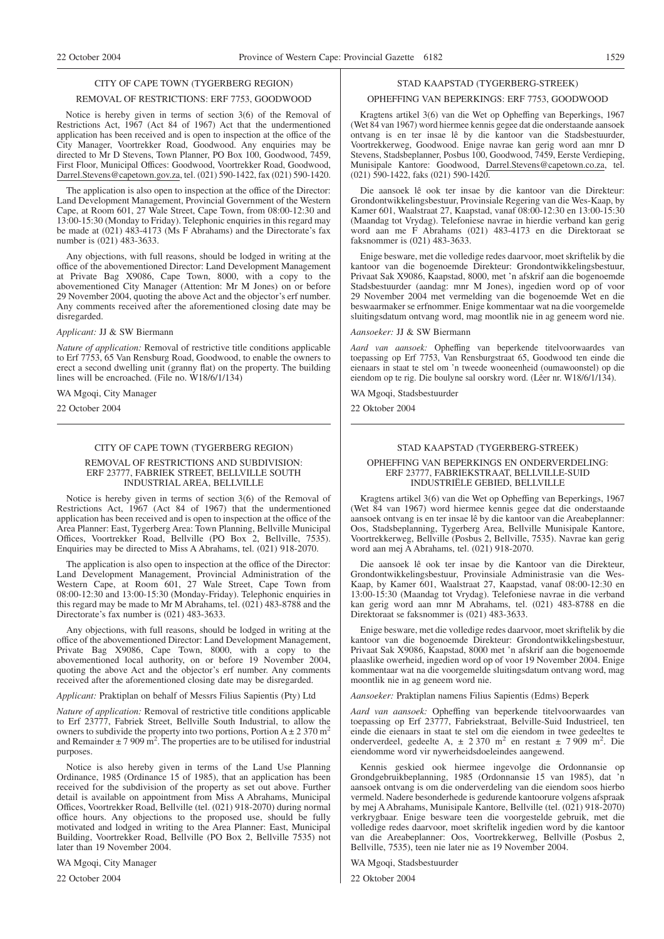#### REMOVAL OF RESTRICTIONS: ERF 7753, GOODWOOD

Notice is hereby given in terms of section 3(6) of the Removal of Restrictions Act, 1967 (Act 84 of 1967) Act that the undermentioned application has been received and is open to inspection at the office of the City Manager, Voortrekker Road, Goodwood. Any enquiries may be directed to Mr D Stevens, Town Planner, PO Box 100, Goodwood, 7459, First Floor, Municipal Offices: Goodwood, Voortrekker Road, Goodwood, Darrel.Stevens@capetown.gov.za, tel. (021) 590-1422, fax (021) 590-1420.

The application is also open to inspection at the office of the Director: Land Development Management, Provincial Government of the Western Cape, at Room 601, 27 Wale Street, Cape Town, from 08:00-12:30 and 13:00-15:30 (Monday to Friday). Telephonic enquiries in this regard may be made at (021) 483-4173 (Ms F Abrahams) and the Directorate's fax number is (021) 483-3633.

Any objections, with full reasons, should be lodged in writing at the office of the abovementioned Director: Land Development Management at Private Bag X9086, Cape Town, 8000, with a copy to the abovementioned City Manager (Attention: Mr M Jones) on or before 29 November 2004, quoting the above Act and the objector's erf number. Any comments received after the aforementioned closing date may be disregarded.

#### *Applicant:* JJ & SW Biermann

*Nature of application:* Removal of restrictive title conditions applicable to Erf 7753, 65 Van Rensburg Road, Goodwood, to enable the owners to erect a second dwelling unit (granny flat) on the property. The building lines will be encroached. (File no. W18/6/1/134)

WA Mgoqi, City Manager

22 October 2004

# CITY OF CAPE TOWN (TYGERBERG REGION)

#### REMOVAL OF RESTRICTIONS AND SUBDIVISION: ERF 23777, FABRIEK STREET, BELLVILLE SOUTH INDUSTRIAL AREA, BELLVILLE

Notice is hereby given in terms of section 3(6) of the Removal of Restrictions Act, 1967 (Act 84 of 1967) that the undermentioned application has been received and is open to inspection at the office of the Area Planner: East, Tygerberg Area: Town Planning, Bellville Municipal Offices, Voortrekker Road, Bellville (PO Box 2, Bellville, 7535). Enquiries may be directed to Miss A Abrahams, tel. (021) 918-2070.

The application is also open to inspection at the office of the Director: Land Development Management, Provincial Administration of the Western Cape, at Room 601, 27 Wale Street, Cape Town from 08:00-12:30 and 13:00-15:30 (Monday-Friday). Telephonic enquiries in this regard may be made to Mr M Abrahams, tel. (021) 483-8788 and the Directorate's fax number is (021) 483-3633.

Any objections, with full reasons, should be lodged in writing at the office of the abovementioned Director: Land Development Management, Private Bag X9086, Cape Town, 8000, with a copy to the abovementioned local authority, on or before 19 November 2004, quoting the above Act and the objector's erf number. Any comments received after the aforementioned closing date may be disregarded.

#### *Applicant:* Praktiplan on behalf of Messrs Filius Sapientis (Pty) Ltd

*Nature of application:* Removal of restrictive title conditions applicable to Erf 23777, Fabriek Street, Bellville South Industrial, to allow the owners to subdivide the property into two portions, Portion  $A \pm 2.370$  m<sup>2</sup> and Remainder  $\pm 7909$  m<sup>2</sup>. The properties are to be utilised for industrial purposes.

Notice is also hereby given in terms of the Land Use Planning Ordinance, 1985 (Ordinance 15 of 1985), that an application has been received for the subdivision of the property as set out above. Further detail is available on appointment from Miss A Abrahams, Municipal Offices, Voortrekker Road, Bellville (tel. (021) 918-2070) during normal office hours. Any objections to the proposed use, should be fully motivated and lodged in writing to the Area Planner: East, Municipal Building, Voortrekker Road, Bellville (PO Box 2, Bellville 7535) not later than 19 November 2004.

WA Mgoqi, City Manager

22 October 2004

#### STAD KAAPSTAD (TYGERBERG-STREEK)

#### OPHEFFING VAN BEPERKINGS: ERF 7753, GOODWOOD

Kragtens artikel 3(6) van die Wet op Opheffing van Beperkings, 1967 (Wet 84 van 1967) word hiermee kennis gegee dat die onderstaande aansoek ontvang is en ter insae lê by die kantoor van die Stadsbestuurder, Voortrekkerweg, Goodwood. Enige navrae kan gerig word aan mnr D Stevens, Stadsbeplanner, Posbus 100, Goodwood, 7459, Eerste Verdieping, Munisipale Kantore: Goodwood, Darrel.Stevens@capetown.co.za, tel. (021) 590-1422, faks (021) 590-1420.

Die aansoek lê ook ter insae by die kantoor van die Direkteur: Grondontwikkelingsbestuur, Provinsiale Regering van die Wes-Kaap, by Kamer 601, Waalstraat 27, Kaapstad, vanaf 08:00-12:30 en 13:00-15:30 (Maandag tot Vrydag). Telefoniese navrae in hierdie verband kan gerig word aan me F Abrahams (021) 483-4173 en die Direktoraat se faksnommer is (021) 483-3633.

Enige besware, met die volledige redes daarvoor, moet skriftelik by die kantoor van die bogenoemde Direkteur: Grondontwikkelingsbestuur, Privaat Sak X9086, Kaapstad, 8000, met 'n afskrif aan die bogenoemde Stadsbestuurder (aandag: mnr M Jones), ingedien word op of voor 29 November 2004 met vermelding van die bogenoemde Wet en die beswaarmaker se erfnommer. Enige kommentaar wat na die voorgemelde sluitingsdatum ontvang word, mag moontlik nie in ag geneem word nie.

*Aansoeker:* JJ & SW Biermann

*Aard van aansoek:* Opheffing van beperkende titelvoorwaardes van toepassing op Erf 7753, Van Rensburgstraat 65, Goodwood ten einde die eienaars in staat te stel om 'n tweede wooneenheid (oumawoonstel) op die eiendom op te rig. Die boulyne sal oorskry word. (Lêer nr. W18/6/1/134).

WA Mgoqi, Stadsbestuurder

22 Oktober 2004

# STAD KAAPSTAD (TYGERBERG-STREEK)

#### OPHEFFING VAN BEPERKINGS EN ONDERVERDELING: ERF 23777, FABRIEKSTRAAT, BELLVILLE-SUID INDUSTRIËLE GEBIED, BELLVILLE

Kragtens artikel 3(6) van die Wet op Opheffing van Beperkings, 1967 (Wet 84 van 1967) word hiermee kennis gegee dat die onderstaande aansoek ontvang is en ter insae lê by die kantoor van die Areabeplanner: Oos, Stadsbeplanning, Tygerberg Area, Bellville Munisipale Kantore, Voortrekkerweg, Bellville (Posbus 2, Bellville, 7535). Navrae kan gerig word aan mej A Abrahams, tel. (021) 918-2070.

Die aansoek lê ook ter insae by die Kantoor van die Direkteur, Grondontwikkelingsbestuur, Provinsiale Administrasie van die Wes-Kaap, by Kamer 601, Waalstraat 27, Kaapstad, vanaf 08:00-12:30 en 13:00-15:30 (Maandag tot Vrydag). Telefoniese navrae in die verband kan gerig word aan mnr M Abrahams, tel. (021) 483-8788 en die Direktoraat se faksnommer is (021) 483-3633.

Enige besware, met die volledige redes daarvoor, moet skriftelik by die kantoor van die bogenoemde Direkteur: Grondontwikkelingsbestuur, Privaat Sak X9086, Kaapstad, 8000 met 'n afskrif aan die bogenoemde plaaslike owerheid, ingedien word op of voor 19 November 2004. Enige kommentaar wat na die voorgemelde sluitingsdatum ontvang word, mag moontlik nie in ag geneem word nie.

*Aansoeker:* Praktiplan namens Filius Sapientis (Edms) Beperk

*Aard van aansoek:* Opheffing van beperkende titelvoorwaardes van toepassing op Erf 23777, Fabriekstraat, Belville-Suid Industrieel, ten einde die eienaars in staat te stel om die eiendom in twee gedeeltes te onderverdeel, gedeelte A,  $\pm$  2 370 m<sup>2</sup> en restant  $\pm$  7 909 m<sup>2</sup>. Die eiendomme word vir nywerheidsdoeleindes aangewend.

Kennis geskied ook hiermee ingevolge die Ordonnansie op Grondgebruikbeplanning, 1985 (Ordonnansie 15 van 1985), dat 'n aansoek ontvang is om die onderverdeling van die eiendom soos hierbo vermeld. Nadere besonderhede is gedurende kantoorure volgens afspraak by mej A Abrahams, Munisipale Kantore, Bellville (tel. (021) 918-2070) verkrygbaar. Enige besware teen die voorgestelde gebruik, met die volledige redes daarvoor, moet skriftelik ingedien word by die kantoor van die Areabeplanner: Oos, Voortrekkerweg, Bellville (Posbus 2, Bellville, 7535), teen nie later nie as 19 November 2004.

WA Mgoqi, Stadsbestuurder

22 Oktober 2004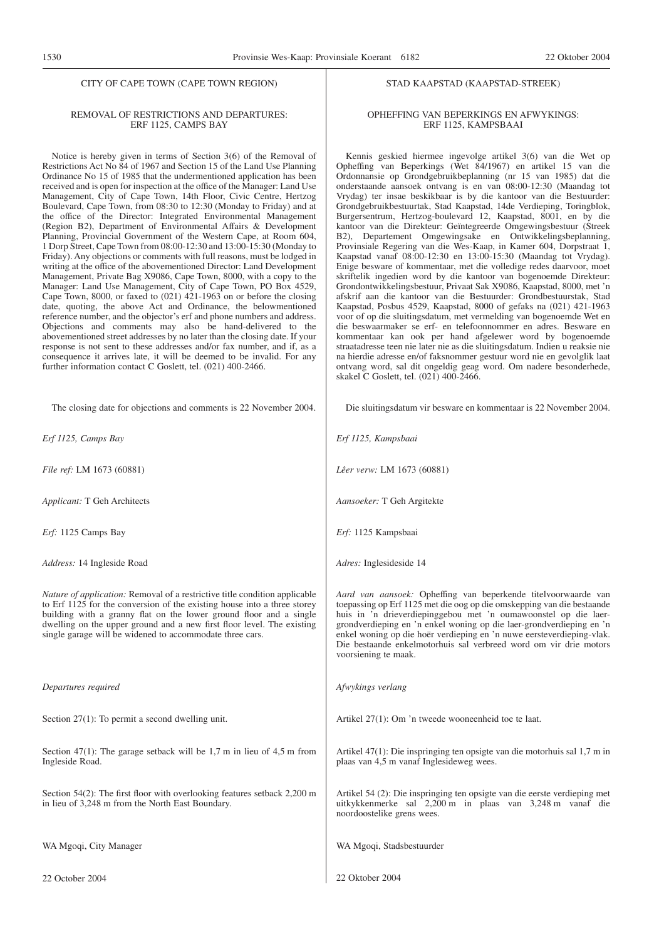#### CITY OF CAPE TOWN (CAPE TOWN REGION)

#### REMOVAL OF RESTRICTIONS AND DEPARTURES: ERF 1125, CAMPS BAY

Notice is hereby given in terms of Section 3(6) of the Removal of Restrictions Act No 84 of 1967 and Section 15 of the Land Use Planning Ordinance No 15 of 1985 that the undermentioned application has been received and is open for inspection at the office of the Manager: Land Use Management, City of Cape Town, 14th Floor, Civic Centre, Hertzog Boulevard, Cape Town, from 08:30 to 12:30 (Monday to Friday) and at the office of the Director: Integrated Environmental Management (Region B2), Department of Environmental Affairs & Development Planning, Provincial Government of the Western Cape, at Room 604, 1 Dorp Street, Cape Town from 08:00-12:30 and 13:00-15:30 (Monday to Friday). Any objections or comments with full reasons, must be lodged in writing at the office of the abovementioned Director: Land Development Management, Private Bag X9086, Cape Town, 8000, with a copy to the Manager: Land Use Management, City of Cape Town, PO Box 4529, Cape Town, 8000, or faxed to (021) 421-1963 on or before the closing date, quoting, the above Act and Ordinance, the belowmentioned reference number, and the objector's erf and phone numbers and address. Objections and comments may also be hand-delivered to the abovementioned street addresses by no later than the closing date. If your response is not sent to these addresses and/or fax number, and if, as a consequence it arrives late, it will be deemed to be invalid. For any further information contact C Goslett, tel. (021) 400-2466.

The closing date for objections and comments is 22 November 2004.

*Erf 1125, Camps Bay*

*File ref:* LM 1673 (60881)

*Applicant:* T Geh Architects

*Erf:* 1125 Camps Bay

*Address:* 14 Ingleside Road

*Nature of application:* Removal of a restrictive title condition applicable to Erf  $1125$  for the conversion of the existing house into a three storey building with a granny flat on the lower ground floor and a single dwelling on the upper ground and a new first floor level. The existing single garage will be widened to accommodate three cars.

*Departures required*

Section 27(1): To permit a second dwelling unit.

Section 47(1): The garage setback will be 1,7 m in lieu of 4,5 m from Ingleside Road.

Section 54(2): The first floor with overlooking features setback 2,200 m in lieu of 3,248 m from the North East Boundary.

WA Mgoqi, City Manager

22 October 2004

#### STAD KAAPSTAD (KAAPSTAD-STREEK)

#### OPHEFFING VAN BEPERKINGS EN AFWYKINGS: ERF 1125, KAMPSBAAI

Kennis geskied hiermee ingevolge artikel 3(6) van die Wet op Opheffing van Beperkings (Wet 84/1967) en artikel 15 van die Ordonnansie op Grondgebruikbeplanning (nr 15 van 1985) dat die onderstaande aansoek ontvang is en van 08:00-12:30 (Maandag tot Vrydag) ter insae beskikbaar is by die kantoor van die Bestuurder: Grondgebruikbestuurtak, Stad Kaapstad, 14de Verdieping, Toringblok, Burgersentrum, Hertzog-boulevard 12, Kaapstad, 8001, en by die kantoor van die Direkteur: Geïntegreerde Omgewingsbestuur (Streek B2), Departement Omgewingsake en Ontwikkelingsbeplanning, Provinsiale Regering van die Wes-Kaap, in Kamer 604, Dorpstraat 1, Kaapstad vanaf 08:00-12:30 en 13:00-15:30 (Maandag tot Vrydag). Enige besware of kommentaar, met die volledige redes daarvoor, moet skriftelik ingedien word by die kantoor van bogenoemde Direkteur: Grondontwikkelingsbestuur, Privaat Sak X9086, Kaapstad, 8000, met 'n afskrif aan die kantoor van die Bestuurder: Grondbestuurstak, Stad Kaapstad, Posbus 4529, Kaapstad, 8000 of gefaks na (021) 421-1963 voor of op die sluitingsdatum, met vermelding van bogenoemde Wet en die beswaarmaker se erf- en telefoonnommer en adres. Besware en kommentaar kan ook per hand afgelewer word by bogenoemde straatadresse teen nie later nie as die sluitingsdatum. Indien u reaksie nie na hierdie adresse en/of faksnommer gestuur word nie en gevolglik laat ontvang word, sal dit ongeldig geag word. Om nadere besonderhede, skakel C Goslett, tel. (021) 400-2466.

Die sluitingsdatum vir besware en kommentaar is 22 November 2004.

*Erf 1125, Kampsbaai*

*Lêer verw:* LM 1673 (60881)

*Aansoeker:* T Geh Argitekte

*Erf:* 1125 Kampsbaai

*Adres:* Inglesideside 14

*Aard van aansoek:* Opheffing van beperkende titelvoorwaarde van toepassing op Erf 1125 met die oog op die omskepping van die bestaande huis in 'n drieverdiepinggebou met 'n oumawoonstel op die laergrondverdieping en 'n enkel woning op die laer-grondverdieping en 'n enkel woning op die hoër verdieping en 'n nuwe eersteverdieping-vlak. Die bestaande enkelmotorhuis sal verbreed word om vir drie motors voorsiening te maak.

*Afwykings verlang*

Artikel 27(1): Om 'n tweede wooneenheid toe te laat.

Artikel 47(1): Die inspringing ten opsigte van die motorhuis sal 1,7 m in plaas van 4,5 m vanaf Inglesideweg wees.

Artikel 54 (2): Die inspringing ten opsigte van die eerste verdieping met uitkykkenmerke sal 2,200 m in plaas van 3,248 m vanaf die noordoostelike grens wees.

WA Mgoqi, Stadsbestuurder

22 Oktober 2004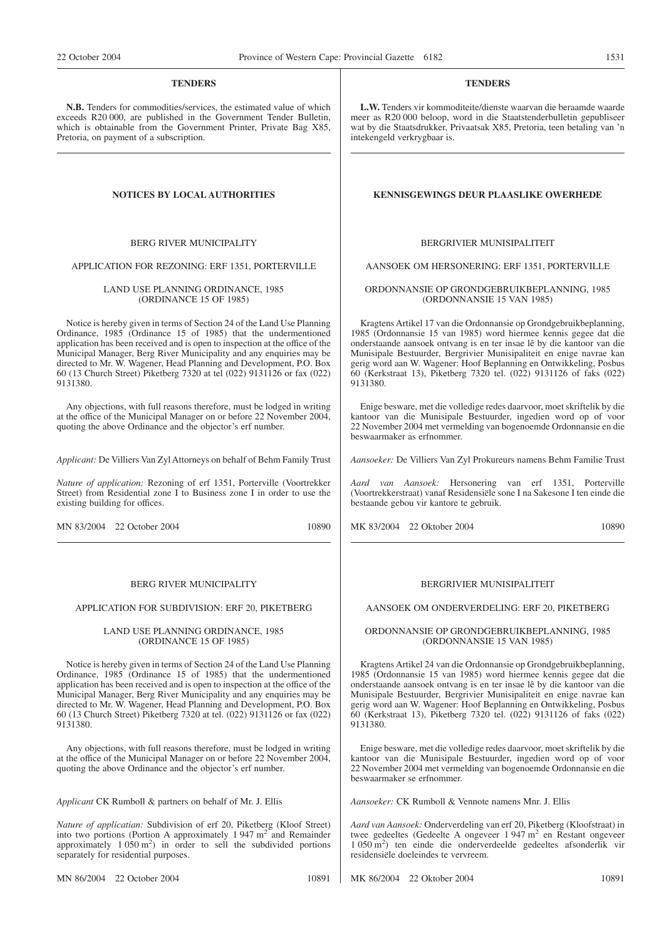### **TENDERS**

**N.B.** Tenders for commodities/services, the estimated value of which exceeds R20 000, are published in the Government Tender Bulletin, which is obtainable from the Government Printer, Private Bag X85, Pretoria, on payment of a subscription.

# BERG RIVER MUNICIPALITY

#### APPLICATION FOR REZONING: ERF 1351, PORTERVILLE

#### LAND USE PLANNING ORDINANCE, 1985 (ORDINANCE 15 OF 1985)

Notice is hereby given in terms of Section 24 of the Land Use Planning Ordinance, 1985 (Ordinance 15 of 1985) that the undermentioned application has been received and is open to inspection at the office of the Municipal Manager, Berg River Municipality and any enquiries may be directed to Mr. W. Wagener, Head Planning and Development, P.O. Box 60 (13 Church Street) Piketberg 7320 at tel (022) 9131126 or fax (022) 9131380.

Any objections, with full reasons therefore, must be lodged in writing at the office of the Municipal Manager on or before 22 November 2004, quoting the above Ordinance and the objector's erf number.

*Applicant:* De Villiers Van Zyl Attorneys on behalf of Behm Family Trust

*Nature of application:* Rezoning of erf 1351, Porterville (Voortrekker Street) from Residential zone I to Business zone I in order to use the existing building for offices.

MN 83/2004 22 October 2004 10890

# BERG RIVER MUNICIPALITY

# APPLICATION FOR SUBDIVISION: ERF 20, PIKETBERG

#### LAND USE PLANNING ORDINANCE, 1985 (ORDINANCE 15 OF 1985)

Notice is hereby given in terms of Section 24 of the Land Use Planning Ordinance, 1985 (Ordinance 15 of 1985) that the undermentioned application has been received and is open to inspection at the office of the Municipal Manager, Berg River Municipality and any enquiries may be directed to Mr. W. Wagener, Head Planning and Development, P.O. Box 60 (13 Church Street) Piketberg 7320 at tel. (022) 9131126 or fax (022) 9131380.

Any objections, with full reasons therefore, must be lodged in writing at the office of the Municipal Manager on or before 22 November 2004, quoting the above Ordinance and the objector's erf number.

*Applicant* CK Rumboll & partners on behalf of Mr. J. Ellis

*Nature of applicatian:* Subdivision of erf 20, Piketberg (Kloof Street) into two portions (Portion A approximately 1947 m<sup>2</sup> and Remainder approximately  $1.050 \text{ m}^2$ ) in order to sell the subdivided portions separately for residential purposes.

MN 86/2004 22 October 2004 10891

# **TENDERS**

**L.W.** Tenders vir kommoditeite/dienste waarvan die beraamde waarde meer as R20 000 beloop, word in die Staatstenderbulletin gepubliseer wat by die Staatsdrukker, Privaatsak X85, Pretoria, teen betaling van 'n intekengeld verkrygbaar is.

#### **NOTICES BY LOCAL AUTHORITIES KENNISGEWINGS DEUR PLAASLIKE OWERHEDE**

BERGRIVIER MUNISIPALITEIT

AANSOEK OM HERSONERING: ERF 1351, PORTERVILLE

#### ORDONNANSIE OP GRONDGEBRUIKBEPLANNING, 1985 (ORDONNANSIE 15 VAN 1985)

Kragtens Artikel 17 van die Ordonnansie op Grondgebruikbeplanning, 1985 (Ordonnansie 15 van 1985) word hiermee kennis gegee dat die onderstaande aansoek ontvang is en ter insae lê by die kantoor van die Munisipale Bestuurder, Bergrivier Munisipaliteit en enige navrae kan gerig word aan W. Wagener: Hoof Beplanning en Ontwikkeling, Posbus 60 (Kerkstraat 13), Piketberg 7320 tel. (022) 9131126 of faks (022) 9131380.

Enige besware, met die volledige redes daarvoor, moet skriftelik by die kantoor van die Munisipale Bestuurder, ingedien word op of voor 22 November 2004 met vermelding van bogenoemde Ordonnansie en die beswaarmaker as erfnommer.

*Aansoeker:* De Villiers Van Zyl Prokureurs namens Behm Familie Trust

*Aard van Aansoek:* Hersonering van erf 1351, Porterville (Voortrekkerstraat) vanaf Residensiële sone I na Sakesone I ten einde die bestaande gebou vir kantore te gebruik.

MK 83/2004 22 Oktober 2004 10890

# BERGRIVIER MUNISIPALITEIT

#### AANSOEK OM ONDERVERDELING: ERF 20, PIKETBERG

#### ORDONNANSIE OP GRONDGEBRUIKBEPLANNING, 1985 (ORDONNANSIE 15 VAN 1985)

Kragtens Artikel 24 van die Ordonnansie op Grondgebruikbeplanning, 1985 (Ordonnansie 15 van 1985) word hiermee kennis gegee dat die onderstaande aansoek ontvang is en ter insae lê by die kantoor van die Munisipale Bestuurder, Bergrivier Munisipaliteit en enige navrae kan gerig word aan W. Wagener: Hoof Beplanning en Ontwikkeling, Posbus 60 (Kerkstraat 13), Piketberg 7320 tel. (022) 9131126 of faks (022) 9131380.

Enige besware, met die volledige redes daarvoor, moet skriftelik by die kantoor van die Munisipale Bestuurder, ingedien word op of voor 22 November 2004 met vermelding van bogenoemde Ordonnansie en die beswaarmaker se erfnommer.

*Aansoeker:* CK Rumboll & Vennote namens Mnr. J. Ellis

*Aard van Aansoek:* Onderverdeling van erf 20, Piketberg (Kloofstraat) in twee gedeeltes (Gedeelte A ongeveer 1 947 m<sup>2</sup> en Restant ongeveer 1 050 m2 ) ten einde die onderverdeelde gedeeltes afsonderlik vir residensiële doeleindes te vervreem.

MK 86/2004 22 Oktober 2004 10891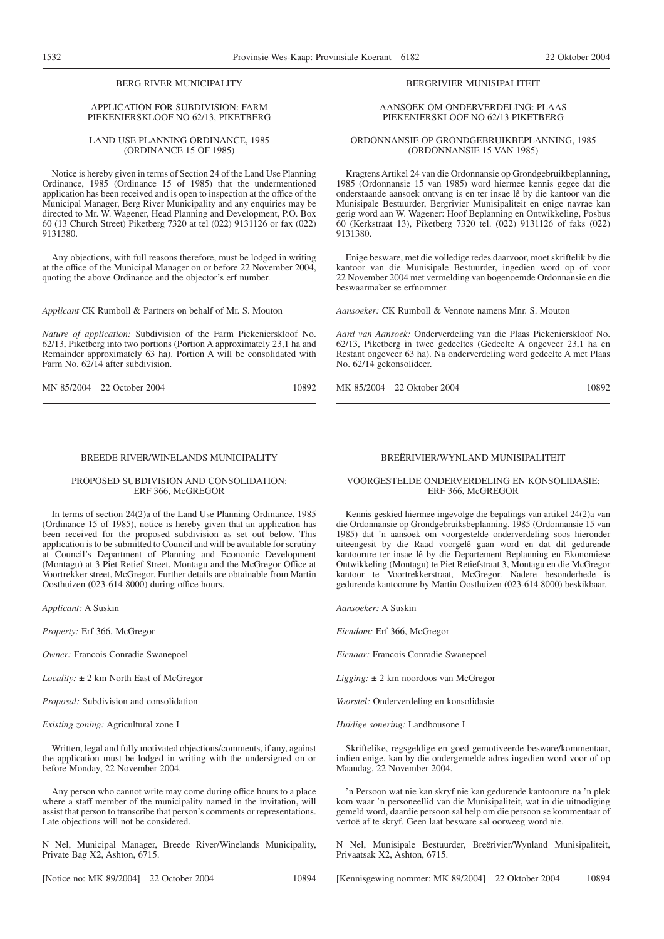# BERG RIVER MUNICIPALITY

#### APPLICATION FOR SUBDIVISION: FARM PIEKENIERSKLOOF NO 62/13, PIKETBERG

#### LAND USE PLANNING ORDINANCE, 1985 (ORDINANCE 15 OF 1985)

Notice is hereby given in terms of Section 24 of the Land Use Planning Ordinance, 1985 (Ordinance 15 of 1985) that the undermentioned application has been received and is open to inspection at the office of the Municipal Manager, Berg River Municipality and any enquiries may be directed to Mr. W. Wagener, Head Planning and Development, P.O. Box 60 (13 Church Street) Piketberg 7320 at tel (022) 9131126 or fax (022) 9131380.

Any objections, with full reasons therefore, must be lodged in writing at the office of the Municipal Manager on or before 22 November 2004, quoting the above Ordinance and the objector's erf number.

*Applicant* CK Rumboll & Partners on behalf of Mr. S. Mouton

*Nature of application:* Subdivision of the Farm Piekenierskloof No. 62/13, Piketberg into two portions (Portion A approximately 23,1 ha and Remainder approximately 63 ha). Portion A will be consolidated with Farm No. 62/14 after subdivision.

MN 85/2004 22 October 2004 10892

#### BREEDE RIVER/WINELANDS MUNICIPALITY

#### PROPOSED SUBDIVISION AND CONSOLIDATION: ERF 366, McGREGOR

In terms of section 24(2)a of the Land Use Planning Ordinance, 1985 (Ordinance 15 of 1985), notice is hereby given that an application has been received for the proposed subdivision as set out below. This application is to be submitted to Council and will be available for scrutiny at Council's Department of Planning and Economic Development (Montagu) at 3 Piet Retief Street, Montagu and the McGregor Office at Voortrekker street, McGregor. Further details are obtainable from Martin Oosthuizen (023-614 8000) during office hours.

*Applicant:* A Suskin

*Property:* Erf 366, McGregor

*Owner:* Francois Conradie Swanepoel

*Locality:* ± 2 km North East of McGregor

*Proposal:* Subdivision and consolidation

*Existing zoning:* Agricultural zone I

Written, legal and fully motivated objections/comments, if any, against the application must be lodged in writing with the undersigned on or before Monday, 22 November 2004.

Any person who cannot write may come during office hours to a place where a staff member of the municipality named in the invitation, will assist that person to transcribe that person's comments or representations. Late objections will not be considered.

N Nel, Municipal Manager, Breede River/Winelands Municipality, Private Bag X2, Ashton, 6715.

[Notice no: MK 89/2004] 22 October 2004 10894

#### BERGRIVIER MUNISIPALITEIT

#### AANSOEK OM ONDERVERDELING: PLAAS PIEKENIERSKLOOF NO 62/13 PIKETBERG

#### ORDONNANSIE OP GRONDGEBRUIKBEPLANNING, 1985 (ORDONNANSIE 15 VAN 1985)

Kragtens Artikel 24 van die Ordonnansie op Grondgebruikbeplanning, 1985 (Ordonnansie 15 van 1985) word hiermee kennis gegee dat die onderstaande aansoek ontvang is en ter insae lê by die kantoor van die Munisipale Bestuurder, Bergrivier Munisipaliteit en enige navrae kan gerig word aan W. Wagener: Hoof Beplanning en Ontwikkeling, Posbus 60 (Kerkstraat 13), Piketberg 7320 tel. (022) 9131126 of faks (022) 9131380.

Enige besware, met die volledige redes daarvoor, moet skriftelik by die kantoor van die Munisipale Bestuurder, ingedien word op of voor 22 November 2004 met vermelding van bogenoemde Ordonnansie en die beswaarmaker se erfnommer.

*Aansoeker:* CK Rumboll & Vennote namens Mnr. S. Mouton

*Aard van Aansoek:* Onderverdeling van die Plaas Piekenierskloof No. 62/13, Piketberg in twee gedeeltes (Gedeelte A ongeveer 23,1 ha en Restant ongeveer 63 ha). Na onderverdeling word gedeelte A met Plaas No. 62/14 gekonsolideer.

MK 85/2004 22 Oktober 2004 10892

## BREËRIVIER/WYNLAND MUNISIPALITEIT

#### VOORGESTELDE ONDERVERDELING EN KONSOLIDASIE: ERF 366, McGREGOR

Kennis geskied hiermee ingevolge die bepalings van artikel 24(2)a van die Ordonnansie op Grondgebruiksbeplanning, 1985 (Ordonnansie 15 van 1985) dat 'n aansoek om voorgestelde onderverdeling soos hieronder uiteengesit by die Raad voorgelê gaan word en dat dit gedurende kantoorure ter insae lê by die Departement Beplanning en Ekonomiese Ontwikkeling (Montagu) te Piet Retiefstraat 3, Montagu en die McGregor kantoor te Voortrekkerstraat, McGregor. Nadere besonderhede is gedurende kantoorure by Martin Oosthuizen (023-614 8000) beskikbaar.

*Aansoeker:* A Suskin

*Eiendom:* Erf 366, McGregor

*Eienaar:* Francois Conradie Swanepoel

*Ligging:* ± 2 km noordoos van McGregor

*Voorstel:* Onderverdeling en konsolidasie

*Huidige sonering:* Landbousone I

Skriftelike, regsgeldige en goed gemotiveerde besware/kommentaar, indien enige, kan by die ondergemelde adres ingedien word voor of op Maandag, 22 November 2004.

'n Persoon wat nie kan skryf nie kan gedurende kantoorure na 'n plek kom waar 'n personeellid van die Munisipaliteit, wat in die uitnodiging gemeld word, daardie persoon sal help om die persoon se kommentaar of vertoë af te skryf. Geen laat besware sal oorweeg word nie.

N Nel, Munisipale Bestuurder, Breërivier/Wynland Munisipaliteit, Privaatsak X2, Ashton, 6715.

[Kennisgewing nommer: MK 89/2004] 22 Oktober 2004 10894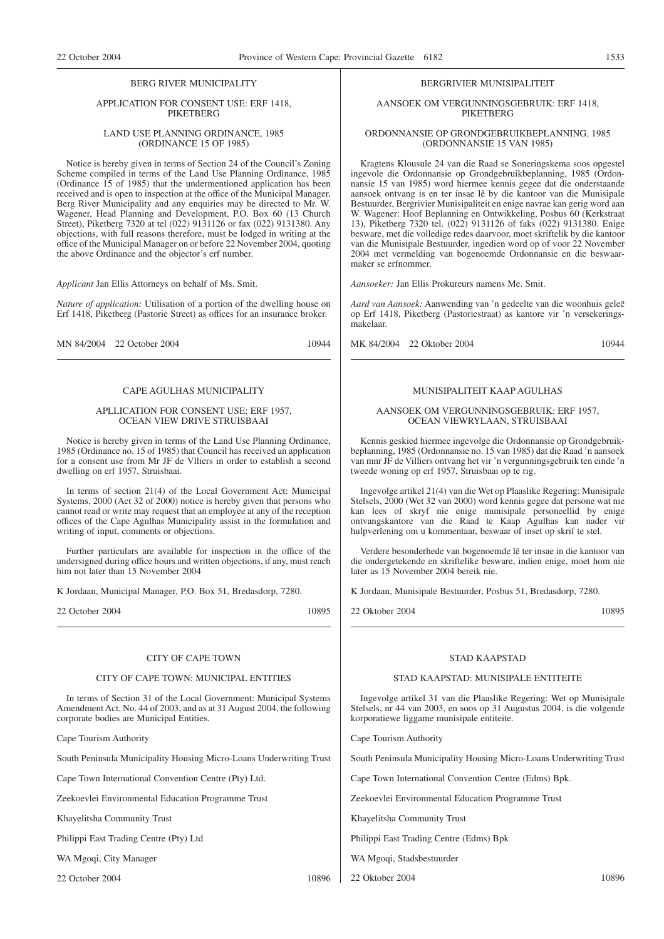#### BERG RIVER MUNICIPALITY

#### APPLICATION FOR CONSENT USE: ERF 1418, **PIKETBERG**

#### LAND USE PLANNING ORDINANCE, 1985 (ORDINANCE 15 OF 1985)

Notice is hereby given in terms of Section 24 of the Council's Zoning Scheme compiled in terms of the Land Use Planning Ordinance, 1985 (Ordinance 15 of 1985) that the undermentioned application has been received and is open to inspection at the office of the Municipal Manager, Berg River Municipality and any enquiries may be directed to Mr. W. Wagener, Head Planning and Development, P.O. Box 60 (13 Church Street), Piketberg 7320 at tel (022) 9131126 or fax (022) 9131380. Any objections, with full reasons therefore, must be lodged in writing at the office of the Municipal Manager on or before 22 November 2004, quoting the above Ordinance and the objector's erf number.

*Applicant* Jan Ellis Attorneys on behalf of Ms. Smit.

*Nature of application:* Utilisation of a portion of the dwelling house on Erf 1418, Piketberg (Pastorie Street) as offices for an insurance broker.

MN 84/2004 22 October 2004 10944

#### CAPE AGULHAS MUNICIPALITY

## APLLICATION FOR CONSENT USE: ERF 1957, OCEAN VIEW DRIVE STRUISBAAI

Notice is hereby given in terms of the Land Use Planning Ordinance, 1985 (Ordinance no. 15 of 1985) that Council has received an application for a consent use from Mr JF de Vlliers in order to establish a second dwelling on erf 1957, Struisbaai.

In terms of section 21(4) of the Local Government Act: Municipal Systems, 2000 (Act 32 of 2000) notice is hereby given that persons who cannot read or write may request that an employee at any of the reception offices of the Cape Agulhas Municipality assist in the formulation and writing of input, comments or objections.

Further particulars are available for inspection in the office of the undersigned during office hours and written objections, if any, must reach him not later than 15 November 2004

K Jordaan, Municipal Manager, P.O. Box 51, Bredasdorp, 7280.

22 October 2004 10895

#### CITY OF CAPE TOWN

#### CITY OF CAPE TOWN: MUNICIPAL ENTITIES

In terms of Section 31 of the Local Government: Municipal Systems Amendment Act, No. 44 of 2003, and as at 31 August 2004, the following corporate bodies are Municipal Entities.

Cape Tourism Authority

South Peninsula Municipality Housing Micro-Loans Underwriting Trust

Cape Town International Convention Centre (Pty) Ltd.

Zeekoevlei Environmental Education Programme Trust

Khayelitsha Community Trust

Philippi East Trading Centre (Pty) Ltd

WA Mgoqi, City Manager

22 October 2004 10896

#### BERGRIVIER MUNISIPALITEIT

AANSOEK OM VERGUNNINGSGEBRUIK: ERF 1418, **PIKETBERG** 

#### ORDONNANSIE OP GRONDGEBRUIKBEPLANNING, 1985 (ORDONNANSIE 15 VAN 1985)

Kragtens Klousule 24 van die Raad se Soneringskema soos opgestel ingevole die Ordonnansie op Grondgebruikbeplanning, 1985 (Ordonnansie 15 van 1985) word hiermee kennis gegee dat die onderstaande aansoek ontvang is en ter insae lê by die kantoor van die Munisipale Bestuurder, Bergrivier Munisipaliteit en enige navrae kan gerig word aan W. Wagener: Hoof Beplanning en Ontwikkeling, Posbus 60 (Kerkstraat 13), Piketberg 7320 tel. (022) 9131126 of faks (022) 9131380. Enige besware, met die volledige redes daarvoor, moet skriftelik by die kantoor van die Munisipale Bestuurder, ingedien word op of voor 22 November 2004 met vermelding van bogenoemde Ordonnansie en die beswaarmaker se erfnommer.

*Aansoeker:* Jan Ellis Prokureurs namens Me. Smit.

*Aard van Aansoek:* Aanwending van 'n gedeelte van die woonhuis geleë op Erf 1418, Piketberg (Pastoriestraat) as kantore vir 'n versekeringsmakelaar.

MK 84/2004 22 Oktober 2004 10944

#### MUNISIPALITEIT KAAP AGULHAS

#### AANSOEK OM VERGUNNINGSGEBRUIK: ERF 1957, OCEAN VIEWRYLAAN, STRUISBAAI

Kennis geskied hiermee ingevolge die Ordonnansie op Grondgebruikbeplanning, 1985 (Ordonnansie no. 15 van 1985) dat die Raad 'n aansoek van mnr JF de Villiers ontvang het vir 'n vergunningsgebruik ten einde 'n tweede woning op erf 1957, Struisbaai op te rig.

Ingevolge artikel 21(4) van die Wet op Plaaslike Regering: Munisipale Stelsels, 2000 (Wet 32 van 2000) word kennis gegee dat persone wat nie kan lees of skryf nie enige munisipale personeellid by enige ontvangskantore van die Raad te Kaap Agulhas kan nader vir hulpverlening om u kommentaar, beswaar of inset op skrif te stel.

Verdere besonderhede van bogenoemde lê ter insae in die kantoor van die ondergetekende en skriftelike besware, indien enige, moet hom nie later as 15 November 2004 bereik nie.

K Jordaan, Munisipale Bestuurder, Posbus 51, Bredasdorp, 7280.

22 Oktober 2004 10895

# STAD KAAPSTAD

#### STAD KAAPSTAD: MUNISIPALE ENTITEITE

Ingevolge artikel 31 van die Plaaslike Regering: Wet op Munisipale Stelsels, nr 44 van 2003, en soos op 31 Augustus 2004, is die volgende korporatiewe liggame munisipale entiteite.

Cape Tourism Authority

South Peninsula Municipality Housing Micro-Loans Underwriting Trust

Cape Town International Convention Centre (Edms) Bpk.

Zeekoevlei Environmental Education Programme Trust

Khayelitsha Community Trust

Philippi East Trading Centre (Edms) Bpk

WA Mgoqi, Stadsbestuurder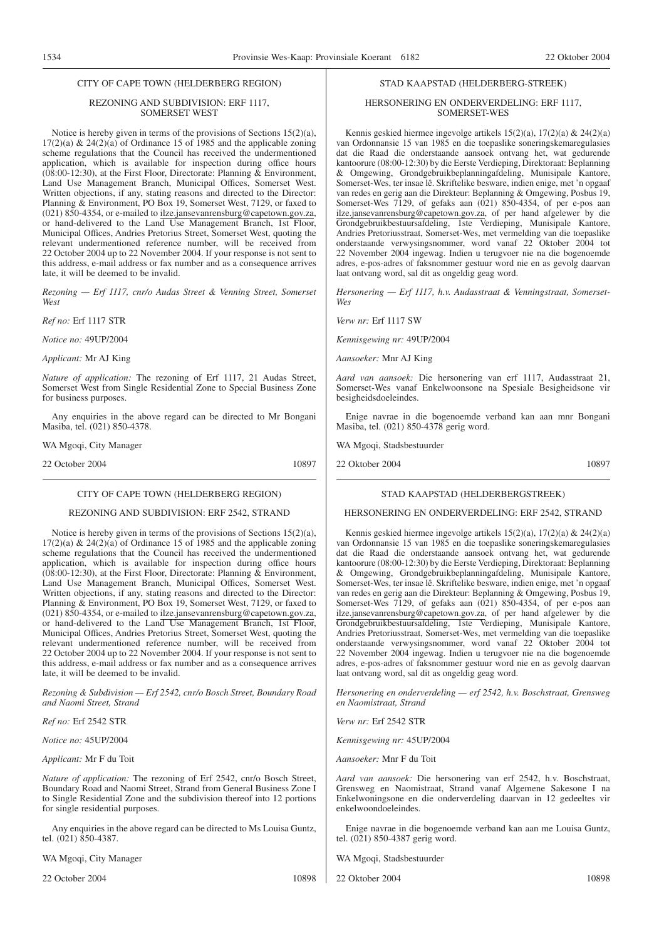#### REZONING AND SUBDIVISION: ERF 1117, SOMERSET WEST

Notice is hereby given in terms of the provisions of Sections 15(2)(a),  $17(2)(a)$  &  $24(2)(a)$  of Ordinance 15 of 1985 and the applicable zoning scheme regulations that the Council has received the undermentioned application, which is available for inspection during office hours  $(08:00-12:30)$ , at the First Floor, Directorate: Planning  $\&$  Environment, Land Use Management Branch, Municipal Offices, Somerset West. Written objections, if any, stating reasons and directed to the Director: Planning & Environment, PO Box 19, Somerset West, 7129, or faxed to (021) 850-4354, or e-mailed to ilze.jansevanrensburg@capetown.gov.za, or hand-delivered to the Land Use Management Branch, 1st Floor, Municipal Offices, Andries Pretorius Street, Somerset West, quoting the relevant undermentioned reference number, will be received from 22 October 2004 up to 22 November 2004. If your response is not sent to this address, e-mail address or fax number and as a consequence arrives late, it will be deemed to be invalid.

*Rezoning — Erf 1117, cnr/o Audas Street & Venning Street, Somerset West*

*Ref no:* Erf 1117 STR

*Notice no:* 49UP/2004

*Applicant:* Mr AJ King

*Nature of application:* The rezoning of Erf 1117, 21 Audas Street, Somerset West from Single Residential Zone to Special Business Zone for business purposes.

Any enquiries in the above regard can be directed to Mr Bongani Masiba, tel. (021) 850-4378.

WA Mgoqi, City Manager

22 October 2004 10897

#### CITY OF CAPE TOWN (HELDERBERG REGION)

#### REZONING AND SUBDIVISION: ERF 2542, STRAND

Notice is hereby given in terms of the provisions of Sections 15(2)(a),  $17(2)(a)$  &  $24(2)(a)$  of Ordinance 15 of 1985 and the applicable zoning scheme regulations that the Council has received the undermentioned application, which is available for inspection during office hours (08:00-12:30), at the First Floor, Directorate: Planning & Environment, Land Use Management Branch, Municipal Offices, Somerset West. Written objections, if any, stating reasons and directed to the Director: Planning & Environment, PO Box 19, Somerset West, 7129, or faxed to (021) 850-4354, or e-mailed to ilze.jansevanrensburg@capetown.gov.za, or hand-delivered to the Land Use Management Branch, 1st Floor, Municipal Offices, Andries Pretorius Street, Somerset West, quoting the relevant undermentioned reference number, will be received from 22 October 2004 up to 22 November 2004. If your response is not sent to this address, e-mail address or fax number and as a consequence arrives late, it will be deemed to be invalid.

*Rezoning & Subdivision — Erf 2542, cnr/o Bosch Street, Boundary Road and Naomi Street, Strand*

*Ref no:* Erf 2542 STR

*Notice no:* 45UP/2004

*Applicant:* Mr F du Toit

*Nature of application:* The rezoning of Erf 2542, cnr/o Bosch Street, Boundary Road and Naomi Street, Strand from General Business Zone I to Single Residential Zone and the subdivision thereof into 12 portions for single residential purposes.

Any enquiries in the above regard can be directed to Ms Louisa Guntz, tel. (021) 850-4387.

WA Mgoqi, City Manager

22 October 2004 10898

#### STAD KAAPSTAD (HELDERBERG-STREEK)

#### HERSONERING EN ONDERVERDELING: ERF 1117, SOMERSET-WES

Kennis geskied hiermee ingevolge artikels 15(2)(a), 17(2)(a) & 24(2)(a) van Ordonnansie 15 van 1985 en die toepaslike soneringskemaregulasies dat die Raad die onderstaande aansoek ontvang het, wat gedurende kantoorure (08:00-12:30) by die Eerste Verdieping, Direktoraat: Beplanning & Omgewing, Grondgebruikbeplanningafdeling, Munisipale Kantore, Somerset-Wes, ter insae lê. Skriftelike besware, indien enige, met 'n opgaaf van redes en gerig aan die Direkteur: Beplanning & Omgewing, Posbus 19, Somerset-Wes  $7129$ , of gefaks aan  $(021)$  850-4354, of per e-pos aan ilze.jansevanrensburg@capetown.gov.za, of per hand afgelewer by die Grondgebruikbestuursafdeling, 1ste Verdieping, Munisipale Kantore, Andries Pretoriusstraat, Somerset-Wes, met vermelding van die toepaslike onderstaande verwysingsnommer, word vanaf 22 Oktober 2004 tot 22 November 2004 ingewag. Indien u terugvoer nie na die bogenoemde adres, e-pos-adres of faksnommer gestuur word nie en as gevolg daarvan laat ontvang word, sal dit as ongeldig geag word.

*Hersonering — Erf 1117, h.v. Audasstraat & Venningstraat, Somerset-Wes*

*Verw nr:* Erf 1117 SW

*Kennisgewing nr:* 49UP/2004

*Aansoeker:* Mnr AJ King

*Aard van aansoek:* Die hersonering van erf 1117, Audasstraat 21, Somerset-Wes vanaf Enkelwoonsone na Spesiale Besigheidsone vir besigheidsdoeleindes.

Enige navrae in die bogenoemde verband kan aan mnr Bongani Masiba, tel. (021) 850-4378 gerig word.

WA Mgoqi, Stadsbestuurder

22 Oktober 2004 10897

#### STAD KAAPSTAD (HELDERBERGSTREEK)

#### HERSONERING EN ONDERVERDELING: ERF 2542, STRAND

Kennis geskied hiermee ingevolge artikels 15(2)(a), 17(2)(a) & 24(2)(a) van Ordonnansie 15 van 1985 en die toepaslike soneringskemaregulasies dat die Raad die onderstaande aansoek ontvang het, wat gedurende kantoorure (08:00-12:30) by die Eerste Verdieping, Direktoraat: Beplanning & Omgewing, Grondgebruikbeplanningafdeling, Munisipale Kantore, Somerset-Wes, ter insae lê. Skriftelike besware, indien enige, met 'n opgaaf van redes en gerig aan die Direkteur: Beplanning & Omgewing, Posbus 19, Somerset-Wes 7129, of gefaks aan (021) 850-4354, of per e-pos aan ilze.jansevanrensburg@capetown.gov.za, of per hand afgelewer by die Grondgebruikbestuursafdeling, 1ste Verdieping, Munisipale Kantore, Andries Pretoriusstraat, Somerset-Wes, met vermelding van die toepaslike onderstaande verwysingsnommer, word vanaf 22 Oktober 2004 tot 22 November 2004 ingewag. Indien u terugvoer nie na die bogenoemde adres, e-pos-adres of faksnommer gestuur word nie en as gevolg daarvan laat ontvang word, sal dit as ongeldig geag word.

*Hersonering en onderverdeling — erf 2542, h.v. Boschstraat, Grensweg en Naomistraat, Strand*

*Verw nr:* Erf 2542 STR

*Kennisgewing nr:* 45UP/2004

*Aansoeker:* Mnr F du Toit

*Aard van aansoek:* Die hersonering van erf 2542, h.v. Boschstraat, Grensweg en Naomistraat, Strand vanaf Algemene Sakesone I na Enkelwoningsone en die onderverdeling daarvan in 12 gedeeltes vir enkelwoondoeleindes.

Enige navrae in die bogenoemde verband kan aan me Louisa Guntz, tel. (021) 850-4387 gerig word.

WA Mgoqi, Stadsbestuurder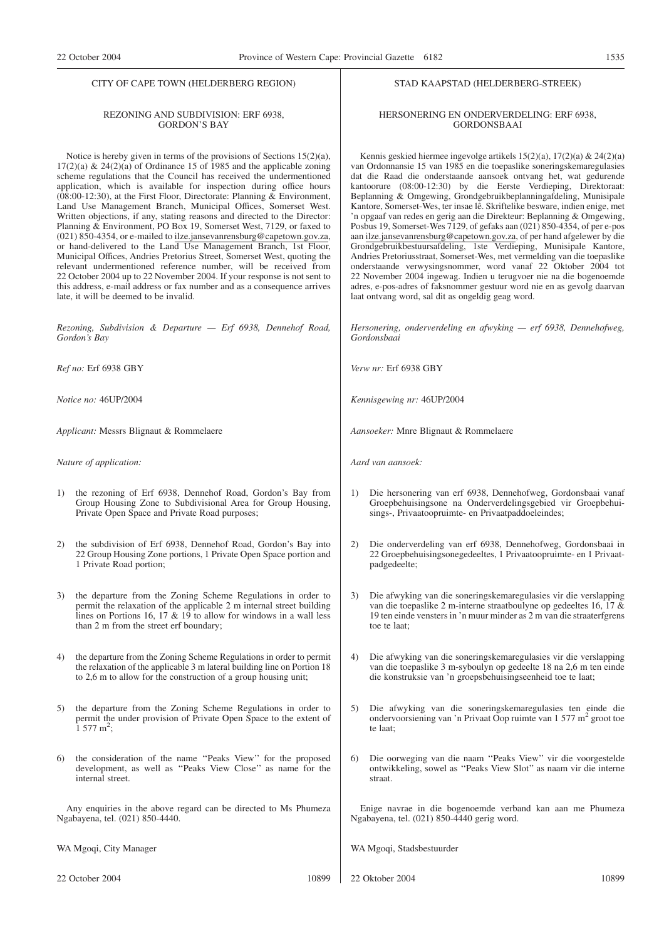#### REZONING AND SUBDIVISION: ERF 6938, GORDON'S BAY

Notice is hereby given in terms of the provisions of Sections 15(2)(a),  $17(2)(a)$  &  $24(2)(a)$  of Ordinance 15 of 1985 and the applicable zoning scheme regulations that the Council has received the undermentioned application, which is available for inspection during office hours  $(08:00-12:30)$ , at the First Floor, Directorate: Planning  $\&$  Environment, Land Use Management Branch, Municipal Offices, Somerset West. Written objections, if any, stating reasons and directed to the Director: Planning & Environment, PO Box 19, Somerset West, 7129, or faxed to (021) 850-4354, or e-mailed to ilze.jansevanrensburg@capetown.gov.za, or hand-delivered to the Land Use Management Branch, 1st Floor, Municipal Offices, Andries Pretorius Street, Somerset West, quoting the relevant undermentioned reference number, will be received from 22 October 2004 up to 22 November 2004. If your response is not sent to this address, e-mail address or fax number and as a consequence arrives late, it will be deemed to be invalid.

*Rezoning, Subdivision & Departure — Erf 6938, Dennehof Road, Gordon's Bay*

*Ref no:* Erf 6938 GBY

*Notice no:* 46UP/2004

*Applicant:* Messrs Blignaut & Rommelaere

*Nature of application:*

- 1) the rezoning of Erf 6938, Dennehof Road, Gordon's Bay from Group Housing Zone to Subdivisional Area for Group Housing, Private Open Space and Private Road purposes;
- 2) the subdivision of Erf 6938, Dennehof Road, Gordon's Bay into 22 Group Housing Zone portions, 1 Private Open Space portion and 1 Private Road portion;
- 3) the departure from the Zoning Scheme Regulations in order to permit the relaxation of the applicable 2 m internal street building lines on Portions 16, 17 & 19 to allow for windows in a wall less than 2 m from the street erf boundary;
- 4) the departure from the Zoning Scheme Regulations in order to permit the relaxation of the applicable 3 m lateral building line on Portion 18 to 2,6 m to allow for the construction of a group housing unit;
- 5) the departure from the Zoning Scheme Regulations in order to permit the under provision of Private Open Space to the extent of  $1577 \text{ m}^2$ ;
- 6) the consideration of the name ''Peaks View'' for the proposed development, as well as ''Peaks View Close'' as name for the internal street.

Any enquiries in the above regard can be directed to Ms Phumeza Ngabayena, tel. (021) 850-4440.

WA Mgoqi, City Manager

22 October 2004 10899

#### STAD KAAPSTAD (HELDERBERG-STREEK)

#### HERSONERING EN ONDERVERDELING: ERF 6938, GORDONSBAAI

Kennis geskied hiermee ingevolge artikels  $15(2)(a)$ ,  $17(2)(a)$  &  $24(2)(a)$ van Ordonnansie 15 van 1985 en die toepaslike soneringskemaregulasies dat die Raad die onderstaande aansoek ontvang het, wat gedurende kantoorure (08:00-12:30) by die Eerste Verdieping, Direktoraat: Beplanning & Omgewing, Grondgebruikbeplanningafdeling, Munisipale Kantore, Somerset-Wes, ter insae lê. Skriftelike besware, indien enige, met 'n opgaaf van redes en gerig aan die Direkteur: Beplanning & Omgewing, Posbus 19, Somerset-Wes 7129, of gefaks aan (021) 850-4354, of per e-pos aan ilze.jansevanrensburg@capetown.gov.za, of per hand afgelewer by die Grondgebruikbestuursafdeling, 1ste Verdieping, Munisipale Kantore, Andries Pretoriusstraat, Somerset-Wes, met vermelding van die toepaslike onderstaande verwysingsnommer, word vanaf 22 Oktober 2004 tot 22 November 2004 ingewag. Indien u terugvoer nie na die bogenoemde adres, e-pos-adres of faksnommer gestuur word nie en as gevolg daarvan laat ontvang word, sal dit as ongeldig geag word.

*Hersonering, onderverdeling en afwyking — erf 6938, Dennehofweg, Gordonsbaai*

*Verw nr:* Erf 6938 GBY

*Kennisgewing nr:* 46UP/2004

*Aansoeker:* Mnre Blignaut & Rommelaere

*Aard van aansoek:*

- 1) Die hersonering van erf 6938, Dennehofweg, Gordonsbaai vanaf Groepbehuisingsone na Onderverdelingsgebied vir Groepbehuisings-, Privaatoopruimte- en Privaatpaddoeleindes;
- 2) Die onderverdeling van erf 6938, Dennehofweg, Gordonsbaai in 22 Groepbehuisingsonegedeeltes, 1 Privaatoopruimte- en 1 Privaatpadgedeelte;
- 3) Die afwyking van die soneringskemaregulasies vir die verslapping van die toepaslike 2 m-interne straatboulyne op gedeeltes 16, 17 & 19 ten einde vensters in 'n muur minder as 2 m van die straaterfgrens toe te laat;
- 4) Die afwyking van die soneringskemaregulasies vir die verslapping van die toepaslike 3 m-syboulyn op gedeelte 18 na 2,6 m ten einde die konstruksie van 'n groepsbehuisingseenheid toe te laat;
- 5) Die afwyking van die soneringskemaregulasies ten einde die ondervoorsiening van 'n Privaat Oop ruimte van 1 577 m<sup>2</sup> groot toe te laat;
- 6) Die oorweging van die naam ''Peaks View'' vir die voorgestelde ontwikkeling, sowel as ''Peaks View Slot'' as naam vir die interne straat.

Enige navrae in die bogenoemde verband kan aan me Phumeza Ngabayena, tel. (021) 850-4440 gerig word.

WA Mgoqi, Stadsbestuurder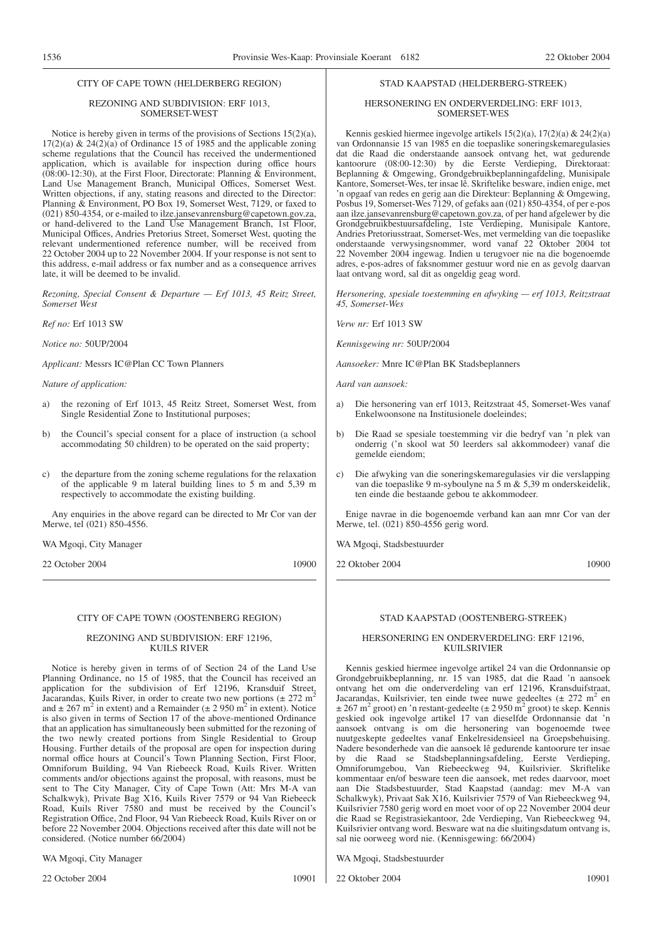#### REZONING AND SUBDIVISION: ERF 1013, SOMERSET-WEST

Notice is hereby given in terms of the provisions of Sections 15(2)(a),  $17(2)(a)$  &  $24(2)(a)$  of Ordinance 15 of 1985 and the applicable zoning scheme regulations that the Council has received the undermentioned application, which is available for inspection during office hours (08:00-12:30), at the First Floor, Directorate: Planning & Environment, Land Use Management Branch, Municipal Offices, Somerset West. Written objections, if any, stating reasons and directed to the Director: Planning & Environment, PO Box 19, Somerset West, 7129, or faxed to (021) 850-4354, or e-mailed to ilze.jansevanrensburg@capetown.gov.za, or hand-delivered to the Land Use Management Branch, 1st Floor, Municipal Offices, Andries Pretorius Street, Somerset West, quoting the relevant undermentioned reference number, will be received from 22 October 2004 up to 22 November 2004. If your response is not sent to this address, e-mail address or fax number and as a consequence arrives late, it will be deemed to be invalid.

*Rezoning, Special Consent & Departure — Erf 1013, 45 Reitz Street, Somerset West*

*Ref no:* Erf 1013 SW

*Notice no:* 50UP/2004

*Applicant:* Messrs IC@Plan CC Town Planners

*Nature of application:*

- a) the rezoning of Erf 1013, 45 Reitz Street, Somerset West, from Single Residential Zone to Institutional purposes;
- b) the Council's special consent for a place of instruction (a school accommodating 50 children) to be operated on the said property;
- c) the departure from the zoning scheme regulations for the relaxation of the applicable 9 m lateral building lines to 5 m and 5,39 m respectively to accommodate the existing building.

Any enquiries in the above regard can be directed to Mr Cor van der Merwe, tel (021) 850-4556.

WA Mgoqi, City Manager

22 October 2004 10900

# CITY OF CAPE TOWN (OOSTENBERG REGION)

#### REZONING AND SUBDIVISION: ERF 12196, KUILS RIVER

Notice is hereby given in terms of of Section 24 of the Land Use Planning Ordinance, no 15 of 1985, that the Council has received an application for the subdivision of Erf 12196, Kransduif Street, Jacarandas, Kuils River, in order to create two new portions  $(\pm 272 \text{ m}^2)$ and  $\pm$  267 m<sup>2</sup> in extent) and a Remainder ( $\pm$  2 950 m<sup>2</sup> in extent). Notice is also given in terms of Section 17 of the above-mentioned Ordinance that an application has simultaneously been submitted for the rezoning of the two newly created portions from Single Residential to Group Housing. Further details of the proposal are open for inspection during normal office hours at Council's Town Planning Section, First Floor, Omniforum Building, 94 Van Riebeeck Road, Kuils River. Written comments and/or objections against the proposal, with reasons, must be sent to The City Manager, City of Cape Town (Att: Mrs M-A van Schalkwyk), Private Bag X16, Kuils River 7579 or 94 Van Riebeeck Road, Kuils River 7580 and must be received by the Council's Registration Office, 2nd Floor, 94 Van Riebeeck Road, Kuils River on or before 22 November 2004. Objections received after this date will not be considered. (Notice number 66/2004)

WA Mgoqi, City Manager

22 October 2004 10901

# STAD KAAPSTAD (HELDERBERG-STREEK)

#### HERSONERING EN ONDERVERDELING: ERF 1013, SOMERSET-WES

Kennis geskied hiermee ingevolge artikels  $15(2)(a)$ ,  $17(2)(a)$  &  $24(2)(a)$ van Ordonnansie 15 van 1985 en die toepaslike soneringskemaregulasies dat die Raad die onderstaande aansoek ontvang het, wat gedurende kantoorure (08:00-12:30) by die Eerste Verdieping, Direktoraat: Beplanning & Omgewing, Grondgebruikbeplanningafdeling, Munisipale Kantore, Somerset-Wes, ter insae lê. Skriftelike besware, indien enige, met 'n opgaaf van redes en gerig aan die Direkteur: Beplanning & Omgewing, Posbus 19, Somerset-Wes 7129, of gefaks aan (021) 850-4354, of per e-pos aan ilze.jansevanrensburg@capetown.gov.za, of per hand afgelewer by die Grondgebruikbestuursafdeling, 1ste Verdieping, Munisipale Kantore, Andries Pretoriusstraat, Somerset-Wes, met vermelding van die toepaslike onderstaande verwysingsnommer, word vanaf 22 Oktober 2004 tot 22 November 2004 ingewag. Indien u terugvoer nie na die bogenoemde adres, e-pos-adres of faksnommer gestuur word nie en as gevolg daarvan laat ontvang word, sal dit as ongeldig geag word.

*Hersonering, spesiale toestemming en afwyking — erf 1013, Reitzstraat 45, Somerset-Wes*

*Verw nr:* Erf 1013 SW

*Kennisgewing nr:* 50UP/2004

*Aansoeker:* Mnre IC@Plan BK Stadsbeplanners

*Aard van aansoek:*

- a) Die hersonering van erf 1013, Reitzstraat 45, Somerset-Wes vanaf Enkelwoonsone na Institusionele doeleindes;
- b) Die Raad se spesiale toestemming vir die bedryf van 'n plek van onderrig ('n skool wat 50 leerders sal akkommodeer) vanaf die gemelde eiendom;
- c) Die afwyking van die soneringskemaregulasies vir die verslapping van die toepaslike 9 m-syboulyne na 5 m & 5,39 m onderskeidelik, ten einde die bestaande gebou te akkommodeer.

Enige navrae in die bogenoemde verband kan aan mnr Cor van der Merwe, tel. (021) 850-4556 gerig word.

WA Mgoqi, Stadsbestuurder

22 Oktober 2004 10900

# STAD KAAPSTAD (OOSTENBERG-STREEK)

#### HERSONERING EN ONDERVERDELING: ERF 12196, KUILSRIVIER

Kennis geskied hiermee ingevolge artikel 24 van die Ordonnansie op Grondgebruikbeplanning, nr. 15 van 1985, dat die Raad 'n aansoek ontvang het om die onderverdeling van erf 12196, Kransduifstraat, Jacarandas, Kuilsrivier, ten einde twee nuwe gedeeltes  $(\pm 272 \text{ m}^2 \text{ en }$  $\pm$  267 m<sup>2</sup> groot) en 'n restant-gedeelte ( $\pm$  2 950 m<sup>2</sup> groot) te skep. Kennis geskied ook ingevolge artikel 17 van dieselfde Ordonnansie dat 'n aansoek ontvang is om die hersonering van bogenoemde twee nuutgeskepte gedeeltes vanaf Enkelresidensieel na Groepsbehuising. Nadere besonderhede van die aansoek lê gedurende kantoorure ter insae by die Raad se Stadsbeplanningsafdeling, Eerste Verdieping, Omniforumgebou, Van Riebeeckweg 94, Kuilsrivier. Skriftelike kommentaar en/of besware teen die aansoek, met redes daarvoor, moet aan Die Stadsbestuurder, Stad Kaapstad (aandag: mev M-A van Schalkwyk), Privaat Sak X16, Kuilsrivier 7579 of Van Riebeeckweg 94, Kuilsrivier 7580 gerig word en moet voor of op 22 November 2004 deur die Raad se Registrasiekantoor, 2de Verdieping, Van Riebeeckweg 94, Kuilsrivier ontvang word. Besware wat na die sluitingsdatum ontvang is, sal nie oorweeg word nie. (Kennisgewing: 66/2004)

WA Mgoqi, Stadsbestuurder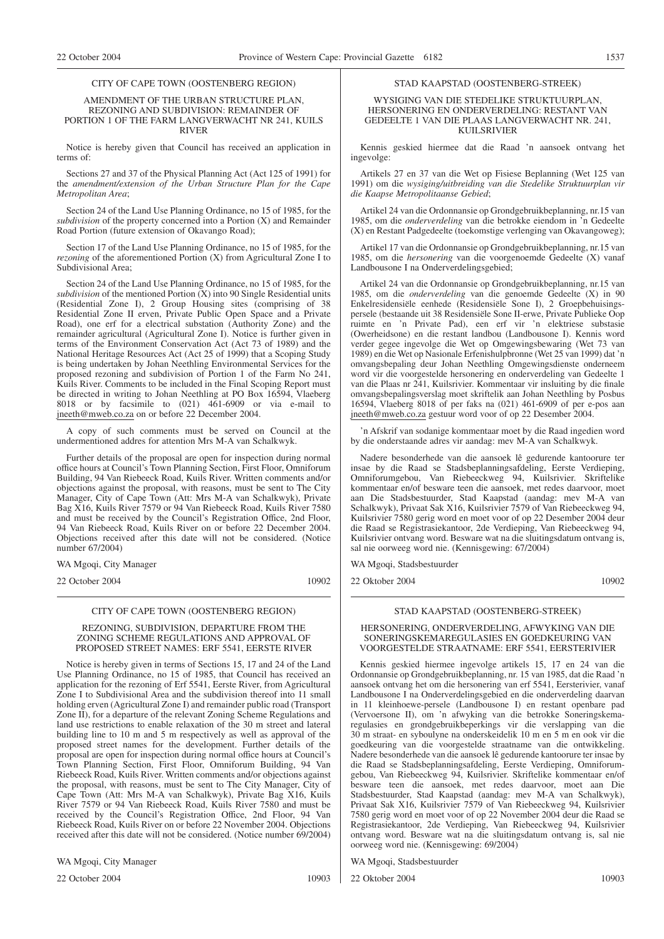#### CITY OF CAPE TOWN (OOSTENBERG REGION)

#### AMENDMENT OF THE URBAN STRUCTURE PLAN, REZONING AND SUBDIVISION: REMAINDER OF PORTION 1 OF THE FARM LANGVERWACHT NR 241, KUILS RIVER

Notice is hereby given that Council has received an application in terms of:

Sections 27 and 37 of the Physical Planning Act (Act 125 of 1991) for the *amendment/extension of the Urban Structure Plan for the Cape Metropolitan Area*;

Section 24 of the Land Use Planning Ordinance, no 15 of 1985, for the *subdivision* of the property concerned into a Portion (X) and Remainder Road Portion (future extension of Okavango Road);

Section 17 of the Land Use Planning Ordinance, no 15 of 1985, for the *rezoning* of the aforementioned Portion (X) from Agricultural Zone I to Subdivisional Area;

Section 24 of the Land Use Planning Ordinance, no 15 of 1985, for the *subdivision* of the mentioned Portion (X) into 90 Single Residential units (Residential Zone I), 2 Group Housing sites (comprising of 38 Residential Zone II erven, Private Public Open Space and a Private Road), one erf for a electrical substation (Authority Zone) and the remainder agricultural (Agricultural Zone I). Notice is further given in terms of the Environment Conservation Act (Act 73 of 1989) and the National Heritage Resources Act (Act 25 of 1999) that a Scoping Study is being undertaken by Johan Neethling Environmental Services for the proposed rezoning and subdivision of Portion 1 of the Farm No 241, Kuils River. Comments to be included in the Final Scoping Report must be directed in writing to Johan Neethling at PO Box 16594, Vlaeberg 8018 or by facsimile to (021) 461-6909 or via e-mail to jneeth@mweb.co.za on or before 22 December 2004.

A copy of such comments must be served on Council at the undermentioned addres for attention Mrs M-A van Schalkwyk.

Further details of the proposal are open for inspection during normal office hours at Council's Town Planning Section, First Floor, Omniforum Building, 94 Van Riebeeck Road, Kuils River. Written comments and/or objections against the proposal, with reasons, must be sent to The City Manager, City of Cape Town (Att: Mrs M-A van Schalkwyk), Private Bag X16, Kuils River 7579 or 94 Van Riebeeck Road, Kuils River 7580 and must be received by the Council's Registration Office, 2nd Floor, 94 Van Riebeeck Road, Kuils River on or before 22 December 2004. Objections received after this date will not be considered. (Notice number 67/2004)

WA Mgoqi, City Manager

22 October 2004 10902

# CITY OF CAPE TOWN (OOSTENBERG REGION)

#### REZONING, SUBDIVISION, DEPARTURE FROM THE ZONING SCHEME REGULATIONS AND APPROVAL OF PROPOSED STREET NAMES: ERF 5541, EERSTE RIVER

Notice is hereby given in terms of Sections 15, 17 and 24 of the Land Use Planning Ordinance, no 15 of 1985, that Council has received an application for the rezoning of Erf 5541, Eerste River, from Agricultural Zone I to Subdivisional Area and the subdivision thereof into 11 small holding erven (Agricultural Zone I) and remainder public road (Transport Zone II), for a departure of the relevant Zoning Scheme Regulations and land use restrictions to enable relaxation of the 30 m street and lateral building line to 10 m and 5 m respectively as well as approval of the proposed street names for the development. Further details of the proposal are open for inspection during normal office hours at Council's Town Planning Section, First Floor, Omniforum Building, 94 Van Riebeeck Road, Kuils River. Written comments and/or objections against the proposal, with reasons, must be sent to The City Manager, City of Cape Town (Att: Mrs M-A van Schalkwyk), Private Bag X16, Kuils River 7579 or 94 Van Riebeeck Road, Kuils River 7580 and must be received by the Council's Registration Office, 2nd Floor, 94 Van Riebeeck Road, Kuils River on or before 22 November 2004. Objections received after this date will not be considered. (Notice number 69/2004)

WA Mgoqi, City Manager

22 October 2004 10903

## STAD KAAPSTAD (OOSTENBERG-STREEK)

WYSIGING VAN DIE STEDELIKE STRUKTUURPLAN, HERSONERING EN ONDERVERDELING: RESTANT VAN GEDEELTE 1 VAN DIE PLAAS LANGVERWACHT NR. 241, KUILSRIVIER

Kennis geskied hiermee dat die Raad 'n aansoek ontvang het ingevolge:

Artikels 27 en 37 van die Wet op Fisiese Beplanning (Wet 125 van 1991) om die *wysiging/uitbreiding van die Stedelike Struktuurplan vir die Kaapse Metropolitaanse Gebied*;

Artikel 24 van die Ordonnansie op Grondgebruikbeplanning, nr.15 van 1985, om die *onderverdeling* van die betrokke eiendom in 'n Gedeelte (X) en Restant Padgedeelte (toekomstige verlenging van Okavangoweg);

Artikel 17 van die Ordonnansie op Grondgebruikbeplanning, nr.15 van 1985, om die *hersonering* van die voorgenoemde Gedeelte (X) vanaf Landbousone I na Onderverdelingsgebied;

Artikel 24 van die Ordonnansie op Grondgebruikbeplanning, nr.15 van 1985, om die *onderverdeling* van die genoemde Gedeelte (X) in 90 Enkelresidensiële eenhede (Residensiële Sone I), 2 Groepbehuisingspersele (bestaande uit 38 Residensiële Sone II-erwe, Private Publieke Oop ruimte en 'n Private Pad), een erf vir 'n elektriese substasie (Owerheidsone) en die restant landbou (Landbousone I). Kennis word verder gegee ingevolge die Wet op Omgewingsbewaring (Wet 73 van 1989) en die Wet op Nasionale Erfenishulpbronne (Wet 25 van 1999) dat 'n omvangsbepaling deur Johan Neethling Omgewingsdienste onderneem word vir die voorgestelde hersonering en onderverdeling van Gedeelte 1 van die Plaas nr 241, Kuilsrivier. Kommentaar vir insluiting by die finale omvangsbepalingsverslag moet skriftelik aan Johan Neethling by Posbus 16594, Vlaeberg 8018 of per faks na (021) 461-6909 of per e-pos aan jneeth@mweb.co.za gestuur word voor of op 22 Desember 2004.

'n Afskrif van sodanige kommentaar moet by die Raad ingedien word by die onderstaande adres vir aandag: mev M-A van Schalkwyk.

Nadere besonderhede van die aansoek lê gedurende kantoorure ter insae by die Raad se Stadsbeplanningsafdeling, Eerste Verdieping, Omniforumgebou, Van Riebeeckweg 94, Kuilsrivier. Skriftelike kommentaar en/of besware teen die aansoek, met redes daarvoor, moet aan Die Stadsbestuurder, Stad Kaapstad (aandag: mev M-A van Schalkwyk), Privaat Sak X16, Kuilsrivier 7579 of Van Riebeeckweg 94, Kuilsrivier 7580 gerig word en moet voor of op 22 Desember 2004 deur die Raad se Registrasiekantoor, 2de Verdieping, Van Riebeeckweg 94, Kuilsrivier ontvang word. Besware wat na die sluitingsdatum ontvang is, sal nie oorweeg word nie. (Kennisgewing: 67/2004)

WA Mgoqi, Stadsbestuurder

22 Oktober 2004 10902

STAD KAAPSTAD (OOSTENBERG-STREEK)

HERSONERING, ONDERVERDELING, AFWYKING VAN DIE SONERINGSKEMAREGULASIES EN GOEDKEURING VAN VOORGESTELDE STRAATNAME: ERF 5541, EERSTERIVIER

Kennis geskied hiermee ingevolge artikels 15, 17 en 24 van die Ordonnansie op Grondgebruikbeplanning, nr. 15 van 1985, dat die Raad 'n aansoek ontvang het om die hersonering van erf 5541, Eersterivier, vanaf Landbousone I na Onderverdelingsgebied en die onderverdeling daarvan in 11 kleinhoewe-persele (Landbousone I) en restant openbare pad (Vervoersone II), om 'n afwyking van die betrokke Soneringskemaregulasies en grondgebruikbeperkings vir die verslapping van die 30 m straat- en syboulyne na onderskeidelik 10 m en 5 m en ook vir die goedkeuring van die voorgestelde straatname van die ontwikkeling. Nadere besonderhede van die aansoek lê gedurende kantoorure ter insae by die Raad se Stadsbeplanningsafdeling, Eerste Verdieping, Omniforumgebou, Van Riebeeckweg 94, Kuilsrivier. Skriftelike kommentaar en/of besware teen die aansoek, met redes daarvoor, moet aan Die Stadsbestuurder, Stad Kaapstad (aandag: mev M-A van Schalkwyk), Privaat Sak X16, Kuilsrivier 7579 of Van Riebeeckweg 94, Kuilsrivier 7580 gerig word en moet voor of op 22 November 2004 deur die Raad se Registrasiekantoor, 2de Verdieping, Van Riebeeckweg 94, Kuilsrivier ontvang word. Besware wat na die sluitingsdatum ontvang is, sal nie oorweeg word nie. (Kennisgewing: 69/2004)

WA Mgoqi, Stadsbestuurder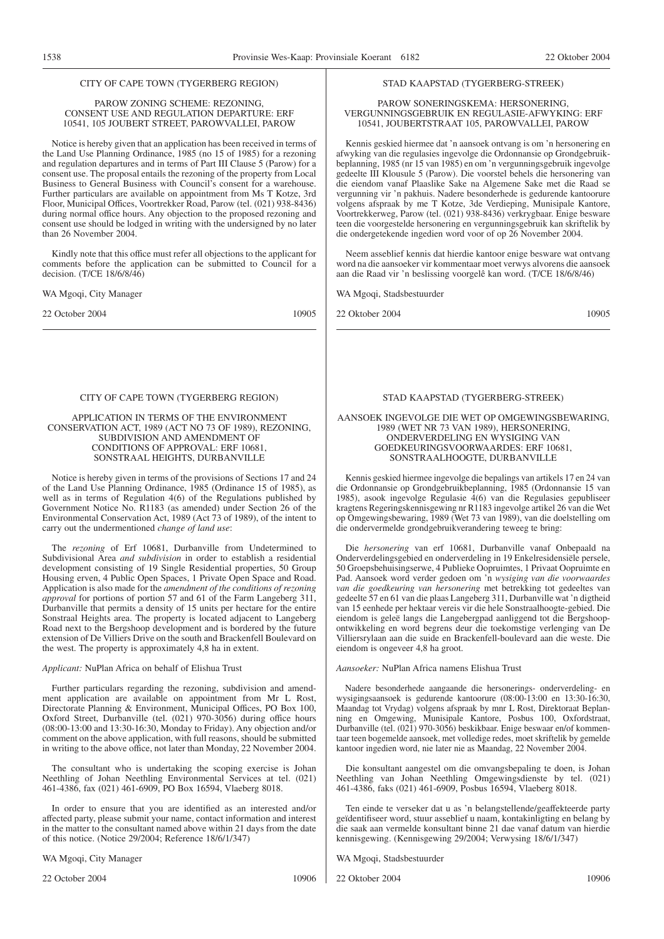#### PAROW ZONING SCHEME: REZONING, CONSENT USE AND REGULATION DEPARTURE: ERF 10541, 105 JOUBERT STREET, PAROWVALLEI, PAROW

Notice is hereby given that an application has been received in terms of the Land Use Planning Ordinance, 1985 (no 15 of 1985) for a rezoning and regulation departures and in terms of Part III Clause 5 (Parow) for a consent use. The proposal entails the rezoning of the property from Local Business to General Business with Council's consent for a warehouse. Further particulars are available on appointment from Ms T Kotze, 3rd Floor, Municipal Offices, Voortrekker Road, Parow (tel. (021) 938-8436) during normal office hours. Any objection to the proposed rezoning and consent use should be lodged in writing with the undersigned by no later than 26 November 2004.

Kindly note that this office must refer all objections to the applicant for comments before the application can be submitted to Council for a decision. (T/CE 18/6/8/46)

WA Mgoqi, City Manager

22 October 2004 10905

## CITY OF CAPE TOWN (TYGERBERG REGION)

#### APPLICATION IN TERMS OF THE ENVIRONMENT CONSERVATION ACT, 1989 (ACT NO 73 OF 1989), REZONING, SUBDIVISION AND AMENDMENT OF CONDITIONS OF APPROVAL: ERF 10681, SONSTRAAL HEIGHTS, DURBANVILLE

Notice is hereby given in terms of the provisions of Sections 17 and 24 of the Land Use Planning Ordinance, 1985 (Ordinance 15 of 1985), as well as in terms of Regulation 4(6) of the Regulations published by Government Notice No. R1183 (as amended) under Section 26 of the Environmental Conservation Act, 1989 (Act 73 of 1989), of the intent to carry out the undermentioned *change of land use*:

The *rezoning* of Erf 10681, Durbanville from Undetermined to Subdivisional Area *and subdivision* in order to establish a residential development consisting of 19 Single Residential properties, 50 Group Housing erven, 4 Public Open Spaces, 1 Private Open Space and Road. Application is also made for the *amendment of the conditions of rezoning approval* for portions of portion 57 and 61 of the Farm Langeberg 311, Durbanville that permits a density of 15 units per hectare for the entire Sonstraal Heights area. The property is located adjacent to Langeberg Road next to the Bergshoop development and is bordered by the future extension of De Villiers Drive on the south and Brackenfell Boulevard on the west. The property is approximately 4,8 ha in extent.

#### *Applicant:* NuPlan Africa on behalf of Elishua Trust

Further particulars regarding the rezoning, subdivision and amendment application are available on appointment from Mr L Rost, Directorate Planning & Environment, Municipal Offices, PO Box 100, Oxford Street, Durbanville (tel. (021) 970-3056) during office hours (08:00-13:00 and 13:30-16:30, Monday to Friday). Any objection and/or comment on the above application, with full reasons, should be submitted in writing to the above office, not later than Monday, 22 November 2004.

The consultant who is undertaking the scoping exercise is Johan Neethling of Johan Neethling Environmental Services at tel. (021) 461-4386, fax (021) 461-6909, PO Box 16594, Vlaeberg 8018.

In order to ensure that you are identified as an interested and/or affected party, please submit your name, contact information and interest in the matter to the consultant named above within 21 days from the date of this notice. (Notice 29/2004; Reference 18/6/1/347)

WA Mgoqi, City Manager

22 October 2004 10906

#### STAD KAAPSTAD (TYGERBERG-STREEK)

#### PAROW SONERINGSKEMA: HERSONERING, VERGUNNINGSGEBRUIK EN REGULASIE-AFWYKING: ERF 10541, JOUBERTSTRAAT 105, PAROWVALLEI, PAROW

Kennis geskied hiermee dat 'n aansoek ontvang is om 'n hersonering en afwyking van die regulasies ingevolge die Ordonnansie op Grondgebruikbeplanning, 1985 (nr 15 van 1985) en om 'n vergunningsgebruik ingevolge gedeelte III Klousule 5 (Parow). Die voorstel behels die hersonering van die eiendom vanaf Plaaslike Sake na Algemene Sake met die Raad se vergunning vir 'n pakhuis. Nadere besonderhede is gedurende kantoorure volgens afspraak by me T Kotze, 3de Verdieping, Munisipale Kantore, Voortrekkerweg, Parow (tel. (021) 938-8436) verkrygbaar. Enige besware teen die voorgestelde hersonering en vergunningsgebruik kan skriftelik by die ondergetekende ingedien word voor of op 26 November 2004.

Neem asseblief kennis dat hierdie kantoor enige besware wat ontvang word na die aansoeker vir kommentaar moet verwys alvorens die aansoek aan die Raad vir 'n beslissing voorgelê kan word. (T/CE 18/6/8/46)

WA Mgoqi, Stadsbestuurder

22 Oktober 2004 10905

#### STAD KAAPSTAD (TYGERBERG-STREEK)

#### AANSOEK INGEVOLGE DIE WET OP OMGEWINGSBEWARING, 1989 (WET NR 73 VAN 1989), HERSONERING, ONDERVERDELING EN WYSIGING VAN GOEDKEURINGSVOORWAARDES: ERF 10681, SONSTRAALHOOGTE, DURBANVILLE

Kennis geskied hiermee ingevolge die bepalings van artikels 17 en 24 van die Ordonnansie op Grondgebruikbeplanning, 1985 (Ordonnansie 15 van 1985), asook ingevolge Regulasie 4(6) van die Regulasies gepubliseer kragtens Regeringskennisgewing nr R1183 ingevolge artikel 26 van die Wet op Omgewingsbewaring, 1989 (Wet 73 van 1989), van die doelstelling om die ondervermelde grondgebruikverandering teweeg te bring:

Die *hersonering* van erf 10681, Durbanville vanaf Onbepaald na Onderverdelingsgebied en onderverdeling in 19 Enkelresidensiële persele, 50 Groepsbehuisingserwe, 4 Publieke Oopruimtes, 1 Privaat Oopruimte en Pad. Aansoek word verder gedoen om 'n *wysiging van die voorwaardes van die goedkeuring van hersonering* met betrekking tot gedeeltes van gedeelte 57 en 61 van die plaas Langeberg 311, Durbanville wat 'n digtheid van 15 eenhede per hektaar vereis vir die hele Sonstraalhoogte-gebied. Die eiendom is geleë langs die Langebergpad aanliggend tot die Bergshoopontwikkeling en word begrens deur die toekomstige verlenging van De Villiersrylaan aan die suide en Brackenfell-boulevard aan die weste. Die eiendom is ongeveer 4,8 ha groot.

*Aansoeker:* NuPlan Africa namens Elishua Trust

Nadere besonderhede aangaande die hersonerings- onderverdeling- en wysigingsaansoek is gedurende kantoorure (08:00-13:00 en 13:30-16:30, Maandag tot Vrydag) volgens afspraak by mnr L Rost, Direktoraat Beplanning en Omgewing, Munisipale Kantore, Posbus 100, Oxfordstraat, Durbanville (tel. (021) 970-3056) beskikbaar. Enige beswaar en/of kommentaar teen bogemelde aansoek, met volledige redes, moet skriftelik by gemelde kantoor ingedien word, nie later nie as Maandag, 22 November 2004.

Die konsultant aangestel om die omvangsbepaling te doen, is Johan Neethling van Johan Neethling Omgewingsdienste by tel. (021) 461-4386, faks (021) 461-6909, Posbus 16594, Vlaeberg 8018.

Ten einde te verseker dat u as 'n belangstellende/geaffekteerde party geïdentifiseer word, stuur asseblief u naam, kontakinligting en belang by die saak aan vermelde konsultant binne 21 dae vanaf datum van hierdie kennisgewing. (Kennisgewing 29/2004; Verwysing 18/6/1/347)

WA Mgoqi, Stadsbestuurder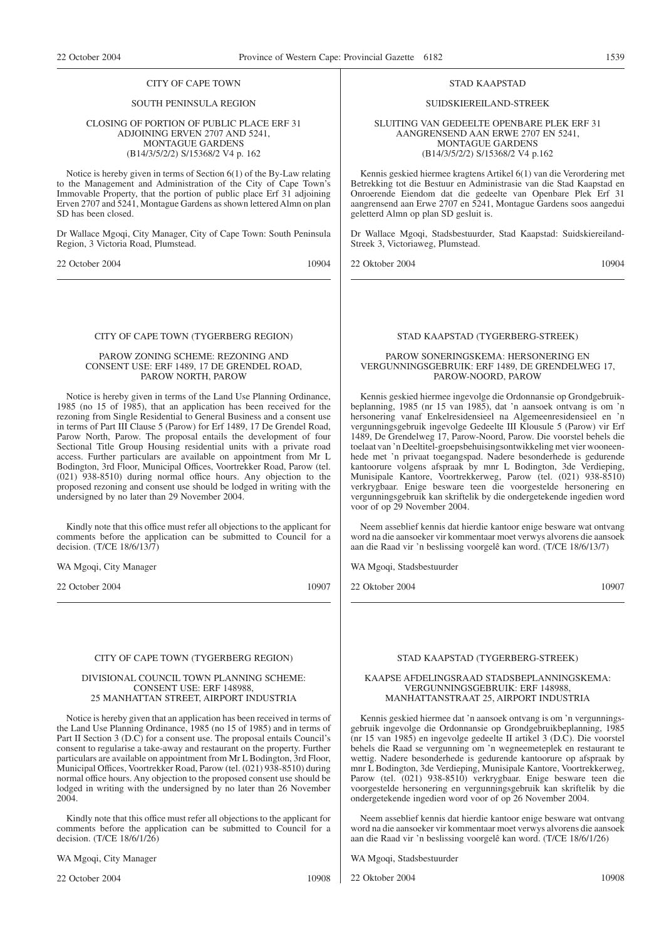#### CITY OF CAPE TOWN

# SOUTH PENINSULA REGION

#### CLOSING OF PORTION OF PUBLIC PLACE ERF 31 ADJOINING ERVEN 2707 AND 5241, MONTAGUE GARDENS (B14/3/5/2/2) S/15368/2 V4 p. 162

Notice is hereby given in terms of Section 6(1) of the By-Law relating to the Management and Administration of the City of Cape Town's Immovable Property, that the portion of public place Erf 31 adjoining Erven 2707 and 5241, Montague Gardens as shown lettered Almn on plan SD has been closed.

Dr Wallace Mgoqi, City Manager, City of Cape Town: South Peninsula Region, 3 Victoria Road, Plumstead.

22 October 2004 10904

#### CITY OF CAPE TOWN (TYGERBERG REGION)

#### PAROW ZONING SCHEME: REZONING AND CONSENT USE: ERF 1489, 17 DE GRENDEL ROAD, PAROW NORTH, PAROW

Notice is hereby given in terms of the Land Use Planning Ordinance, 1985 (no 15 of 1985), that an application has been received for the rezoning from Single Residential to General Business and a consent use in terms of Part III Clause 5 (Parow) for Erf 1489, 17 De Grendel Road, Parow North, Parow. The proposal entails the development of four Sectional Title Group Housing residential units with a private road access. Further particulars are available on appointment from Mr L Bodington, 3rd Floor, Municipal Offices, Voortrekker Road, Parow (tel. (021) 938-8510) during normal office hours. Any objection to the proposed rezoning and consent use should be lodged in writing with the undersigned by no later than 29 November 2004.

Kindly note that this office must refer all objections to the applicant for comments before the application can be submitted to Council for a decision. (T/CE 18/6/13/7)

WA Mgoqi, City Manager

22 October 2004 10907

#### CITY OF CAPE TOWN (TYGERBERG REGION)

#### DIVISIONAL COUNCIL TOWN PLANNING SCHEME: CONSENT USE: ERF 148988, 25 MANHATTAN STREET, AIRPORT INDUSTRIA

Notice is hereby given that an application has been received in terms of the Land Use Planning Ordinance, 1985 (no 15 of 1985) and in terms of Part II Section 3 (D.C) for a consent use. The proposal entails Council's consent to regularise a take-away and restaurant on the property. Further particulars are available on appointment from Mr L Bodington, 3rd Floor, Municipal Offices, Voortrekker Road, Parow (tel. (021) 938-8510) during normal office hours. Any objection to the proposed consent use should be lodged in writing with the undersigned by no later than 26 November 2004.

Kindly note that this office must refer all objections to the applicant for comments before the application can be submitted to Council for a decision. (T/CE 18/6/1/26)

WA Mgoqi, City Manager

22 October 2004 10908

#### STAD KAAPSTAD

#### SUIDSKIEREILAND-STREEK

SLUITING VAN GEDEELTE OPENBARE PLEK ERF 31 AANGRENSEND AAN ERWE 2707 EN 5241, MONTAGUE GARDENS (B14/3/5/2/2) S/15368/2 V4 p.162

Kennis geskied hiermee kragtens Artikel 6(1) van die Verordering met Betrekking tot die Bestuur en Administrasie van die Stad Kaapstad en Onroerende Eiendom dat die gedeelte van Openbare Plek Erf 31 aangrensend aan Erwe 2707 en 5241, Montague Gardens soos aangedui geletterd Almn op plan SD gesluit is.

Dr Wallace Mgoqi, Stadsbestuurder, Stad Kaapstad: Suidskiereiland-Streek 3, Victoriaweg, Plumstead.

22 Oktober 2004 10904

#### STAD KAAPSTAD (TYGERBERG-STREEK)

#### PAROW SONERINGSKEMA: HERSONERING EN VERGUNNINGSGEBRUIK: ERF 1489, DE GRENDELWEG 17, PAROW-NOORD, PAROW

Kennis geskied hiermee ingevolge die Ordonnansie op Grondgebruikbeplanning, 1985 (nr 15 van 1985), dat 'n aansoek ontvang is om 'n hersonering vanaf Enkelresidensieel na Algemeenresidensieel en 'n vergunningsgebruik ingevolge Gedeelte III Klousule 5 (Parow) vir Erf 1489, De Grendelweg 17, Parow-Noord, Parow. Die voorstel behels die toelaat van 'n Deeltitel-groepsbehuisingsontwikkeling met vier wooneenhede met 'n privaat toegangspad. Nadere besonderhede is gedurende kantoorure volgens afspraak by mnr L Bodington, 3de Verdieping, Munisipale Kantore, Voortrekkerweg, Parow (tel. (021) 938-8510) verkrygbaar. Enige besware teen die voorgestelde hersonering en vergunningsgebruik kan skriftelik by die ondergetekende ingedien word voor of op 29 November 2004.

Neem asseblief kennis dat hierdie kantoor enige besware wat ontvang word na die aansoeker vir kommentaar moet verwys alvorens die aansoek aan die Raad vir 'n beslissing voorgelê kan word. (T/CE 18/6/13/7)

WA Mgoqi, Stadsbestuurder

22 Oktober 2004 10907

#### STAD KAAPSTAD (TYGERBERG-STREEK)

#### KAAPSE AFDELINGSRAAD STADSBEPLANNINGSKEMA: VERGUNNINGSGEBRUIK: ERF 148988, MANHATTANSTRAAT 25, AIRPORT INDUSTRIA

Kennis geskied hiermee dat 'n aansoek ontvang is om 'n vergunningsgebruik ingevolge die Ordonnansie op Grondgebruikbeplanning, 1985 (nr 15 van 1985) en ingevolge gedeelte II artikel 3 (D.C). Die voorstel behels die Raad se vergunning om 'n wegneemeteplek en restaurant te wettig. Nadere besonderhede is gedurende kantoorure op afspraak by mnr L Bodington, 3de Verdieping, Munisipale Kantore, Voortrekkerweg, Parow (tel. (021) 938-8510) verkrygbaar. Enige besware teen die voorgestelde hersonering en vergunningsgebruik kan skriftelik by die ondergetekende ingedien word voor of op 26 November 2004.

Neem asseblief kennis dat hierdie kantoor enige besware wat ontvang word na die aansoeker vir kommentaar moet verwys alvorens die aansoek aan die Raad vir 'n beslissing voorgelê kan word. (T/CE 18/6/1/26)

WA Mgoqi, Stadsbestuurder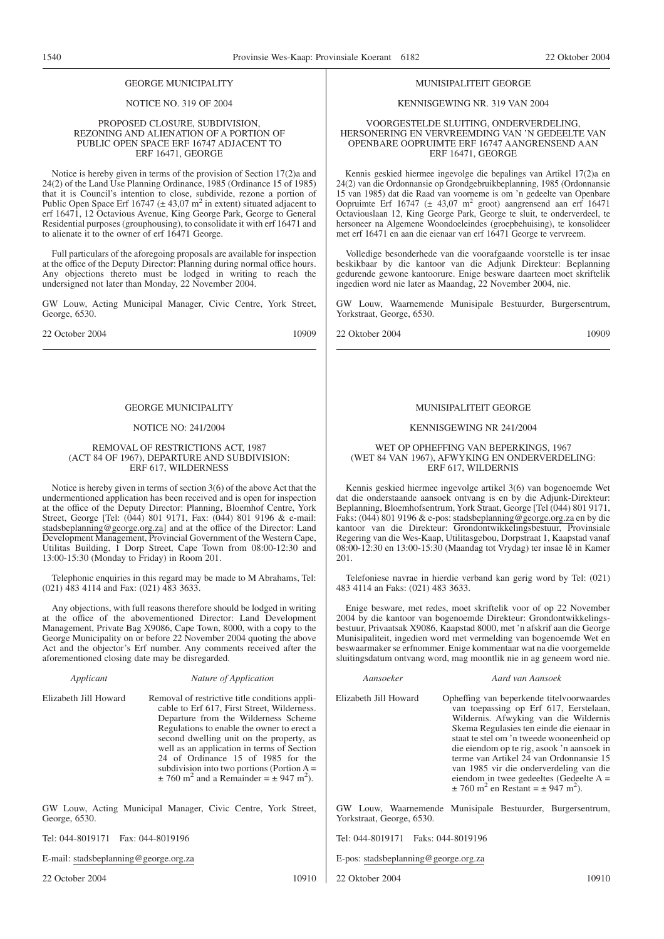#### GEORGE MUNICIPALITY

#### NOTICE NO. 319 OF 2004

#### PROPOSED CLOSURE, SUBDIVISION, REZONING AND ALIENATION OF A PORTION OF PUBLIC OPEN SPACE ERF 16747 ADJACENT TO ERF 16471, GEORGE

Notice is hereby given in terms of the provision of Section 17(2)a and 24(2) of the Land Use Planning Ordinance, 1985 (Ordinance 15 of 1985) that it is Council's intention to close, subdivide, rezone a portion of Public Open Space Erf 16747 ( $\pm$  43,07 m<sup>2</sup> in extent) situated adjacent to erf 16471, 12 Octavious Avenue, King George Park, George to General Residential purposes (grouphousing), to consolidate it with erf 16471 and to alienate it to the owner of erf 16471 George.

Full particulars of the aforegoing proposals are available for inspection at the office of the Deputy Director: Planning during normal office hours. Any objections thereto must be lodged in writing to reach the undersigned not later than Monday, 22 November 2004.

GW Louw, Acting Municipal Manager, Civic Centre, York Street, George, 6530.

22 October 2004 10909

#### GEORGE MUNICIPALITY

#### NOTICE NO: 241/2004

#### REMOVAL OF RESTRICTIONS ACT, 1987 (ACT 84 OF 1967), DEPARTURE AND SUBDIVISION: ERF 617, WILDERNESS

Notice is hereby given in terms of section 3(6) of the above Act that the undermentioned application has been received and is open for inspection at the office of the Deputy Director: Planning, Bloemhof Centre, York Street, George [Tel: (044) 801 9171, Fax: (044) 801 9196 & e-mail: stadsbeplanning@george.org.za] and at the office of the Director: Land Development Management, Provincial Government of the Western Cape, Utilitas Building, 1 Dorp Street, Cape Town from 08:00-12:30 and 13:00-15:30 (Monday to Friday) in Room 201.

Telephonic enquiries in this regard may be made to M Abrahams, Tel: (021) 483 4114 and Fax: (021) 483 3633.

Any objections, with full reasons therefore should be lodged in writing at the office of the abovementioned Director: Land Development Management, Private Bag X9086, Cape Town, 8000, with a copy to the George Municipality on or before 22 November 2004 quoting the above Act and the objector's Erf number. Any comments received after the aforementioned closing date may be disregarded.

#### *Applicant Nature of Application*

Elizabeth Jill Howard Removal of restrictive title conditions applicable to Erf 617, First Street, Wilderness. Departure from the Wilderness Scheme Regulations to enable the owner to erect a second dwelling unit on the property, as well as an application in terms of Section 24 of Ordinance 15 of 1985 for the subdivision into two portions (Portion  $A =$  $\pm$  760 m<sup>2</sup> and a Remainder =  $\pm$  947 m<sup>2</sup>).

GW Louw, Acting Municipal Manager, Civic Centre, York Street, George, 6530.

Tel: 044-8019171 Fax: 044-8019196

E-mail: stadsbeplanning@george.org.za

22 October 2004 10910

#### MUNISIPALITEIT GEORGE

#### KENNISGEWING NR. 319 VAN 2004

#### VOORGESTELDE SLUITING, ONDERVERDELING, HERSONERING EN VERVREEMDING VAN 'N GEDEELTE VAN OPENBARE OOPRUIMTE ERF 16747 AANGRENSEND AAN ERF 16471, GEORGE

Kennis geskied hiermee ingevolge die bepalings van Artikel 17(2)a en 24(2) van die Ordonnansie op Grondgebruikbeplanning, 1985 (Ordonnansie 15 van 1985) dat die Raad van voorneme is om 'n gedeelte van Openbare Oopruimte Erf  $16747 \left( \pm 43.07 \right)$  m<sup>2</sup> groot) aangrensend aan erf  $16471$ Octaviouslaan 12, King George Park, George te sluit, te onderverdeel, te hersoneer na Algemene Woondoeleindes (groepbehuising), te konsolideer met erf 16471 en aan die eienaar van erf 16471 George te vervreem.

Volledige besonderhede van die voorafgaande voorstelle is ter insae beskikbaar by die kantoor van die Adjunk Direkteur: Beplanning gedurende gewone kantoorure. Enige besware daarteen moet skriftelik ingedien word nie later as Maandag, 22 November 2004, nie.

GW Louw, Waarnemende Munisipale Bestuurder, Burgersentrum, Yorkstraat, George, 6530.

22 Oktober 2004 10909

#### MUNISIPALITEIT GEORGE

#### KENNISGEWING NR 241/2004

#### WET OP OPHEFFING VAN BEPERKINGS, 1967 (WET 84 VAN 1967), AFWYKING EN ONDERVERDELING: ERF 617, WILDERNIS

Kennis geskied hiermee ingevolge artikel 3(6) van bogenoemde Wet dat die onderstaande aansoek ontvang is en by die Adjunk-Direkteur: Beplanning, Bloemhofsentrum, York Straat, George [Tel (044) 801 9171, Faks: (044) 801 9196 & e-pos: stadsbeplanning@george.org.za en by die kantoor van die Direkteur: Grondontwikkelingsbestuur, Provinsiale Regering van die Wes-Kaap, Utilitasgebou, Dorpstraat 1, Kaapstad vanaf 08:00-12:30 en 13:00-15:30 (Maandag tot Vrydag) ter insae lê in Kamer 201.

Telefoniese navrae in hierdie verband kan gerig word by Tel: (021) 483 4114 an Faks: (021) 483 3633.

Enige besware, met redes, moet skriftelik voor of op 22 November 2004 by die kantoor van bogenoemde Direkteur: Grondontwikkelingsbestuur, Privaatsak X9086, Kaapstad 8000, met 'n afskrif aan die George Munisipaliteit, ingedien word met vermelding van bogenoemde Wet en beswaarmaker se erfnommer. Enige kommentaar wat na die voorgemelde sluitingsdatum ontvang word, mag moontlik nie in ag geneem word nie.

*Aansoeker Aard van Aansoek*

| Elizabeth Jill Howard  | Opheffing van beperkende titelvoorwaardes<br>van toepassing op Erf 617, Eerstelaan,<br>Wildernis. Afwyking van die Wildernis<br>Skema Regulasies ten einde die eienaar in<br>staat te stel om 'n tweede wooneenheid op<br>die eiendom op te rig, asook 'n aansoek in<br>terme van Artikel 24 van Ordonnansie 15<br>van 1985 vir die onderverdeling van die<br>eiendom in twee gedeeltes (Gedeelte $A =$<br>$\pm$ 760 m <sup>2</sup> en Restant = $\pm$ 947 m <sup>2</sup> ). |
|------------------------|------------------------------------------------------------------------------------------------------------------------------------------------------------------------------------------------------------------------------------------------------------------------------------------------------------------------------------------------------------------------------------------------------------------------------------------------------------------------------|
| Vorketroot Goorge 6520 | GW Louw, Waarnemende Munisipale Bestuurder, Burgersentrum,                                                                                                                                                                                                                                                                                                                                                                                                                   |

Yorkstraat, George, 6530.

Tel: 044-8019171 Faks: 044-8019196

E-pos: stadsbeplanning@george.org.za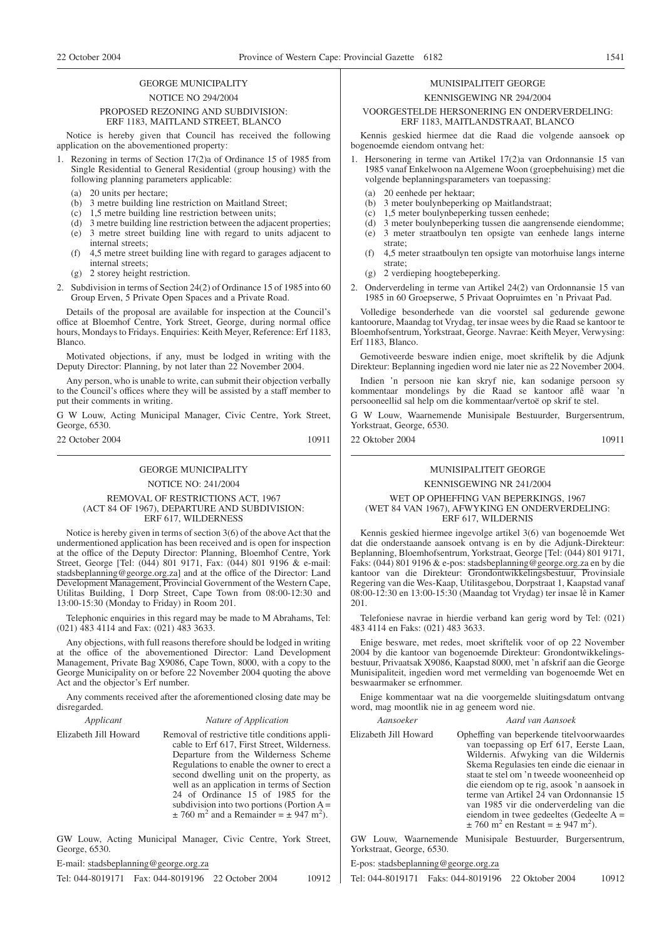# GEORGE MUNICIPALITY NOTICE NO 294/2004 PROPOSED REZONING AND SUBDIVISION: ERF 1183, MAITLAND STREET, BLANCO

Notice is hereby given that Council has received the following application on the abovementioned property:

- 1. Rezoning in terms of Section 17(2)a of Ordinance 15 of 1985 from Single Residential to General Residential (group housing) with the following planning parameters applicable:
	- (a) 20 units per hectare;
	- (b) 3 metre building line restriction on Maitland Street;
	- (c) 1,5 metre building line restriction between units;
	- (d) 3 metre building line restriction between the adjacent properties; (e) 3 metre street building line with regard to units adjacent to internal streets;
	- (f) 4,5 metre street building line with regard to garages adjacent to internal streets;
	- (g) 2 storey height restriction.
- 2. Subdivision in terms of Section 24(2) of Ordinance 15 of 1985 into 60 Group Erven, 5 Private Open Spaces and a Private Road.

Details of the proposal are available for inspection at the Council's office at Bloemhof Centre, York Street, George, during normal office hours, Mondays to Fridays. Enquiries: Keith Meyer, Reference: Erf 1183, Blanco.

Motivated objections, if any, must be lodged in writing with the Deputy Director: Planning, by not later than 22 November 2004.

Any person, who is unable to write, can submit their objection verbally to the Council's offices where they will be assisted by a staff member to put their comments in writing.

G W Louw, Acting Municipal Manager, Civic Centre, York Street, George, 6530.

22 October 2004 10911

# GEORGE MUNICIPALITY NOTICE NO: 241/2004 REMOVAL OF RESTRICTIONS ACT, 1967 (ACT 84 OF 1967), DEPARTURE AND SUBDIVISION: ERF 617, WILDERNESS

Notice is hereby given in terms of section 3(6) of the above Act that the undermentioned application has been received and is open for inspection at the office of the Deputy Director: Planning, Bloemhof Centre, York Street, George [Tel: (044) 801 9171, Fax: (044) 801 9196 & e-mail: stadsbeplanning@george.org.za] and at the office of the Director: Land Development Management, Provincial Government of the Western Cape, Utilitas Building, 1 Dorp Street, Cape Town from 08:00-12:30 and 13:00-15:30 (Monday to Friday) in Room 201.

Telephonic enquiries in this regard may be made to M Abrahams, Tel: (021) 483 4114 and Fax: (021) 483 3633.

Any objections, with full reasons therefore should be lodged in writing at the office of the abovementioned Director: Land Development Management, Private Bag X9086, Cape Town, 8000, with a copy to the George Municipality on or before 22 November 2004 quoting the above Act and the objector's Erf number.

Any comments received after the aforementioned closing date may be disregarded.

| Applicant             | Nature of Application                                                                                                                                                                                                                                                                                                                                                                                                                         |
|-----------------------|-----------------------------------------------------------------------------------------------------------------------------------------------------------------------------------------------------------------------------------------------------------------------------------------------------------------------------------------------------------------------------------------------------------------------------------------------|
| Elizabeth Jill Howard | Removal of restrictive title conditions appli-<br>cable to Erf 617, First Street, Wilderness.<br>Departure from the Wilderness Scheme<br>Regulations to enable the owner to erect a<br>second dwelling unit on the property, as<br>well as an application in terms of Section<br>24 of Ordinance 15 of 1985 for the<br>subdivision into two portions (Portion $A =$<br>$\pm$ 760 m <sup>2</sup> and a Remainder = $\pm$ 947 m <sup>2</sup> ). |

GW Louw, Acting Municipal Manager, Civic Centre, York Street, George, 6530.

E-mail: stadsbeplanning@george.org.za

| Tel: 044-8019171 Fax: 044-8019196 22 October 2004 | 10912 |
|---------------------------------------------------|-------|
|                                                   |       |

#### MUNISIPALITEIT GEORGE

# KENNISGEWING NR 294/2004 VOORGESTELDE HERSONERING EN ONDERVERDELING:

#### ERF 1183, MAITLANDSTRAAT, BLANCO

Kennis geskied hiermee dat die Raad die volgende aansoek op bogenoemde eiendom ontvang het:

- 1. Hersonering in terme van Artikel 17(2)a van Ordonnansie 15 van 1985 vanaf Enkelwoon na Algemene Woon (groepbehuising) met die volgende beplanningsparameters van toepassing:
	- (a) 20 eenhede per hektaar;
	- (b) 3 meter boulynbeperking op Maitlandstraat;
	- (c) 1,5 meter boulynbeperking tussen eenhede;
	- (d) 3 meter boulynbeperking tussen die aangrensende eiendomme; (e) 3 meter straatboulyn ten opsigte van eenhede langs interne
	- strate; (f) 4,5 meter straatboulyn ten opsigte van motorhuise langs interne strate;
	- (g) 2 verdieping hoogtebeperking.
- 2. Onderverdeling in terme van Artikel 24(2) van Ordonnansie 15 van 1985 in 60 Groepserwe, 5 Privaat Oopruimtes en 'n Privaat Pad.

Volledige besonderhede van die voorstel sal gedurende gewone kantoorure, Maandag tot Vrydag, ter insae wees by die Raad se kantoor te Bloemhofsentrum, Yorkstraat, George. Navrae: Keith Meyer, Verwysing: Erf 1183, Blanco.

Gemotiveerde besware indien enige, moet skriftelik by die Adjunk Direkteur: Beplanning ingedien word nie later nie as 22 November 2004.

Indien 'n persoon nie kan skryf nie, kan sodanige persoon sy kommentaar mondelings by die Raad se kantoor aflê waar persooneellid sal help om die kommentaar/vertoë op skrif te stel.

G W Louw, Waarnemende Munisipale Bestuurder, Burgersentrum, Yorkstraat, George, 6530.

#### 22 Oktober 2004 10911

# MUNISIPALITEIT GEORGE

#### KENNISGEWING NR 241/2004

#### WET OP OPHEFFING VAN BEPERKINGS, 1967 (WET 84 VAN 1967), AFWYKING EN ONDERVERDELING: ERF 617, WILDERNIS

Kennis geskied hiermee ingevolge artikel 3(6) van bogenoemde Wet dat die onderstaande aansoek ontvang is en by die Adjunk-Direkteur: Beplanning, Bloemhofsentrum, Yorkstraat, George [Tel: (044) 801 9171, Faks: (044) 801 9196 & e-pos: stadsbeplanning@george.org.za en by die kantoor van die Direkteur: Grondontwikkelingsbestuur, Provinsiale Regering van die Wes-Kaap, Utilitasgebou, Dorpstraat 1, Kaapstad vanaf 08:00-12:30 en 13:00-15:30 (Maandag tot Vrydag) ter insae lê in Kamer 201.

Telefoniese navrae in hierdie verband kan gerig word by Tel: (021) 483 4114 en Faks: (021) 483 3633.

Enige besware, met redes, moet skriftelik voor of op 22 November 2004 by die kantoor van bogenoemde Direkteur: Grondontwikkelingsbestuur, Privaatsak X9086, Kaapstad 8000, met 'n afskrif aan die George Munisipaliteit, ingedien word met vermelding van bogenoemde Wet en beswaarmaker se erfnommer.

Enige kommentaar wat na die voorgemelde sluitingsdatum ontvang word, mag moontlik nie in ag geneem word nie.

*Aansoeker Aard van Aansoek*

| Elizabeth Jill Howard | Opheffing van beperkende titelvoorwaardes                         |
|-----------------------|-------------------------------------------------------------------|
|                       | van toepassing op Erf 617, Eerste Laan,                           |
|                       |                                                                   |
|                       | Wildernis. Afwyking van die Wildernis                             |
|                       | Skema Regulasies ten einde die eienaar in                         |
|                       | staat te stel om 'n tweede wooneenheid op                         |
|                       | die eiendom op te rig, asook 'n aansoek in                        |
|                       | terme van Artikel 24 van Ordonnansie 15                           |
|                       | van 1985 vir die onderverdeling van die                           |
|                       | eiendom in twee gedeeltes (Gedeelte $A =$                         |
|                       | $\pm$ 760 m <sup>2</sup> en Restant = $\pm$ 947 m <sup>2</sup> ). |
|                       |                                                                   |

GW Louw, Waarnemende Munisipale Bestuurder, Burgersentrum, Yorkstraat, George, 6530.

E-pos: stadsbeplanning@george.org.za

Tel: 044-8019171 Faks: 044-8019196 22 Oktober 2004 10912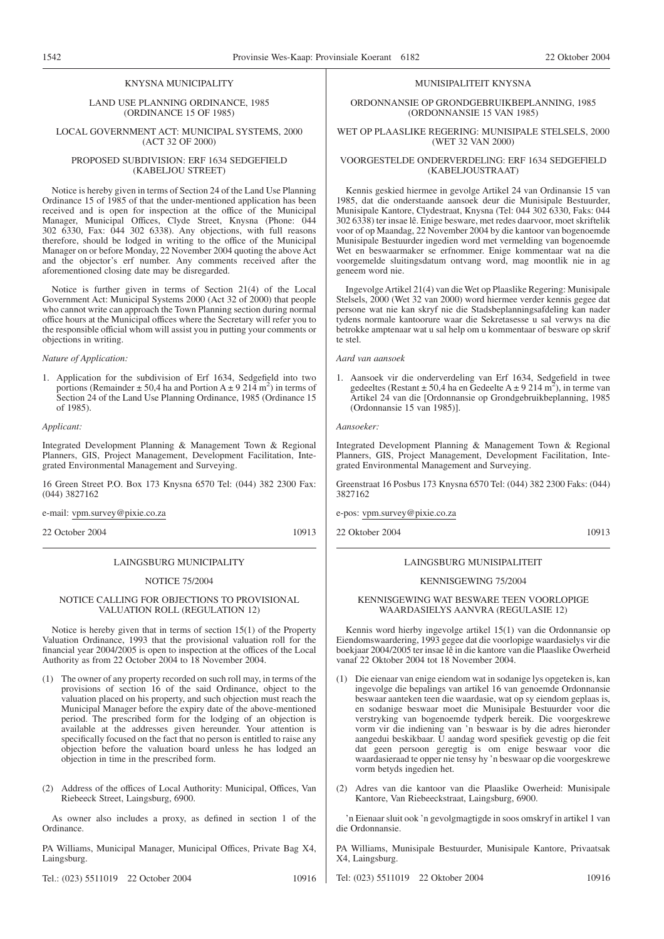#### KNYSNA MUNICIPALITY

LAND USE PLANNING ORDINANCE, 1985 (ORDINANCE 15 OF 1985)

LOCAL GOVERNMENT ACT: MUNICIPAL SYSTEMS, 2000 (ACT 32 OF 2000)

#### PROPOSED SUBDIVISION: ERF 1634 SEDGEFIELD (KABELJOU STREET)

Notice is hereby given in terms of Section 24 of the Land Use Planning Ordinance 15 of 1985 of that the under-mentioned application has been received and is open for inspection at the office of the Municipal Manager, Municipal Offices, Clyde Street, Knysna (Phone: 044 302 6330, Fax: 044 302 6338). Any objections, with full reasons therefore, should be lodged in writing to the office of the Municipal Manager on or before Monday, 22 November 2004 quoting the above Act and the objector's erf number. Any comments received after the aforementioned closing date may be disregarded.

Notice is further given in terms of Section 21(4) of the Local Government Act: Municipal Systems 2000 (Act 32 of 2000) that people who cannot write can approach the Town Planning section during normal office hours at the Municipal offices where the Secretary will refer you to the responsible official whom will assist you in putting your comments or objections in writing.

#### *Nature of Application:*

1. Application for the subdivision of Erf 1634, Sedgefield into two portions (Remainder  $\pm$  50,4 ha and Portion A  $\pm$  9 214 m<sup>2</sup>) in terms of Section 24 of the Land Use Planning Ordinance, 1985 (Ordinance 15 of 1985).

#### *Applicant:*

Integrated Development Planning & Management Town & Regional Planners, GIS, Project Management, Development Facilitation, Integrated Environmental Management and Surveying.

16 Green Street P.O. Box 173 Knysna 6570 Tel: (044) 382 2300 Fax: (044) 3827162

e-mail: vpm.survey@pixie.co.za

22 October 2004 10913

# LAINGSBURG MUNICIPALITY

#### NOTICE 75/2004

#### NOTICE CALLING FOR OBJECTIONS TO PROVISIONAL VALUATION ROLL (REGULATION 12)

Notice is hereby given that in terms of section 15(1) of the Property Valuation Ordinance, 1993 that the provisional valuation roll for the financial year 2004/2005 is open to inspection at the offices of the Local Authority as from 22 October 2004 to 18 November 2004.

- (1) The owner of any property recorded on such roll may, in terms of the provisions of section 16 of the said Ordinance, object to the valuation placed on his property, and such objection must reach the Municipal Manager before the expiry date of the above-mentioned period. The prescribed form for the lodging of an objection is available at the addresses given hereunder. Your attention is specifically focused on the fact that no person is entitled to raise any objection before the valuation board unless he has lodged an objection in time in the prescribed form.
- (2) Address of the offices of Local Authority: Municipal, Offices, Van Riebeeck Street, Laingsburg, 6900.

As owner also includes a proxy, as defined in section 1 of the Ordinance.

PA Williams, Municipal Manager, Municipal Offices, Private Bag X4, Laingsburg.

Tel.: (023) 5511019 22 October 2004 10916

#### MUNISIPALITEIT KNYSNA

ORDONNANSIE OP GRONDGEBRUIKBEPLANNING, 1985 (ORDONNANSIE 15 VAN 1985)

#### WET OP PLAASLIKE REGERING: MUNISIPALE STELSELS, 2000 (WET 32 VAN 2000)

#### VOORGESTELDE ONDERVERDELlNG: ERF 1634 SEDGEFlELD (KABELJOUSTRAAT)

Kennis geskied hiermee in gevolge Artikel 24 van Ordinansie 15 van 1985, dat die onderstaande aansoek deur die Munisipale Bestuurder, Munisipale Kantore, Clydestraat, Knysna (Tel: 044 302 6330, Faks: 044 302 6338) ter insae lê. Enige besware, met redes daarvoor, moet skriftelik voor of op Maandag, 22 November 2004 by die kantoor van bogenoemde Munisipale Bestuurder ingedien word met vermelding van bogenoemde Wet en beswaarmaker se erfnommer. Enige kommentaar wat na die voorgemelde sluitingsdatum ontvang word, mag moontlik nie in ag geneem word nie.

Ingevolge Artikel 21(4) van die Wet op Plaaslike Regering: Munisipale Stelsels, 2000 (Wet 32 van 2000) word hiermee verder kennis gegee dat persone wat nie kan skryf nie die Stadsbeplanningsafdeling kan nader tydens normale kantoorure waar die Sekretasesse u sal verwys na die betrokke amptenaar wat u sal help om u kommentaar of besware op skrif te stel.

#### *Aard van aansoek*

1. Aansoek vir die onderverdeling van Erf 1634, Sedgefield in twee gedeeltes (Restant  $\pm$  50,4 ha en Gedeelte A  $\pm$  9 214 m<sup>2</sup>), in terme van Artikel 24 van die [Ordonnansie op Grondgebruikbeplanning, 1985 (Ordonnansie 15 van 1985)].

#### *Aansoeker:*

Integrated Development Planning & Management Town & Regional Planners, GIS, Project Management, Development Facilitation, Integrated Environmental Management and Surveying.

Greenstraat 16 Posbus 173 Knysna 6570 Tel: (044) 382 2300 Faks: (044) 3827162

e-pos: vpm.survey@pixie.co.za

22 Oktober 2004 10913

### LAINGSBURG MUNISIPALITEIT

#### KENNISGEWING 75/2004

#### KENNISGEWING WAT BESWARE TEEN VOORLOPIGE WAARDASIELYS AANVRA (REGULASIE 12)

Kennis word hierby ingevolge artikel 15(1) van die Ordonnansie op Eiendomswaardering, 1993 gegee dat die voorlopige waardasielys vir die boekjaar 2004/2005 ter insae lê in die kantore van die Plaaslike Owerheid vanaf 22 Oktober 2004 tot 18 November 2004.

- (1) Die eienaar van enige eiendom wat in sodanige lys opgeteken is, kan ingevolge die bepalings van artikel 16 van genoemde Ordonnansie beswaar aanteken teen die waardasie, wat op sy eiendom geplaas is, en sodanige beswaar moet die Munisipale Bestuurder voor die verstryking van bogenoemde tydperk bereik. Die voorgeskrewe vorm vir die indiening van 'n beswaar is by die adres hieronder aangedui beskikbaar. U aandag word spesifiek gevestig op die feit dat geen persoon geregtig is om enige beswaar voor die waardasieraad te opper nie tensy hy 'n beswaar op die voorgeskrewe vorm betyds ingedien het.
- (2) Adres van die kantoor van die Plaaslike Owerheid: Munisipale Kantore, Van Riebeeckstraat, Laingsburg, 6900.

'n Eienaar sluit ook 'n gevolgmagtigde in soos omskryf in artikel 1 van die Ordonnansie.

PA Williams, Munisipale Bestuurder, Munisipale Kantore, Privaatsak X4, Laingsburg.

Tel: (023) 5511019 22 Oktober 2004 10916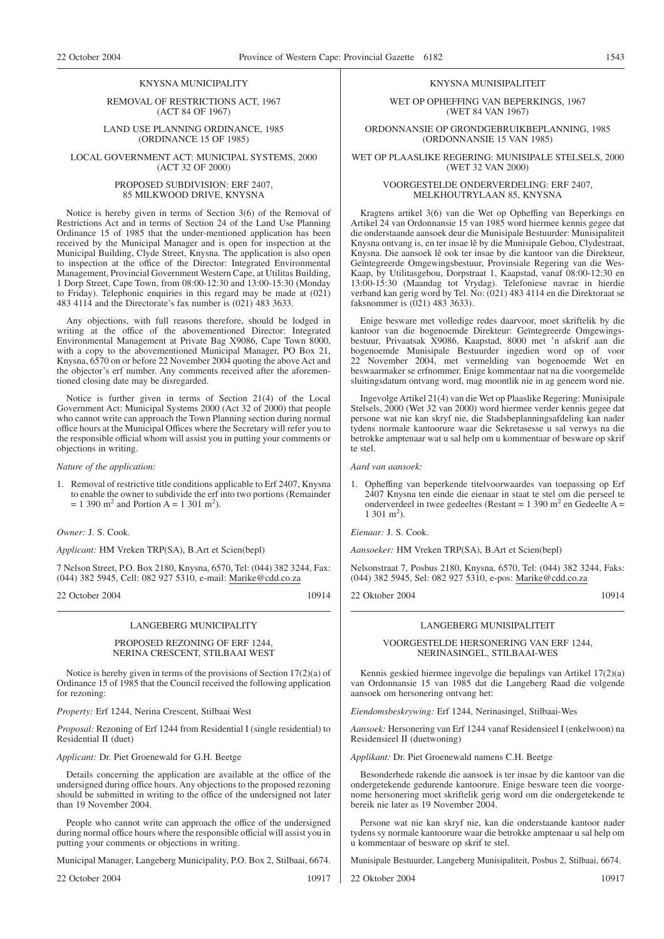#### KNYSNA MUNICIPALITY

REMOVAL OF RESTRICTIONS ACT, 1967 (ACT 84 OF 1967)

LAND USE PLANNING ORDINANCE, 1985 (ORDINANCE 15 OF 1985)

#### LOCAL GOVERNMENT ACT: MUNICIPAL SYSTEMS, 2000 (ACT 32 OF 2000)

#### PROPOSED SUBDIVISION: ERF 2407, 85 MILKWOOD DRIVE, KNYSNA

Notice is hereby given in terms of Section 3(6) of the Removal of Restrictions Act and in terms of Section 24 of the Land Use Planning Ordinance 15 of 1985 that the under-mentioned application has been received by the Municipal Manager and is open for inspection at the Municipal Building, Clyde Street, Knysna. The application is also open to inspection at the office of the Director: Integrated Environmental Management, Provincial Government Western Cape, at Utilitas Building, 1 Dorp Street, Cape Town, from 08:00-12:30 and 13:00-15:30 (Monday to Friday). Telephonic enquiries in this regard may be made at (021) 483 4114 and the Directorate's fax number is (021) 483 3633.

Any objections, with full reasons therefore, should be lodged in writing at the office of the abovementioned Director: Integrated Environmental Management at Private Bag X9086, Cape Town 8000, with a copy to the abovementioned Municipal Manager, PO Box 21, Knysna, 6570 on or before 22 November 2004 quoting the above Act and the objector's erf number. Any comments received after the aforementioned closing date may be disregarded.

Notice is further given in terms of Section 21(4) of the Local Government Act: Municipal Systems 2000 (Act 32 of 2000) that people who cannot write can approach the Town Planning section during normal office hours at the Municipal Offices where the Secretary will refer you to the responsible official whom will assist you in putting your comments or objections in writing.

# *Nature of the application:*

1. Removal of restrictive title conditions applicable to Erf 2407, Knysna to enable the owner to subdivide the erf into two portions (Remainder  $= 1$  390 m<sup>2</sup> and Portion A = 1 301 m<sup>2</sup>).

#### *Owner:* J. S. Cook.

*Applicant:* HM Vreken TRP(SA), B.Art et Scien(bepl)

7 Nelson Street, P.O. Box 2180, Knysna, 6570, Tel: (044) 382 3244, Fax: (044) 382 5945, Cell: 082 927 5310, e-mail: Marike@cdd.co.za

22 October 2004 10914

#### LANGEBERG MUNICIPALITY

#### PROPOSED REZONING OF ERF 1244, NERINA CRESCENT, STILBAAI WEST

Notice is hereby given in terms of the provisions of Section 17(2)(a) of Ordinance 15 of 1985 that the Council received the following application for rezoning:

*Property:* Erf 1244, Nerina Crescent, Stilbaai West

*Proposal:* Rezoning of Erf 1244 from Residential I (single residential) to Residential II (duet)

*Applicant:* Dr. Piet Groenewald for G.H. Beetge

Details concerning the application are available at the office of the undersigned during office hours. Any objections to the proposed rezoning should be submitted in writing to the office of the undersigned not later than 19 November 2004.

People who cannot write can approach the office of the undersigned during normal office hours where the responsible official will assist you in putting your comments or objections in writing.

Municipal Manager, Langeberg Municipality, P.O. Box 2, Stilbaai, 6674.

22 October 2004 10917

#### KNYSNA MUNISIPALITEIT

WET OP OPHEFFING VAN BEPERKINGS, 1967 (WET 84 VAN 1967)

ORDONNANSIE OP GRONDGEBRUIKBEPLANNING, 1985 (ORDONNANSIE 15 VAN 1985)

WET OP PLAASLIKE REGERING: MUNISIPALE STELSELS, 2000 (WET 32 VAN 2000)

#### VOORGESTELDE ONDERVERDELING: ERF 2407, MELKHOUTRYLAAN 85, KNYSNA

Kragtens artikel 3(6) van die Wet op Opheffing van Beperkings en Artikel 24 van Ordonnansie 15 van 1985 word hiermee kennis gegee dat die onderstaande aansoek deur die Munisipale Bestuurder: Munisipaliteit Knysna ontvang is, en ter insae lê by die Munisipale Gebou, Clydestraat, Knysna. Die aansoek lê ook ter insae by die kantoor van die Direkteur, Geïntegreerde Omgewingsbestuur, Provinsiale Regering van die Wes-Kaap, by Utilitasgebou, Dorpstraat 1, Kaapstad, vanaf 08:00-12:30 en 13:00-15:30 (Maandag tot Vrydag). Telefoniese navrae in hierdie verband kan gerig word by Tel. No: (021) 483 4114 en die Direktoraat se faksnommer is (021) 483 3633).

Enige besware met volledige redes daarvoor, moet skriftelik by die kantoor van die bogenoemde Direkteur: Geïntegreerde Omgewingsbestuur, Privaatsak X9086, Kaapstad, 8000 met 'n afskrif aan die bogenoemde Munisipale Bestuurder ingedien word op of voor 22 November 2004, met vermelding van bogenoemde Wet en beswaarmaker se erfnommer. Enige kommentaar nat na die voorgemelde sluitingsdatum ontvang word, mag moontlik nie in ag geneem word nie.

Ingevolge Artikel 21(4) van die Wet op Plaaslike Regering: Munisipale Stelsels, 2000 (Wet 32 van 2000) word hiermee verder kennis gegee dat persone wat nie kan skryf nie, die Stadsbeplanningsafdeling kan nader tydens normale kantoorure waar die Sekretasesse u sal verwys na die betrokke amptenaar wat u sal help om u kommentaar of besware op skrif te stel.

*Aard van aansoek:*

1. Opheffing van beperkende titelvoorwaardes van toepassing op Erf 2407 Knysna ten einde die eienaar in staat te stel om die perseel te onderverdeel in twee gedeeltes (Restant = 1 390 m<sup>2</sup> en Gedeelte A =  $1301 \text{ m}^2$ ).

*Eienaar:* J. S. Cook.

*Aansoeker:* HM Vreken TRP(SA), B.Art et Scien(bepl)

Nelsonstraat 7, Posbus 2180, Knysna, 6570, Tel: (044) 382 3244, Faks: (044) 382 5945, Sel: 082 927 5310, e-pos: Marike@cdd.co.za

22 Oktober 2004 10914

#### LANGEBERG MUNISIPALITEIT

VOORGESTELDE HERSONERING VAN ERF 1244, NERINASINGEL, STILBAAI-WES

Kennis geskied hiermee ingevolge die bepalings van Artikel 17(2)(a) van Ordonnansie 15 van 1985 dat die Langeberg Raad die volgende aansoek om hersonering ontvang het:

*Eiendomsbeskrywing:* Erf 1244, Nerinasingel, Stilbaai-Wes

*Aansoek:* Hersonering van Erf 1244 vanaf Residensieel I (enkelwoon) na Residensieel II (duetwoning)

*Applikant:* Dr. Piet Groenewald namens C.H. Beetge

Besonderhede rakende die aansoek is ter insae by die kantoor van die ondergetekende gedurende kantoorure. Enige besware teen die voorgenome hersonering moet skriftelik gerig word om die ondergetekende te bereik nie later as 19 November 2004.

Persone wat nie kan skryf nie, kan die onderstaande kantoor nader tydens sy normale kantoorure waar die betrokke amptenaar u sal help om u kommentaar of besware op skrif te stel.

Munisipale Bestuurder, Langeberg Munisipaliteit, Posbus 2, Stilbaai, 6674.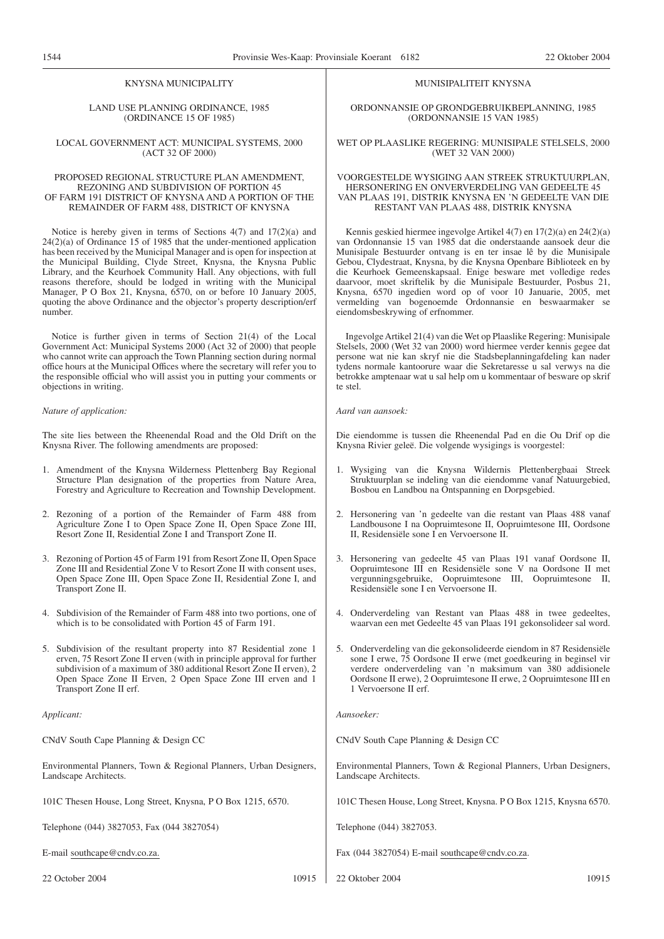#### KNYSNA MUNICIPALITY

#### LAND USE PLANNING ORDINANCE, 1985 (ORDINANCE 15 OF 1985)

## LOCAL GOVERNMENT ACT: MUNICIPAL SYSTEMS, 2000 (ACT 32 OF 2000)

#### PROPOSED REGIONAL STRUCTURE PLAN AMENDMENT, REZONING AND SUBDIVISION OF PORTION 45 OF FARM 191 DISTRICT OF KNYSNA AND A PORTION OF THE REMAINDER OF FARM 488, DISTRICT OF KNYSNA

Notice is hereby given in terms of Sections 4(7) and 17(2)(a) and 24(2)(a) of Ordinance 15 of 1985 that the under-mentioned application has been received by the Municipal Manager and is open for inspection at the Municipal Building, Clyde Street, Knysna, the Knysna Public Library, and the Keurhoek Community Hall. Any objections, with full reasons therefore, should be lodged in writing with the Municipal Manager, P O Box 21, Knysna, 6570, on or before 10 January 2005, quoting the above Ordinance and the objector's property description/erf number.

Notice is further given in terms of Section 21(4) of the Local Government Act: Municipal Systems 2000 (Act 32 of 2000) that people who cannot write can approach the Town Planning section during normal office hours at the Municipal Offices where the secretary will refer you to the responsible official who will assist you in putting your comments or objections in writing.

## *Nature of application:*

The site lies between the Rheenendal Road and the Old Drift on the Knysna River. The following amendments are proposed:

- 1. Amendment of the Knysna Wilderness Plettenberg Bay Regional Structure Plan designation of the properties from Nature Area, Forestry and Agriculture to Recreation and Township Development.
- 2. Rezoning of a portion of the Remainder of Farm 488 from Agriculture Zone I to Open Space Zone II, Open Space Zone III, Resort Zone II, Residential Zone I and Transport Zone II.
- 3. Rezoning of Portion 45 of Farm 191 from Resort Zone II, Open Space Zone III and Residential Zone V to Resort Zone II with consent uses, Open Space Zone III, Open Space Zone II, Residential Zone I, and Transport Zone II.
- 4. Subdivision of the Remainder of Farm 488 into two portions, one of which is to be consolidated with Portion 45 of Farm 191.
- 5. Subdivision of the resultant property into 87 Residential zone 1 erven, 75 Resort Zone II erven (with in principle approval for further subdivision of a maximum of 380 additional Resort Zone II erven), 2 Open Space Zone II Erven, 2 Open Space Zone III erven and 1 Transport Zone II erf.

#### *Applicant:*

CNdV South Cape Planning & Design CC Environmental Planners, Town & Regional Planners, Urban Designers, Landscape Architects. 101C Thesen House, Long Street, Knysna, P O Box 1215, 6570. Telephone (044) 3827053, Fax (044 3827054) E-mail southcape@cndv.co.za. CNdV South Cape Planning & Design CC Environmental Planners, Town & Regional Planners, Urban Designers, Landscape Architects. 101C Thesen House, Long Street, Knysna. P O Box 1215, Knysna 6570. Telephone (044) 3827053. Fax (044 3827054) E-mail southcape@cndv.co.za.

22 October 2004 10915

#### MUNISIPALITEIT KNYSNA

ORDONNANSIE OP GRONDGEBRUIKBEPLANNING, 1985 (ORDONNANSIE 15 VAN 1985)

WET OP PLAASLIKE REGERING: MUNISIPALE STELSELS, 2000 (WET 32 VAN 2000)

#### VOORGESTELDE WYSIGING AAN STREEK STRUKTUURPLAN, HERSONERING EN ONVERVERDELING VAN GEDEELTE 45 VAN PLAAS 191, DISTRIK KNYSNA EN 'N GEDEELTE VAN DIE RESTANT VAN PLAAS 488, DISTRIK KNYSNA

Kennis geskied hiermee ingevolge Artikel 4(7) en 17(2)(a) en 24(2)(a) van Ordonnansie 15 van 1985 dat die onderstaande aansoek deur die Munisipale Bestuurder ontvang is en ter insae lê by die Munisipale Gebou, Clydestraat, Knysna, by die Knysna Openbare Biblioteek en by die Keurhoek Gemeenskapsaal. Enige besware met volledige redes daarvoor, moet skriftelik by die Munisipale Bestuurder, Posbus 21, Knysna, 6570 ingedien word op of voor 10 Januarie, 2005, met vermelding van bogenoemde Ordonnansie en beswaarmaker se eiendomsbeskrywing of erfnommer.

Ingevolge Artikel 21(4) van die Wet op Plaaslike Regering: Munisipale Stelsels, 2000 (Wet 32 van 2000) word hiermee verder kennis gegee dat persone wat nie kan skryf nie die Stadsbeplanningafdeling kan nader tydens normale kantoorure waar die Sekretaresse u sal verwys na die betrokke amptenaar wat u sal help om u kommentaar of besware op skrif te stel.

## *Aard van aansoek:*

Die eiendomme is tussen die Rheenendal Pad en die Ou Drif op die Knysna Rivier geleë. Die volgende wysigings is voorgestel:

- 1. Wysiging van die Knysna Wildernis Plettenbergbaai Streek Struktuurplan se indeling van die eiendomme vanaf Natuurgebied, Bosbou en Landbou na Ontspanning en Dorpsgebied.
- 2. Hersonering van 'n gedeelte van die restant van Plaas 488 vanaf Landbousone I na Oopruimtesone II, Oopruimtesone III, Oordsone II, Residensiële sone I en Vervoersone II.
- 3. Hersonering van gedeelte 45 van Plaas 191 vanaf Oordsone II, Oopruimtesone III en Residensiële sone V na Oordsone II met vergunningsgebruike, Oopruimtesone III, Oopruimtesone II, Residensiële sone I en Vervoersone II.
- 4. Onderverdeling van Restant van Plaas 488 in twee gedeeltes, waarvan een met Gedeelte 45 van Plaas 191 gekonsolideer sal word.
- 5. Onderverdeling van die gekonsolideerde eiendom in 87 Residensiële sone I erwe, 75 Oordsone II erwe (met goedkeuring in beginsel vir verdere onderverdeling van 'n maksimum van 380 addisionele Oordsone II erwe), 2 Oopruimtesone II erwe, 2 Oopruimtesone III en 1 Vervoersone II erf.

*Aansoeker:*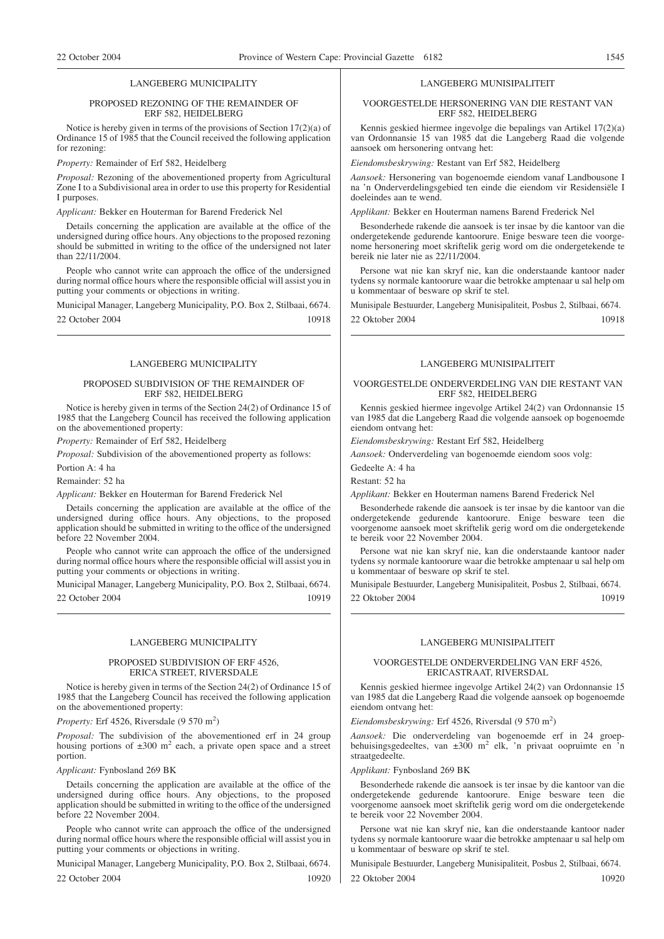# LANGEBERG MUNICIPALITY

#### PROPOSED REZONING OF THE REMAINDER OF ERF 582, HEIDELBERG

Notice is hereby given in terms of the provisions of Section 17(2)(a) of Ordinance 15 of 1985 that the Council received the following application for rezoning:

*Property:* Remainder of Erf 582, Heidelberg

*Proposal:* Rezoning of the abovementioned property from Agricultural Zone I to a Subdivisional area in order to use this property for Residential I purposes.

*Applicant:* Bekker en Houterman for Barend Frederick Nel

Details concerning the application are available at the office of the undersigned during office hours. Any objections to the proposed rezoning should be submitted in writing to the office of the undersigned not later than 22/11/2004.

People who cannot write can approach the office of the undersigned during normal office hours where the responsible official will assist you in putting your comments or objections in writing.

Municipal Manager, Langeberg Municipality, P.O. Box 2, Stilbaai, 6674. 22 October 2004 10918

# LANGEBERG MUNICIPALITY

#### PROPOSED SUBDIVISION OF THE REMAINDER OF ERF 582, HEIDELBERG

Notice is hereby given in terms of the Section 24(2) of Ordinance 15 of 1985 that the Langeberg Council has received the following application on the abovementioned property:

*Property:* Remainder of Erf 582, Heidelberg

*Proposal:* Subdivision of the abovementioned property as follows:

Portion A: 4 ha

Remainder: 52 ha

*Applicant:* Bekker en Houterman for Barend Frederick Nel

Details concerning the application are available at the office of the undersigned during office hours. Any objections, to the proposed application should be submitted in writing to the office of the undersigned before 22 November 2004.

People who cannot write can approach the office of the undersigned during normal office hours where the responsible official will assist you in putting your comments or objections in writing.

Municipal Manager, Langeberg Municipality, P.O. Box 2, Stilbaai, 6674. 22 October 2004 10919

#### LANGEBERG MUNICIPALITY

#### PROPOSED SUBDIVISION OF ERF 4526 ERICA STREET, RIVERSDALE

Notice is hereby given in terms of the Section 24(2) of Ordinance 15 of 1985 that the Langeberg Council has received the following application on the abovementioned property:

Property: Erf 4526, Riversdale (9 570 m<sup>2</sup>)

*Proposal:* The subdivision of the abovementioned erf in 24 group housing portions of  $\pm 300$  m<sup>2</sup> each, a private open space and a street portion.

*Applicant:* Fynbosland 269 BK

Details concerning the application are available at the office of the undersigned during office hours. Any objections, to the proposed application should be submitted in writing to the office of the undersigned before 22 November 2004.

People who cannot write can approach the office of the undersigned during normal office hours where the responsible official will assist you in putting your comments or objections in writing.

Municipal Manager, Langeberg Municipality, P.O. Box 2, Stilbaai, 6674.

22 October 2004 10920

### LANGEBERG MUNISIPALITEIT

#### VOORGESTELDE HERSONERING VAN DIE RESTANT VAN ERF 582, HEIDELBERG

Kennis geskied hiermee ingevolge die bepalings van Artikel 17(2)(a) van Ordonnansie 15 van 1985 dat die Langeberg Raad die volgende aansoek om hersonering ontvang het:

*Eiendomsbeskrywing:* Restant van Erf 582, Heidelberg

*Aansoek:* Hersonering van bogenoemde eiendom vanaf Landbousone I na 'n Onderverdelingsgebied ten einde die eiendom vir Residensiële I doeleindes aan te wend.

*Applikant:* Bekker en Houterman namens Barend Frederick Nel

Besonderhede rakende die aansoek is ter insae by die kantoor van die ondergetekende gedurende kantoorure. Enige besware teen die voorgenome hersonering moet skriftelik gerig word om die ondergetekende te bereik nie later nie as 22/11/2004.

Persone wat nie kan skryf nie, kan die onderstaande kantoor nader tydens sy normale kantoorure waar die betrokke amptenaar u sal help om u kommentaar of besware op skrif te stel.

Munisipale Bestuurder, Langeberg Munisipaliteit, Posbus 2, Stilbaai, 6674.

22 Oktober 2004 10918

#### LANGEBERG MUNISIPALITEIT

#### VOORGESTELDE ONDERVERDELING VAN DIE RESTANT VAN ERF 582, HEIDELBERG

Kennis geskied hiermee ingevolge Artikel 24(2) van Ordonnansie 15 van 1985 dat die Langeberg Raad die volgende aansoek op bogenoemde eiendom ontvang het:

*Eiendomsbeskrywing:* Restant Erf 582, Heidelberg

*Aansoek:* Onderverdeling van bogenoemde eiendom soos volg:

Gedeelte A: 4 ha

Restant: 52 ha

*Applikant:* Bekker en Houterman namens Barend Frederick Nel

Besonderhede rakende die aansoek is ter insae by die kantoor van die ondergetekende gedurende kantoorure. Enige besware teen die voorgenome aansoek moet skriftelik gerig word om die ondergetekende te bereik voor 22 November 2004.

Persone wat nie kan skryf nie, kan die onderstaande kantoor nader tydens sy normale kantoorure waar die betrokke amptenaar u sal help om u kommentaar of besware op skrif te stel.

Munisipale Bestuurder, Langeberg Munisipaliteit, Posbus 2, Stilbaai, 6674. 22 Oktober 2004 10919

#### LANGEBERG MUNISIPALITEIT

#### VOORGESTELDE ONDERVERDELING VAN ERF 4526, ERICASTRAAT, RIVERSDAL

Kennis geskied hiermee ingevolge Artikel 24(2) van Ordonnansie 15 van 1985 dat die Langeberg Raad die volgende aansoek op bogenoemde eiendom ontvang het:

Eiendomsbeskrywing: Erf 4526, Riversdal (9 570 m<sup>2</sup>)

*Aansoek:* Die onderverdeling van bogenoemde erf in 24 groep-<br>behuisingsgedeeltes, van ±300 m<sup>2</sup> elk, 'n privaat oopruimte en 'n straatgedeelte.

*Applikant:* Fynbosland 269 BK

Besonderhede rakende die aansoek is ter insae by die kantoor van die ondergetekende gedurende kantoorure. Enige besware teen die voorgenome aansoek moet skriftelik gerig word om die ondergetekende te bereik voor 22 November 2004.

Persone wat nie kan skryf nie, kan die onderstaande kantoor nader tydens sy normale kantoorure waar die betrokke amptenaar u sal help om u kommentaar of besware op skrif te stel.

Munisipale Bestuurder, Langeberg Munisipaliteit, Posbus 2, Stilbaai, 6674. 22 Oktober 2004 10920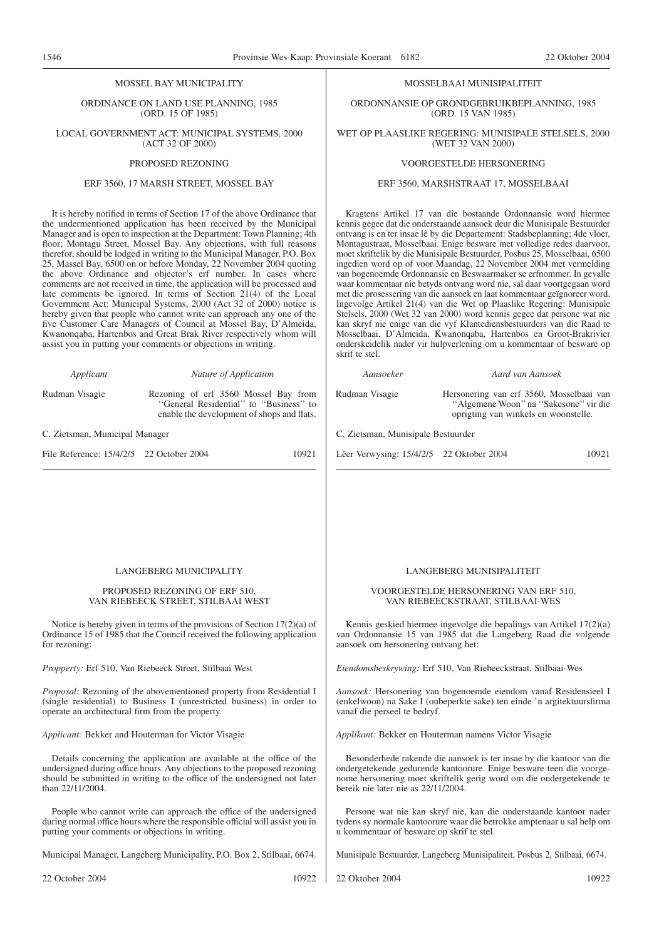1546 Provinsie Wes-Kaap: Provinsiale Koerant 6182 22 Oktober 2004

#### MOSSEL BAY MUNICIPALITY

ORDINANCE ON LAND USE PLANNING, 1985 (ORD. 15 OF 1985)

LOCAL GOVERNMENT ACT: MUNICIPAL SYSTEMS, 2000 (ACT 32 OF 2000)

# PROPOSED REZONING

#### ERF 3560, 17 MARSH STREET, MOSSEL BAY

It is hereby notified in terms of Section 17 of the above Ordinance that the undermentioned application has been received by the Municipal Manager and is open to inspection at the Department: Town Planning; 4th floor; Montagu Street, Mossel Bay. Any objections, with full reasons therefor, should be lodged in writing to the Municipal Manager, P.O. Box 25, Massel Bay, 6500 on or before Monday, 22 November 2004 quoting the above Ordinance and objector's erf number. In cases where comments are not received in time, the application will be processed and late comments be ignored. In terms of Section 21(4) of the Local Government Act: Municipal Systems, 2000 (Act 32 of 2000) notice is hereby given that people who cannot write can approach any one of the five Customer Care Managers of Council at Mossel Bay, D'Almeida, Kwanonqaba, Hartenbos and Great Brak River respectively whom will assist you in putting your comments or objections in writing.

*Applicant Nature of Application*

Rudman Visagie Rezoning of erf 3560 Mossel Bay from ''General Residential'' to ''Business'' to enable the development of shops and flats.

C. Zietsman, Municipal Manager

File Reference: 15/4/2/5 22 October 2004 10921

# LANGEBERG MUNICIPALITY

#### PROPOSED REZONING OF ERF 510, VAN RIEBEECK STREET, STILBAAI WEST

Notice is hereby given in terms of the provisions of Section 17(2)(a) of Ordinance 15 of 1985 that the Council received the following application for rezoning:

*Propperty:* Erf 510, Van Riebeeck Street, Stilbaai West

*Proposal:* Rezoning of the abovementioned property from Residential I (single residential) to Business I (unrestricted business) in order to operate an architectural firm from the property.

*Applicant:* Bekker and Houterman for Victor Visagie

Details concerning the application are available at the office of the undersigned during office hours. Any objections to the proposed rezoning should be submitted in writing to the office of the undersigned not later than 22/11/2004.

People who cannot write can approach the office of the undersigned during normal office hours where the responsible official will assist you in putting your comments or objections in writing.

Municipal Manager, Langeberg Municipality, P.O. Box 2, Stilbaai, 6674.

22 October 2004 10922

#### MOSSELBAAI MUNISIPALITEIT

ORDONNANSIE OP GRONDGEBRUIKBEPLANNING, 1985 (ORD. 15 VAN 1985)

WET OP PLAASLIKE REGERING: MUNISIPALE STELSELS, 2000 (WET 32 VAN 2000)

# VOORGESTELDE HERSONERING

#### ERF 3560, MARSHSTRAAT 17, MOSSELBAAI

Kragtens Artikel 17 van die bostaande Ordonnansie word hiermee kennis gegee dat die onderstaande aansoek deur die Munisipale Bestuurder ontvang is en ter insae lê by die Departement: Stadsbeplanning; 4de vloer, Montagustraat, Mosselbaai. Enige besware met volledige redes daarvoor, moet skriftelik by die Munisipale Bestuurder, Posbus 25, Mosselbaai, 6500 ingedien word op of voor Maandag, 22 November 2004 met vermelding van bogenoemde Ordonnansie en Beswaarmaker se erfnommer. In gevalle waar kommentaar nie betyds ontvang word nie, sal daar voortgegaan word met die prosessering van die aansoek en laat kommentaar geïgnoreer word. Ingevolge Artikel 21(4) van die Wet op Plaaslike Regering: Munisipale Stelsels, 2000 (Wet 32 van 2000) word kennis gegee dat persone wat nie kan skryf nie enige van die vyf Klantediensbestuurders van die Raad te Mosselbaai, D'Almeida, Kwanonqaba, Hartenbos en Groot-Brakrivier onderskeidelik nader vir hulpverlening om u kommentaar of besware op skrif te stel.

| Aansoeker                          | Aard van Aansoek                                                                                                          |
|------------------------------------|---------------------------------------------------------------------------------------------------------------------------|
| Rudman Visagie                     | Hersonering van erf 3560, Mosselbaai van<br>"Algemene Woon" na "Sakesone" vir die<br>oprigting van winkels en woonstelle. |
| C. Zietsman, Munisipale Bestuurder |                                                                                                                           |

Lêer Verwysing: 15/4/2/5 22 Oktober 2004 10921

# LANGEBERG MUNISIPALITEIT

#### VOORGESTELDE HERSONERING VAN ERF 510, VAN RIEBEECKSTRAAT, STILBAAI-WES

Kennis geskied hiermee ingevolge die bepalings van Artikel 17(2)(a) van Ordonnansie 15 van 1985 dat die Langeberg Raad die volgende aansoek om hersonering ontvang het:

*Eiendomsbeskrywing:* Erf 510, Van Riebeeckstraat, Stilbaai-Wes

*Aansoek:* Hersonering van bogenoemde eiendom vanaf Residensieel I (enkelwoon) na Sake I (onbeperkte sake) ten einde 'n argitektuursfirma vanaf die perseel te bedryf.

*Applikant:* Bekker en Houterman namens Victor Visagie

Besonderhede rakende die aansoek is ter insae by die kantoor van die ondergetekende gedurende kantoorure. Enige besware teen die voorgenome hersonering moet skriftelik gerig word om die ondergetekende te bereik nie later nie as 22/11/2004.

Persone wat nie kan skryf nie, kan die onderstaande kantoor nader tydens sy normale kantoorure waar die betrokke amptenaar u sal help om u kommentaar of besware op skrif te stel.

Munisipale Bestuurder, Langeberg Munisipaliteit, Posbus 2, Stilbaai, 6674.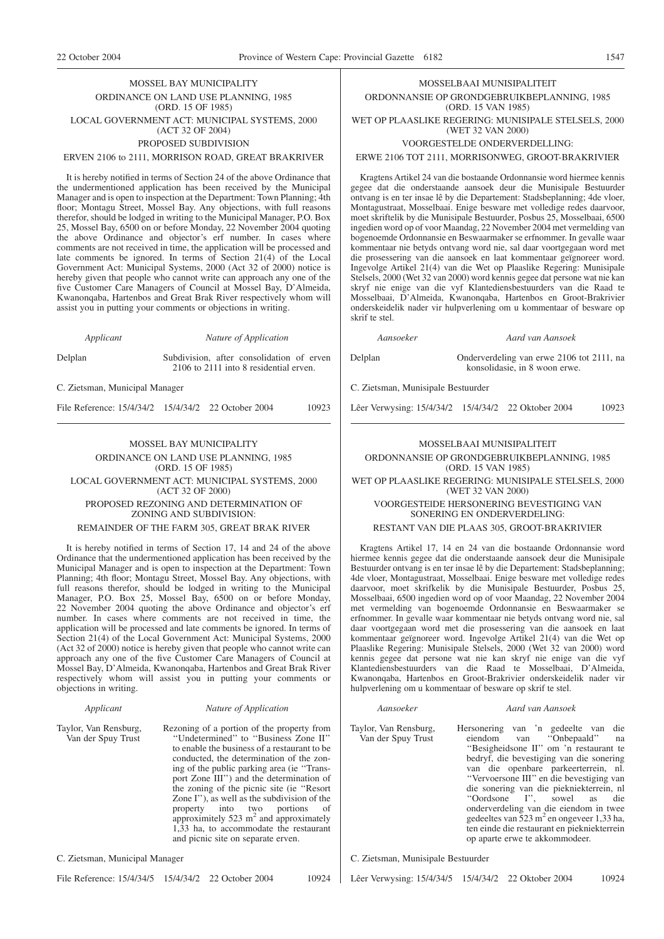# MOSSEL BAY MUNICIPALITY ORDINANCE ON LAND USE PLANNING, 1985 (ORD. 15 OF 1985) LOCAL GOVERNMENT ACT: MUNICIPAL SYSTEMS, 2000 (ACT 32 OF 2004)

# PROPOSED SUBDIVISION

#### ERVEN 2106 to 2111, MORRISON ROAD, GREAT BRAKRIVER

It is hereby notified in terms of Section 24 of the above Ordinance that the undermentioned application has been received by the Municipal Manager and is open to inspection at the Department: Town Planning; 4th floor; Montagu Street, Mossel Bay. Any objections, with full reasons therefor, should be lodged in writing to the Municipal Manager, P.O. Box 25, Mossel Bay, 6500 on or before Monday, 22 November 2004 quoting the above Ordinance and objector's erf number. In cases where comments are not received in time, the application will be processed and late comments be ignored. In terms of Section 21(4) of the Local Government Act: Municipal Systems, 2000 (Act 32 of 2000) notice is hereby given that people who cannot write can approach any one of the five Customer Care Managers of Council at Mossel Bay, D'Almeida, Kwanonqaba, Hartenbos and Great Brak River respectively whom will assist you in putting your comments or objections in writing.

| Applicant | Nature of Application |
|-----------|-----------------------|
|           |                       |

Delplan Subdivision, after consolidation of erven 2106 to 2111 into 8 residential erven.

C. Zietsman, Municipal Manager

File Reference: 15/4/34/2 15/4/34/2 22 October 2004 10923

# MOSSEL BAY MUNICIPALITY ORDINANCE ON LAND USE PLANNING, 1985 (ORD. 15 OF 1985) LOCAL GOVERNMENT ACT: MUNICIPAL SYSTEMS, 2000 (ACT 32 OF 2000) PROPOSED REZONING AND DETERMINATION OF ZONING AND SUBDIVISION:

#### REMAINDER OF THE FARM 305, GREAT BRAK RIVER

It is hereby notified in terms of Section 17, 14 and 24 of the above Ordinance that the undermentioned application has been received by the Municipal Manager and is open to inspection at the Department: Town Planning; 4th floor; Montagu Street, Mossel Bay. Any objections, with full reasons therefor, should be lodged in writing to the Municipal Manager, P.O. Box 25, Mossel Bay, 6500 on or before Monday, 22 November 2004 quoting the above Ordinance and objector's erf number. In cases where comments are not received in time, the application will be processed and late comments be ignored. In terms of Section 21(4) of the Local Government Act: Municipal Systems, 2000 (Act 32 of 2000) notice is hereby given that people who cannot write can approach any one of the five Customer Care Managers of Council at Mossel Bay, D'Almeida, Kwanonqaba, Hartenbos and Great Brak River respectively whom will assist you in putting your comments or objections in writing.

#### *Applicant Nature of Application*

Taylor, Van Rensburg, Van der Spuy Trust

Rezoning of a portion of the property from ''Undetermined'' to ''Business Zone II'' to enable the business of a restaurant to be conducted, the determination of the zoning of the public parking area (ie ''Transport Zone III'') and the determination of the zoning of the picnic site (ie ''Resort Zone I''), as well as the subdivision of the property into two portions of approximitely  $523 \text{ m}^2$  and approximately 1,33 ha, to accommodate the restaurant and picnic site on separate erven.

C. Zietsman, Municipal Manager

File Reference: 15/4/34/5 15/4/34/2 22 October 2004 10924

C. Zietsman, Munisipale Bestuurder

Lêer Verwysing: 15/4/34/5 15/4/34/2 22 Oktober 2004 10924

MOSSELBAAI MUNISIPALITEIT ORDONNANSIE OP GRONDGEBRUIKBEPLANNING, 1985 (ORD. 15 VAN 1985)

WET OP PLAASLIKE REGERING: MUNISIPALE STELSELS, 2000 (WET 32 VAN 2000)

VOORGESTELDE ONDERVERDELLING:

ERWE 2106 TOT 2111, MORRISONWEG, GROOT-BRAKRIVIER

Kragtens Artikel 24 van die bostaande Ordonnansie word hiermee kennis gegee dat die onderstaande aansoek deur die Munisipale Bestuurder ontvang is en ter insae lê by die Departement: Stadsbeplanning; 4de vloer, Montagustraat, Mosselbaai. Enige besware met volledige redes daarvoor, moet skriftelik by die Munisipale Bestuurder, Posbus 25, Mosselbaai, 6500 ingedien word op of voor Maandag, 22 November 2004 met vermelding van bogenoemde Ordonnansie en Beswaarmaker se erfnommer. In gevalle waar kommentaar nie betyds ontvang word nie, sal daar voortgegaan word met die prosessering van die aansoek en laat kommentaar geïgnoreer word. Ingevolge Artikel 21(4) van die Wet op Plaaslike Regering: Munisipale Stelsels, 2000 (Wet 32 van 2000) word kennis gegee dat persone wat nie kan skryf nie enige van die vyf Klantediensbestuurders van die Raad te Mosselbaai, D'Almeida, Kwanonqaba, Hartenbos en Groot-Brakrivier onderskeidelik nader vir hulpverlening om u kommentaar of besware op skrif te stel.

*Aansoeker Aard van Aansoek*

konsolidasie, in 8 woon erwe.

Delplan Onderverdeling van erwe 2106 tot 2111, na

C. Zietsman, Munisipale Bestuurder

Lêer Verwysing: 15/4/34/2 15/4/34/2 22 Oktober 2004 10923

# MOSSELBAAI MUNISIPALITEIT ORDONNANSIE OP GRONDGEBRUIKBEPLANNING, 1985

(ORD. 15 VAN 1985)

WET OP PLAASLIKE REGERING: MUNISIPALE STELSELS, 2000 (WET 32 VAN 2000)

VOORGESTElDE HERSONERING BEVESTIGING VAN SONERING EN ONDERVERDELING:

# RESTANT VAN DIE PLAAS 305, GROOT-BRAKRIVIER

Kragtens Artikel 17, 14 en 24 van die bostaande Ordonnansie word hiermee kennis gegee dat die onderstaande aansoek deur die Munisipale Bestuurder ontvang is en ter insae lê by die Departement: Stadsbeplanning; 4de vloer, Montagustraat, Mosselbaai. Enige besware met volledige redes daarvoor, moet skrifkelik by die Munisipale Bestuurder, Posbus 25, Mosselbaai, 6500 ingedien word op of voor Maandag, 22 November 2004 met vermelding van bogenoemde Ordonnansie en Beswaarmaker se erfnommer. In gevalle waar kommentaar nie betyds ontvang word nie, sal daar voortgegaan word met die prosessering van die aansoek en laat kommentaar geïgnoreer word. Ingevolge Artikel 21(4) van die Wet op Plaaslike Regering: Munisipale Stelsels, 2000 (Wet 32 van 2000) word kennis gegee dat persone wat nie kan skryf nie enige van die vyf Klantediensbestuurders van die Raad te Mosselbaai, D'Almeida, Kwanonqaba, Hartenbos en Groot-Brakrivier onderskeidelik nader vir hulpverlening om u kommentaar of besware op skrif te stel.

# Taylor, Van Rensburg,

Van der Spuy Trust

# *Aansoeker Aard van Aansoek*

Hersonering van 'n gedeelte van die eiendom van ''Onbepaald'' na ''Besigheidsone II'' om 'n restaurant te bedryf, die bevestiging van die sonering van die openbare parkeerterrein, nl. ''Vervoersone III'' en die bevestiging van die sonering van die piekniekterrein, nl ''Oordsone I'', sowel as die onderverdeling van die eiendom in twee gedeeltes van 523 m<sup>2</sup> en ongeveer 1,33 ha, ten einde die restaurant en piekniekterrein op aparte erwe te akkommodeer.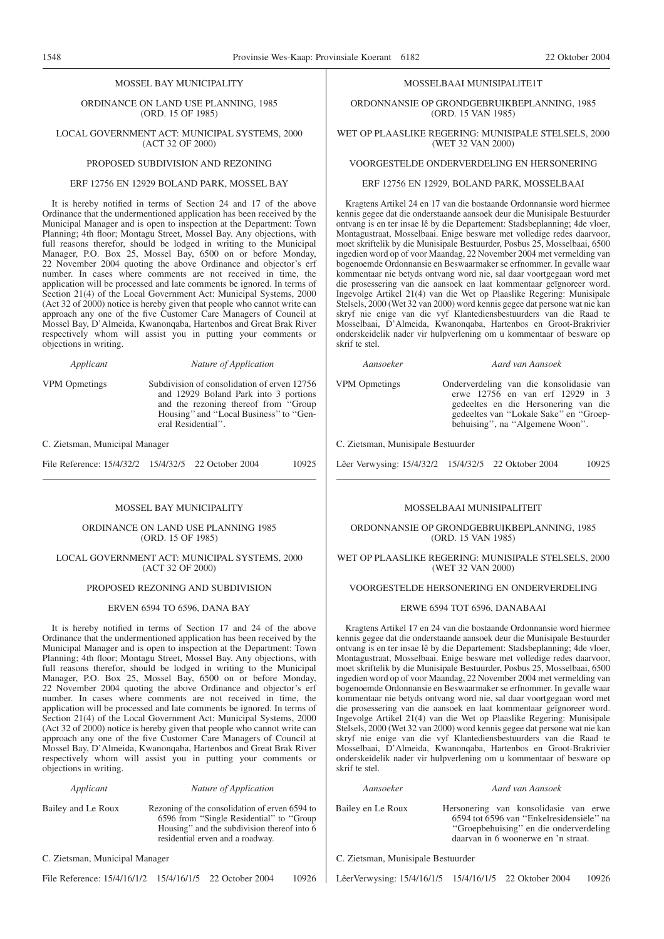#### MOSSEL BAY MUNICIPALITY

ORDINANCE ON LAND USE PLANNING, 1985 (ORD. 15 OF 1985)

#### LOCAL GOVERNMENT ACT: MUNICIPAL SYSTEMS, 2000 (ACT 32 OF 2000)

# PROPOSED SUBDIVISION AND REZONING

#### ERF 12756 EN 12929 BOLAND PARK, MOSSEL BAY

It is hereby notified in terms of Section 24 and 17 of the above Ordinance that the undermentioned application has been received by the Municipal Manager and is open to inspection at the Department: Town Planning; 4th floor; Montagu Street, Mossel Bay. Any objections, with full reasons therefor, should be lodged in writing to the Municipal Manager, P.O. Box 25, Mossel Bay, 6500 on or before Monday, 22 November 2004 quoting the above Ordinance and objector's erf number. In cases where comments are not received in time, the application will be processed and late comments be ignored. In terms of Section 21(4) of the Local Government Act: Municipal Systems, 2000 (Act 32 of 2000) notice is hereby given that people who cannot write can approach any one of the five Customer Care Managers of Council at Mossel Bay, D'Almeida, Kwanonqaba, Hartenbos and Great Brak River respectively whom will assist you in putting your comments or objections in writing.

#### *Applicant Nature of Application*

VPM Opmetings Subdivision of consolidation of erven 12756 and 12929 Boland Park into 3 portions and the rezoning thereof from ''Group Housing'' and ''Local Business'' to ''General Residential''.

C. Zietsman, Municipal Manager

| File Reference: 15/4/32/2 15/4/32/5 22 October 2004 |  |  |  |  |  | 10925 |
|-----------------------------------------------------|--|--|--|--|--|-------|
|-----------------------------------------------------|--|--|--|--|--|-------|

# MOSSEL BAY MUNICIPALITY

#### ORDINANCE ON LAND USE PLANNING 1985 (ORD. 15 OF 1985)

#### LOCAL GOVERNMENT ACT: MUNICIPAL SYSTEMS, 2000 (ACT 32 OF 2000)

#### PROPOSED REZONING AND SUBDIVISION

#### ERVEN 6594 TO 6596, DANA BAY

It is hereby notified in terms of Section 17 and 24 of the above Ordinance that the undermentioned application has been received by the Municipal Manager and is open to inspection at the Department: Town Planning; 4th floor; Montagu Street, Mossel Bay. Any objections, with full reasons therefor, should be lodged in writing to the Municipal Manager, P.O. Box 25, Mossel Bay, 6500 on or before Monday, 22 November 2004 quoting the above Ordinance and objector's erf number. In cases where comments are not received in time, the application will be processed and late comments be ignored. In terms of Section 21(4) of the Local Government Act: Municipal Systems, 2000 (Act 32 of 2000) notice is hereby given that people who cannot write can approach any one of the five Customer Care Managers of Council at Mossel Bay, D'Almeida, Kwanonqaba, Hartenbos and Great Brak River respectively whom will assist you in putting your comments or objections in writing.

*Applicant Nature of Application*

Bailey and Le Roux Rezoning of the consolidation of erven 6594 to 6596 from ''Single Residential'' to ''Group Housing'' and the subdivision thereof into 6 residential erven and a roadway.

C. Zietsman, Municipal Manager

File Reference: 15/4/16/1/2 15/4/16/1/5 22 October 2004 10926

MOSSELBAAI MUNISIPALlTE1T

ORDONNANSIE OP GRONDGEBRUIKBEPLANNING, 1985 (ORD. 15 VAN 1985)

#### WET OP PLAASLIKE REGERING: MUNISIPALE STELSELS, 2000 (WET 32 VAN 2000)

# VOORGESTELDE ONDERVERDELING EN HERSONERING

## ERF 12756 EN 12929, BOLAND PARK, MOSSELBAAI

Kragtens Artikel 24 en 17 van die bostaande Ordonnansie word hiermee kennis gegee dat die onderstaande aansoek deur die Munisipale Bestuurder ontvang is en ter insae lê by die Departement: Stadsbeplanning; 4de vloer, Montagustraat, Mosselbaai. Enige besware met volledige redes daarvoor, moet skriftelik by die Munisipale Bestuurder, Posbus 25, Mosselbaai, 6500 ingedien word op of voor Maandag, 22 November 2004 met vermelding van bogenoemde Ordonnansie en Beswaarmaker se erfnommer. In gevalle waar kommentaar nie betyds ontvang word nie, sal daar voortgegaan word met die prosessering van die aansoek en laat kommentaar geïgnoreer word. Ingevolge Artikel 21(4) van die Wet op Plaaslike Regering: Munisipale Stelsels, 2000 (Wet 32 van 2000) word kennis gegee dat persone wat nie kan skryf nie enige van die vyf Klantediensbestuurders van die Raad te Mosselbaai, D'Almeida, Kwanonqaba, Hartenbos en Groot-Brakrivier onderskeidelik nader vir hulpverlening om u kommentaar of besware op skrif te stel.

VPM Opmetings Onderverdeling van die konsolidasie van erwe 12756 en van erf 12929 in 3 gedeeltes en die Hersonering van die gedeeltes van ''Lokale Sake'' en ''Groepbehuising'', na ''Algemene Woon''.

C. Zietsman, Munisipale Bestuurder

Lêer Verwysing: 15/4/32/2 15/4/32/5 22 Oktober 2004 10925

#### MOSSELBAAI MUNISIPALITEIT

ORDONNANSIE OP GRONDGEBRUIKBEPLANNING, 1985 (ORD. 15 VAN 1985)

#### WET OP PLAASLIKE REGERING: MUNISIPALE STELSELS, 2000 (WET 32 VAN 2000)

#### VOORGESTELDE HERSONERING EN ONDERVERDELING

#### ERWE 6594 TOT 6596, DANABAAI

Kragtens Artikel 17 en 24 van die bostaande Ordonnansie word hiermee kennis gegee dat die onderstaande aansoek deur die Munisipale Bestuurder ontvang is en ter insae lê by die Departement: Stadsbeplanning; 4de vloer, Montagustraat, Mosselbaai. Enige besware met volledige redes daarvoor, moet skriftelik by die Munisipale Bestuurder, Posbus 25, Mosselbaai, 6500 ingedien word op of voor Maandag, 22 November 2004 met vermelding van bogenoemde Ordonnansie en Beswaarmaker se erfnommer. In gevalle waar kommentaar nie betyds ontvang word nie, sal daar voortgegaan word met die prosessering van die aansoek en laat kommentaar geïgnoreer word. Ingevolge Artikel 21(4) van die Wet op Plaaslike Regering: Munisipale Stelsels, 2000 (Wet 32 van 2000) word kennis gegee dat persone wat nie kan skryf nie enige van die vyf Klantediensbestuurders van die Raad te Mosselbaai, D'Almeida, Kwanonqaba, Hartenbos en Groot-Brakrivier onderskeidelik nader vir hulpverlening om u kommentaar of besware op skrif te stel.

#### *Aansoeker Aard van Aansoek*

Bailey en Le Roux Hersonering van konsolidasie van erwe 6594 tot 6596 van ''Enkelresidensiële'' na ''Groepbehuising'' en die onderverdeling daarvan in 6 woonerwe en 'n straat.

C. Zietsman, Munisipale Bestuurder

LêerVerwysing: 15/4/16/1/5 15/4/16/1/5 22 Oktober 2004 10926

#### *Aansoeker Aard van Aansoek*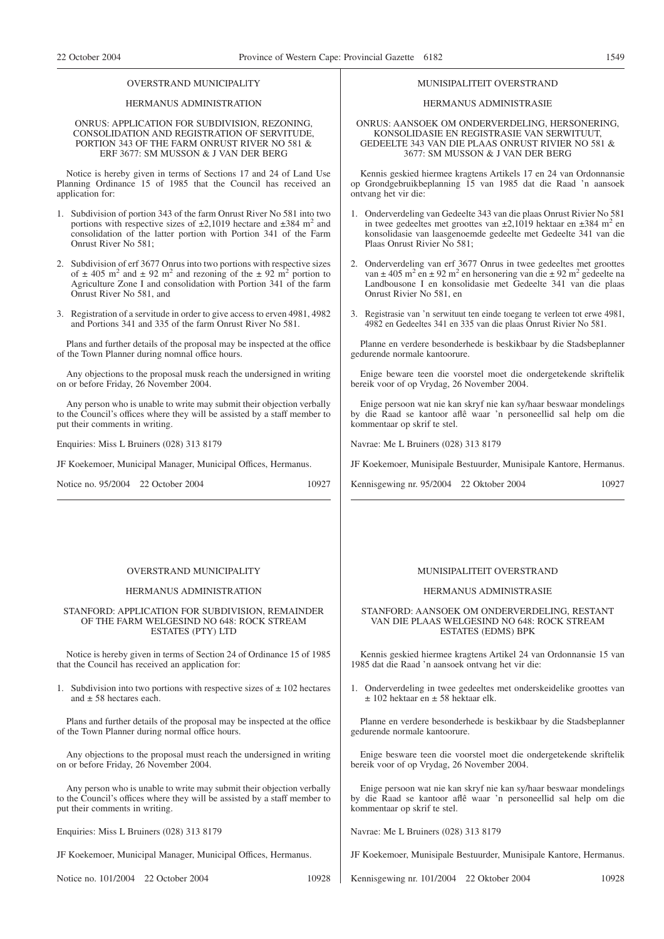### HERMANUS ADMINISTRATION

#### ONRUS: APPLICATION FOR SUBDIVISION, REZONING, CONSOLIDATION AND REGISTRATION OF SERVITUDE, PORTION 343 OF THE FARM ONRUST RIVER NO 581 & ERF 3677: SM MUSSON & J VAN DER BERG

Notice is hereby given in terms of Sections 17 and 24 of Land Use Planning Ordinance 15 of 1985 that the Council has received an application for:

- 1. Subdivision of portion 343 of the farm Onrust River No 581 into two portions with respective sizes of  $\pm 2,1019$  hectare and  $\pm 384$  m<sup>2</sup> and consolidation of the latter portion with Portion 341 of the Farm Onrust River No 581;
- 2. Subdivision of erf 3677 Onrus into two portions with respective sizes of  $\pm$  405 m<sup>2</sup> and  $\pm$  92 m<sup>2</sup> and rezoning of the  $\pm$  92 m<sup>2</sup> portion to Agriculture Zone I and consolidation with Portion 341 of the farm Onrust River No 581, and
- 3. Registration of a servitude in order to give access to erven 4981, 4982 and Portions 341 and 335 of the farm Onrust River No 581.

Plans and further details of the proposal may be inspected at the office of the Town Planner during nomnal office hours.

Any objections to the proposal musk reach the undersigned in writing on or before Friday, 26 November 2004.

Any person who is unable to write may submit their objection verbally to the Council's offices where they will be assisted by a staff member to put their comments in writing.

Enquiries: Miss L Bruiners (028) 313 8179

JF Koekemoer, Municipal Manager, Municipal Offices, Hermanus.

Notice no. 95/2004 22 October 2004 10927

#### OVERSTRAND MUNICIPALITY

#### HERMANUS ADMINISTRATION

#### STANFORD: APPLICATION FOR SUBDIVISION, REMAINDER OF THE FARM WELGESIND NO 648: ROCK STREAM ESTATES (PTY) LTD

Notice is hereby given in terms of Section 24 of Ordinance 15 of 1985 that the Council has received an application for:

1. Subdivision into two portions with respective sizes of  $\pm$  102 hectares and ± 58 hectares each.

Plans and further details of the proposal may be inspected at the office of the Town Planner during normal office hours.

Any objections to the proposal must reach the undersigned in writing on or before Friday, 26 November 2004.

Any person who is unable to write may submit their objection verbally to the Council's offices where they will be assisted by a staff member to put their comments in writing.

Enquiries: Miss L Bruiners (028) 313 8179

JF Koekemoer, Municipal Manager, Municipal Offices, Hermanus.

Notice no. 101/2004 22 October 2004 10928

#### MUNISIPALITEIT OVERSTRAND

#### HERMANUS ADMINISTRASIE

ONRUS: AANSOEK OM ONDERVERDELING, HERSONERING, KONSOLIDASIE EN REGISTRASIE VAN SERWITUUT, GEDEELTE 343 VAN DIE PLAAS ONRUST RIVIER NO 581 & 3677: SM MUSSON & J VAN DER BERG

Kennis geskied hiermee kragtens Artikels 17 en 24 van Ordonnansie op Grondgebruikbeplanning 15 van 1985 dat die Raad 'n aansoek ontvang het vir die:

- 1. Onderverdeling van Gedeelte 343 van die plaas Onrust Rivier No 581 in twee gedeeltes met groottes van  $\pm 2,1019$  hektaar en  $\pm 384$  m<sup>2</sup> en konsolidasie van laasgenoemde gedeelte met Gedeelte 341 van die Plaas Onrust Rivier No 581;
- 2. Onderverdeling van erf 3677 Onrus in twee gedeeltes met groottes van  $\pm$  405 m<sup>2</sup> en  $\pm$  92 m<sup>2</sup> en hersonering van die  $\pm$  92 m<sup>2</sup> gedeelte na Landbousone I en konsolidasie met Gedeelte 341 van die plaas Onrust Rivier No 581, en
- 3. Registrasie van 'n serwituut ten einde toegang te verleen tot erwe 4981, 4982 en Gedeeltes 341 en 335 van die plaas Onrust Rivier No 581.

Planne en verdere besonderhede is beskikbaar by die Stadsbeplanner gedurende normale kantoorure.

Enige beware teen die voorstel moet die ondergetekende skriftelik bereik voor of op Vrydag, 26 November 2004.

Enige persoon wat nie kan skryf nie kan sy/haar beswaar mondelings by die Raad se kantoor aflê waar 'n personeellid sal help om die kommentaar op skrif te stel.

Navrae: Me L Bruiners (028) 313 8179

JF Koekemoer, Munisipale Bestuurder, Munisipale Kantore, Hermanus.

Kennisgewing nr. 95/2004 22 Oktober 2004 10927

#### MUNISIPAL ITEIT OVER STRAND

#### HERMANUS ADMINlSTRASIE

#### STANFORD: AANSOEK OM ONDERVERDELING, RESTANT VAN DIE PLAAS WELGESIND NO 648: ROCK STREAM ESTATES (EDMS) BPK

Kennis geskied hiermee kragtens Artikel 24 van Ordonnansie 15 van 1985 dat die Raad 'n aansoek ontvang het vir die:

1. Onderverdeling in twee gedeeltes met onderskeidelike groottes van  $± 102$  hektaar en  $± 58$  hektaar elk.

Planne en verdere besonderhede is beskikbaar by die Stadsbeplanner gedurende normale kantoorure.

Enige besware teen die voorstel moet die ondergetekende skriftelik bereik voor of op Vrydag, 26 November 2004.

Enige persoon wat nie kan skryf nie kan sy/haar beswaar mondelings by die Raad se kantoor aflê waar 'n personeellid sal help om die kommentaar op skrif te stel.

Navrae: Me L Bruiners (028) 313 8179

JF Koekemoer, Munisipale Bestuurder, Munisipale Kantore, Hermanus.

Kennisgewing nr. 101/2004 22 Oktober 2004 10928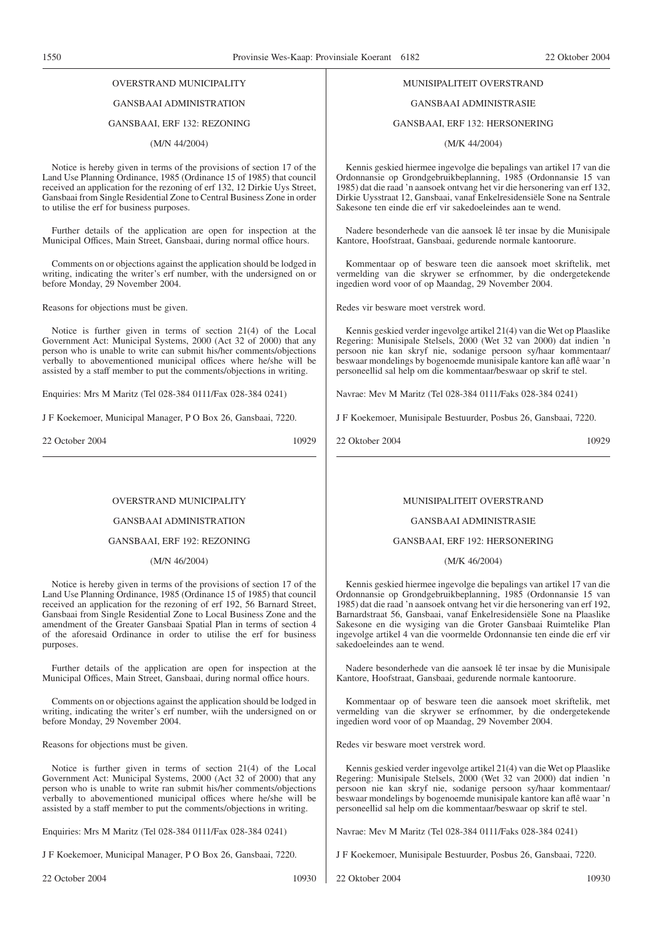GANSBAAI ADMINISTRATION

#### GANSBAAI, ERF 132: REZONING

(M/N 44/2004)

Notice is hereby given in terms of the provisions of section 17 of the Land Use Planning Ordinance, 1985 (Ordinance 15 of 1985) that council received an application for the rezoning of erf 132, 12 Dirkie Uys Street, Gansbaai from Single Residential Zone to Central Business Zone in order to utilise the erf for business purposes.

Further details of the application are open for inspection at the Municipal Offices, Main Street, Gansbaai, during normal office hours.

Comments on or objections against the application should be lodged in writing, indicating the writer's erf number, with the undersigned on or before Monday, 29 November 2004.

Reasons for objections must be given.

Notice is further given in terms of section 21(4) of the Local Government Act: Municipal Systems, 2000 (Act 32 of 2000) that any person who is unable to write can submit his/her comments/objections verbally to abovementioned municipal offices where he/she will be assisted by a staff member to put the comments/objections in writing.

Enquiries: Mrs M Maritz (Tel 028-384 0111/Fax 028-384 0241)

J F Koekemoer, Municipal Manager, P O Box 26, Gansbaai, 7220.

22 October 2004 10929

#### OVERSTRAND MUNICIPALITY

#### GANSBAAI ADMINISTRATION

#### GANSBAAI, ERF 192: REZONING

#### (M/N 46/2004)

Notice is hereby given in terms of the provisions of section 17 of the Land Use Planning Ordinance, 1985 (Ordinance 15 of 1985) that council received an application for the rezoning of erf 192, 56 Barnard Street, Gansbaai from Single Residential Zone to Local Business Zone and the amendment of the Greater Gansbaai Spatial Plan in terms of section 4 of the aforesaid Ordinance in order to utilise the erf for business purposes.

Further details of the application are open for inspection at the Municipal Offices, Main Street, Gansbaai, during normal office hours.

Comments on or objections against the application should be lodged in writing, indicating the writer's erf number, wiih the undersigned on or before Monday, 29 November 2004.

Reasons for objections must be given.

Notice is further given in terms of section 21(4) of the Local Government Act: Municipal Systems, 2000 (Act 32 of 2000) that any person who is unable to write ran submit his/her comments/objections verbally to abovementioned municipal offices where he/she will be assisted by a staff member to put the comments/objections in writing.

Enquiries: Mrs M Maritz (Tel 028-384 0111/Fax 028-384 0241)

J F Koekemoer, Municipal Manager, P O Box 26, Gansbaai, 7220.

22 October 2004 10930

#### MUNISIPALITEIT OVERSTRAND

#### GANSBAAI ADMINISTRASIE

#### GANSBAAI, ERF 132: HERSONERING

(M/K 44/2004)

Kennis geskied hiermee ingevolge die bepalings van artikel 17 van die Ordonnansie op Grondgebruikbeplanning, 1985 (Ordonnansie 15 van 1985) dat die raad 'n aansoek ontvang het vir die hersonering van erf 132, Dirkie Uysstraat 12, Gansbaai, vanaf Enkelresidensiële Sone na Sentrale Sakesone ten einde die erf vir sakedoeleindes aan te wend.

Nadere besonderhede van die aansoek lê ter insae by die Munisipale Kantore, Hoofstraat, Gansbaai, gedurende normale kantoorure.

Kommentaar op of besware teen die aansoek moet skriftelik, met vermelding van die skrywer se erfnommer, by die ondergetekende ingedien word voor of op Maandag, 29 November 2004.

Redes vir besware moet verstrek word.

Kennis geskied verder ingevolge artikel 21(4) van die Wet op Plaaslike Regering: Munisipale Stelsels, 2000 (Wet 32 van 2000) dat indien 'n persoon nie kan skryf nie, sodanige persoon sy/haar kommentaar/ beswaar mondelings by bogenoemde munisipale kantore kan aflê waar 'n personeellid sal help om die kommentaar/beswaar op skrif te stel.

Navrae: Mev M Maritz (Tel 028-384 0111/Faks 028-384 0241)

J F Koekemoer, Munisipale Bestuurder, Posbus 26, Gansbaai, 7220.

22 Oktober 2004 10929

#### MUNISIPALITEIT OVERSTRAND

#### GANSBAAI ADMINISTRASIE

#### GANSBAAI, ERF 192: HERSONERING

#### (M/K 46/2004)

Kennis geskied hiermee ingevolge die bepalings van artikel 17 van die Ordonnansie op Grondgebruikbeplanning, 1985 (Ordonnansie 15 van 1985) dat die raad 'n aansoek ontvang het vir die hersonering van erf 192, Barnardstraat 56, Gansbaai, vanaf Enkelresidensiële Sone na Plaaslike Sakesone en die wysiging van die Groter Gansbaai Ruimtelike Plan ingevolge artikel 4 van die voormelde Ordonnansie ten einde die erf vir sakedoeleindes aan te wend.

Nadere besonderhede van die aansoek lê ter insae by die Munisipale Kantore, Hoofstraat, Gansbaai, gedurende normale kantoorure.

Kommentaar op of besware teen die aansoek moet skriftelik, met vermelding van die skrywer se erfnommer, by die ondergetekende ingedien word voor of op Maandag, 29 November 2004.

Redes vir besware moet verstrek word.

Kennis geskied verder ingevolge artikel 21(4) van die Wet op Plaaslike Regering: Munisipale Stelsels, 2000 (Wet 32 van 2000) dat indien 'n persoon nie kan skryf nie, sodanige persoon sy/haar kommentaar/ beswaar mondelings by bogenoemde munisipale kantore kan aflê waar 'n personeellid sal help om die kommentaar/beswaar op skrif te stel.

Navrae: Mev M Maritz (Tel 028-384 0111/Faks 028-384 0241)

J F Koekemoer, Munisipale Bestuurder, Posbus 26, Gansbaai, 7220.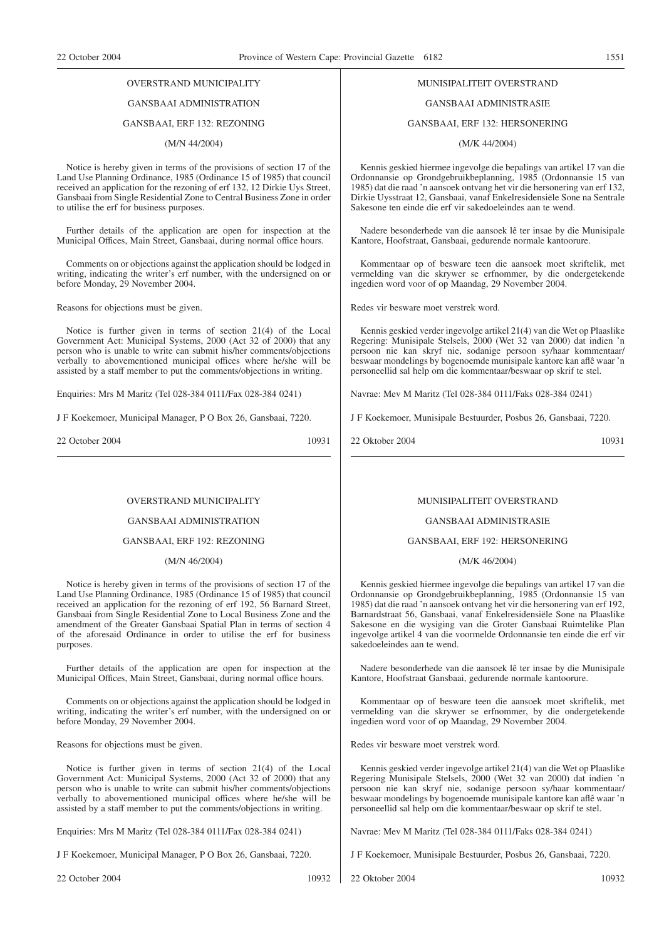# GANSBAAI ADMINISTRATION

#### GANSBAAI, ERF 132: REZONING

#### (M/N 44/2004)

Notice is hereby given in terms of the provisions of section 17 of the Land Use Planning Ordinance, 1985 (Ordinance 15 of 1985) that council received an application for the rezoning of erf 132, 12 Dirkie Uys Street, Gansbaai from Single Residential Zone to Central Business Zone in order to utilise the erf for business purposes.

Further details of the application are open for inspection at the Municipal Offices, Main Street, Gansbaai, during normal office hours.

Comments on or objections against the application should be lodged in writing, indicating the writer's erf number, with the undersigned on or before Monday, 29 November 2004.

Reasons for objections must be given.

Notice is further given in terms of section 21(4) of the Local Government Act: Municipal Systems, 2000 (Act 32 of 2000) that any person who is unable to write can submit his/her comments/objections verbally to abovementioned municipal offices where he/she will be assisted by a staff member to put the comments/objections in writing.

Enquiries: Mrs M Maritz (Tel 028-384 0111/Fax 028-384 0241)

J F Koekemoer, Municipal Manager, P O Box 26, Gansbaai, 7220.

22 October 2004 10931

#### OVERSTRAND MUNICIPALITY

# GANSBAAI ADMINISTRATION

# GANSBAAI, ERF 192: REZONING

# (M/N 46/2004)

Notice is hereby given in terms of the provisions of section 17 of the Land Use Planning Ordinance, 1985 (Ordinance 15 of 1985) that council received an application for the rezoning of erf 192, 56 Barnard Street, Gansbaai from Single Residential Zone to Local Business Zone and the amendment of the Greater Gansbaai Spatial Plan in terms of section 4 of the aforesaid Ordinance in order to utilise the erf for business purposes.

Further details of the application are open for inspection at the Municipal Offices, Main Street, Gansbaai, during normal office hours.

Comments on or objections against the application should be lodged in writing, indicating the writer's erf number, with the undersigned on or before Monday, 29 November 2004.

Reasons for objections must be given.

Notice is further given in terms of section 21(4) of the Local Government Act: Municipal Systems, 2000 (Act 32 of 2000) that any person who is unable to write can submit his/her comments/objections verbally to abovementioned municipal offices where he/she will be assisted by a staff member to put the comments/objections in writing.

Enquiries: Mrs M Maritz (Tel 028-384 0111/Fax 028-384 0241)

J F Koekemoer, Municipal Manager, P O Box 26, Gansbaai, 7220.

22 October 2004 10932

#### MUNISIPALITEIT OVERSTRAND

#### GANSBAAI ADMINISTRASIE

#### GANSBAAI, ERF 132: HERSONERING

(M/K 44/2004)

Kennis geskied hiermee ingevolge die bepalings van artikel 17 van die Ordonnansie op Grondgebruikbeplanning, 1985 (Ordonnansie 15 van 1985) dat die raad 'n aansoek ontvang het vir die hersonering van erf 132, Dirkie Uysstraat 12, Gansbaai, vanaf Enkelresidensiële Sone na Sentrale Sakesone ten einde die erf vir sakedoeleindes aan te wend.

Nadere besonderhede van die aansoek lê ter insae by die Munisipale Kantore, Hoofstraat, Gansbaai, gedurende normale kantoorure.

Kommentaar op of besware teen die aansoek moet skriftelik, met vermelding van die skrywer se erfnommer, by die ondergetekende ingedien word voor of op Maandag, 29 November 2004.

Redes vir besware moet verstrek word.

Kennis geskied verder ingevolge artikel 21(4) van die Wet op Plaaslike Regering: Munisipale Stelsels, 2000 (Wet 32 van 2000) dat indien 'n persoon nie kan skryf nie, sodanige persoon sy/haar kommentaar/ beswaar mondelings by bogenoemde munisipale kantore kan aflê waar 'n personeellid sal help om die kommentaar/beswaar op skrif te stel.

Navrae: Mev M Maritz (Tel 028-384 0111/Faks 028-384 0241)

J F Koekemoer, Munisipale Bestuurder, Posbus 26, Gansbaai, 7220.

22 Oktober 2004 10931

#### MUNISIPALITEIT OVERSTRAND

#### GANSBAAI ADMINISTRASIE

#### GANSBAAI, ERF 192: HERSONERING

#### (M/K 46/2004)

Kennis geskied hiermee ingevolge die bepalings van artikel 17 van die Ordonnansie op Grondgebruikbeplanning, 1985 (Ordonnansie 15 van 1985) dat die raad 'n aansoek ontvang het vir die hersonering van erf 192, Barnardstraat 56, Gansbaai, vanaf Enkelresidensiële Sone na Plaaslike Sakesone en die wysiging van die Groter Gansbaai Ruimtelike Plan ingevolge artikel 4 van die voormelde Ordonnansie ten einde die erf vir sakedoeleindes aan te wend.

Nadere besonderhede van die aansoek lê ter insae by die Munisipale Kantore, Hoofstraat Gansbaai, gedurende normale kantoorure.

Kommentaar op of besware teen die aansoek moet skriftelik, met vermelding van die skrywer se erfnommer, by die ondergetekende ingedien word voor of op Maandag, 29 November 2004.

Redes vir besware moet verstrek word.

Kennis geskied verder ingevolge artikel 21(4) van die Wet op Plaaslike Regering Munisipale Stelsels, 2000 (Wet 32 van 2000) dat indien 'n persoon nie kan skryf nie, sodanige persoon sy/haar kommentaar/ beswaar mondelings by bogenoemde munisipale kantore kan aflê waar 'n personeellid sal help om die kommentaar/beswaar op skrif te stel.

Navrae: Mev M Maritz (Tel 028-384 0111/Faks 028-384 0241)

J F Koekemoer, Munisipale Bestuurder, Posbus 26, Gansbaai, 7220.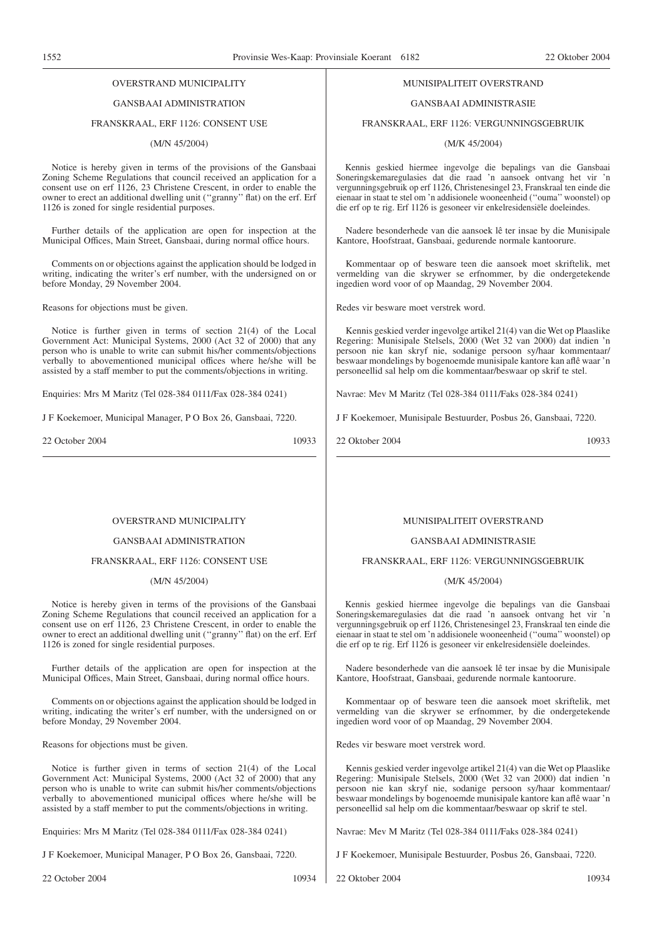# GANSBAAI ADMINISTRATION

#### FRANSKRAAL, ERF 1126: CONSENT USE

#### (M/N 45/2004)

Notice is hereby given in terms of the provisions of the Gansbaai Zoning Scheme Regulations that council received an application for a consent use on erf 1126, 23 Christene Crescent, in order to enable the owner to erect an additional dwelling unit (''granny'' flat) on the erf. Erf 1126 is zoned for single residential purposes.

Further details of the application are open for inspection at the Municipal Offices, Main Street, Gansbaai, during normal office hours.

Comments on or objections against the application should be lodged in writing, indicating the writer's erf number, with the undersigned on or before Monday, 29 November 2004.

Reasons for objections must be given.

Notice is further given in terms of section 21(4) of the Local Government Act: Municipal Systems, 2000 (Act 32 of 2000) that any person who is unable to write can submit his/her comments/objections verbally to abovementioned municipal offices where he/she will be assisted by a staff member to put the comments/objections in writing.

Enquiries: Mrs M Maritz (Tel 028-384 0111/Fax 028-384 0241)

J F Koekemoer, Municipal Manager, P O Box 26, Gansbaai, 7220.

22 October 2004 10933

## OVERSTRAND MUNICIPALITY

#### GANSBAAI ADMINISTRATION

#### FRANSKRAAL, ERF 1126: CONSENT USE

#### (M/N 45/2004)

Notice is hereby given in terms of the provisions of the Gansbaai Zoning Scheme Regulations that council received an application for a consent use on erf 1126, 23 Christene Crescent, in order to enable the owner to erect an additional dwelling unit (''granny'' flat) on the erf. Erf 1126 is zoned for single residential purposes.

Further details of the application are open for inspection at the Municipal Offices, Main Street, Gansbaai, during normal office hours.

Comments on or objections against the application should be lodged in writing, indicating the writer's erf number, with the undersigned on or before Monday, 29 November 2004.

Reasons for objections must be given.

Notice is further given in terms of section 21(4) of the Local Government Act: Municipal Systems, 2000 (Act 32 of 2000) that any person who is unable to write can submit his/her comments/objections verbally to abovementioned municipal offices where he/she will be assisted by a staff member to put the comments/objections in writing.

Enquiries: Mrs M Maritz (Tel 028-384 0111/Fax 028-384 0241)

J F Koekemoer, Municipal Manager, P O Box 26, Gansbaai, 7220.

22 October 2004 10934

#### MUNISIPALITEIT OVERSTRAND

#### GANSBAAI ADMINISTRASIE

# FRANSKRAAL, ERF 1126: VERGUNNINGSGEBRUIK

(M/K 45/2004)

Kennis geskied hiermee ingevolge die bepalings van die Gansbaai Soneringskemaregulasies dat die raad 'n aansoek ontvang het vir 'n vergunningsgebruik op erf 1126, Christenesingel 23, Franskraal ten einde die eienaar in staat te stel om 'n addisionele wooneenheid (''ouma'' woonstel) op die erf op te rig. Erf 1126 is gesoneer vir enkelresidensiële doeleindes.

Nadere besonderhede van die aansoek lê ter insae by die Munisipale Kantore, Hoofstraat, Gansbaai, gedurende normale kantoorure.

Kommentaar op of besware teen die aansoek moet skriftelik, met vermelding van die skrywer se erfnommer, by die ondergetekende ingedien word voor of op Maandag, 29 November 2004.

Redes vir besware moet verstrek word.

Kennis geskied verder ingevolge artikel 21(4) van die Wet op Plaaslike Regering: Munisipale Stelsels, 2000 (Wet 32 van 2000) dat indien 'n persoon nie kan skryf nie, sodanige persoon sy/haar kommentaar/ beswaar mondelings by bogenoemde munisipale kantore kan aflê waar 'n personeellid sal help om die kommentaar/beswaar op skrif te stel.

Navrae: Mev M Maritz (Tel 028-384 0111/Faks 028-384 0241)

J F Koekemoer, Munisipale Bestuurder, Posbus 26, Gansbaai, 7220.

22 Oktober 2004 10933

# MUNISIPALITEIT OVERSTRAND

#### GANSBAAI ADMINISTRASIE

# FRANSKRAAL, ERF 1126: VERGUNNINGSGEBRUIK

#### (M/K 45/2004)

Kennis geskied hiermee ingevolge die bepalings van die Gansbaai Soneringskemaregulasies dat die raad 'n aansoek ontvang het vir 'n vergunningsgebruik op erf 1126, Christenesingel 23, Franskraal ten einde die eienaar in staat te stel om 'n addisionele wooneenheid (''ouma'' woonstel) op die erf op te rig. Erf 1126 is gesoneer vir enkelresidensiële doeleindes.

Nadere besonderhede van die aansoek lê ter insae by die Munisipale Kantore, Hoofstraat, Gansbaai, gedurende normale kantoorure.

Kommentaar op of besware teen die aansoek moet skriftelik, met vermelding van die skrywer se erfnommer, by die ondergetekende ingedien word voor of op Maandag, 29 November 2004.

Redes vir besware moet verstrek word.

Kennis geskied verder ingevolge artikel 21(4) van die Wet op Plaaslike Regering: Munisipale Stelsels, 2000 (Wet 32 van 2000) dat indien 'n persoon nie kan skryf nie, sodanige persoon sy/haar kommentaar/ beswaar mondelings by bogenoemde munisipale kantore kan aflê waar 'n personeellid sal help om die kommentaar/beswaar op skrif te stel.

Navrae: Mev M Maritz (Tel 028-384 0111/Faks 028-384 0241)

J F Koekemoer, Munisipale Bestuurder, Posbus 26, Gansbaai, 7220.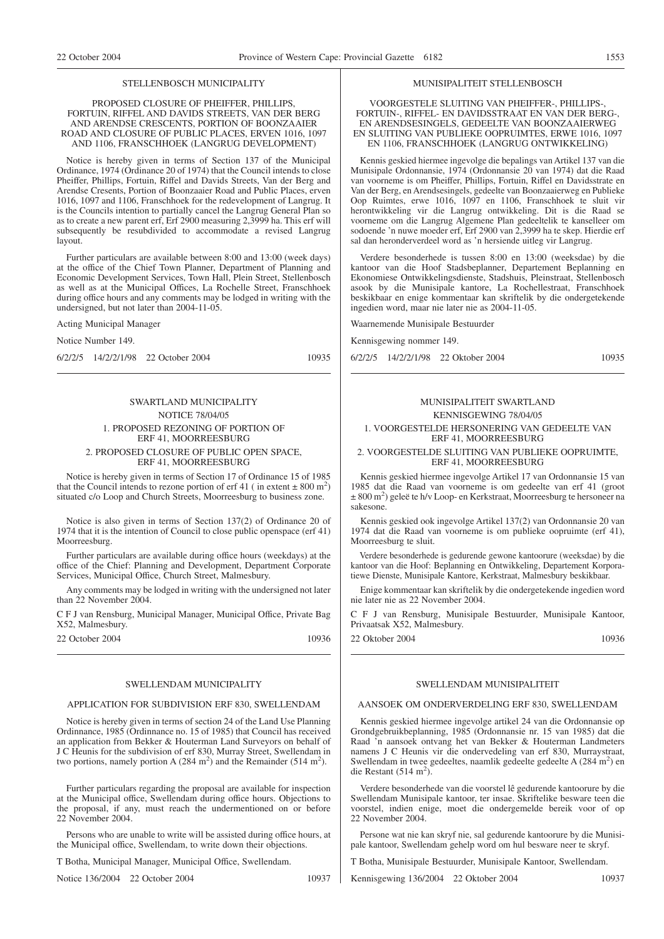# STELLENBOSCH MUNICIPALITY

#### PROPOSED CLOSURE OF PHEIFFER, PHILLIPS, FORTUIN, RIFFEL AND DAVIDS STREETS, VAN DER BERG AND ARENDSE CRESCENTS, PORTION OF BOONZAAIER ROAD AND CLOSURE OF PUBLIC PLACES, ERVEN 1016, 1097 AND 1106, FRANSCHHOEK (LANGRUG DEVELOPMENT)

Notice is hereby given in terms of Section 137 of the Municipal Ordinance, 1974 (Ordinance 20 of 1974) that the Council intends to close Pheiffer, Phillips, Fortuin, Riffel and Davids Streets, Van der Berg and Arendse Cresents, Portion of Boonzaaier Road and Public Places, erven 1016, 1097 and 1106, Franschhoek for the redevelopment of Langrug. It is the Councils intention to partially cancel the Langrug General Plan so as to create a new parent erf, Erf 2900 measuring 2,3999 ha. This erf will subsequently be resubdivided to accommodate a revised Langrug layout.

Further particulars are available between 8:00 and 13:00 (week days) at the office of the Chief Town Planner, Department of Planning and Economic Development Services, Town Hall, Plein Street, Stellenbosch as well as at the Municipal Offices, La Rochelle Street, Franschhoek during office hours and any comments may be lodged in writing with the undersigned, but not later than 2004-11-05.

Acting Municipal Manager

Notice Number 149.

6/2/2/5 14/2/2/1/98 22 October 2004 10935

## SWARTLAND MUNICIPALITY NOTICE 78/04/05 1. PROPOSED REZONING OF PORTION OF ERF 41, MOORREESBURG 2. PROPOSED CLOSURE OF PUBLIC OPEN SPACE, ERF 41, MOORREESBURG

Notice is hereby given in terms of Section 17 of Ordinance 15 of 1985 that the Council intends to rezone portion of erf 41 (in extent  $\pm 800$  m<sup>2</sup>) situated c/o Loop and Church Streets, Moorreesburg to business zone.

Notice is also given in terms of Section 137(2) of Ordinance 20 of 1974 that it is the intention of Council to close public openspace (erf 41) Moorreesburg.

Further particulars are available during office hours (weekdays) at the office of the Chief: Planning and Development, Department Corporate Services, Municipal Office, Church Street, Malmesbury.

Any comments may be lodged in writing with the undersigned not later than 22 November 2004.

C F J van Rensburg, Municipal Manager, Municipal Office, Private Bag X52, Malmesbury.

22 October 2004 10936

#### SWELLENDAM MUNICIPALITY

#### APPLICATION FOR SUBDIVISION ERF 830, SWELLENDAM

Notice is hereby given in terms of section 24 of the Land Use Planning Ordinnance, 1985 (Ordinnance no. 15 of 1985) that Council has received an application from Bekker & Houterman Land Surveyors on behalf of J C Heunis for the subdivision of erf 830, Murray Street, Swellendam in two portions, namely portion A  $(284 \text{ m}^2)$  and the Remainder  $(514 \text{ m}^2)$ .

Further particulars regarding the proposal are available for inspection at the Municipal office, Swellendam during office hours. Objections to the proposal, if any, must reach the undermentioned on or before 22 November 2004.

Persons who are unable to write will be assisted during office hours, at the Municipal office, Swellendam, to write down their objections.

T Botha, Municipal Manager, Municipal Office, Swellendam.

Notice 136/2004 22 October 2004 10937

#### MUNISIPALITEIT STELLENBOSCH

VOORGESTELE SLUITING VAN PHEIFFER-, PHILLIPS-, FORTUIN-, RIFFEL- EN DAVIDSSTRAAT EN VAN DER BERG-, EN ARENDSESINGELS, GEDEELTE VAN BOONZAAIERWEG EN SLUITING VAN PUBLIEKE OOPRUIMTES, ERWE 1016, 1097 EN 1106, FRANSCHHOEK (LANGRUG ONTWIKKELING)

Kennis geskied hiermee ingevolge die bepalings van Artikel 137 van die Munisipale Ordonnansie, 1974 (Ordonnansie 20 van 1974) dat die Raad van voorneme is om Pheiffer, Phillips, Fortuin, Riffel en Davidsstrate en Van der Berg, en Arendsesingels, gedeelte van Boonzaaierweg en Publieke Oop Ruimtes, erwe 1016, 1097 en 1106, Franschhoek te sluit vir herontwikkeling vir die Langrug ontwikkeling. Dit is die Raad se voorneme om die Langrug Algemene Plan gedeeltelik te kanselleer om sodoende 'n nuwe moeder erf, Erf 2900 van 2,3999 ha te skep. Hierdie erf sal dan heronderverdeel word as 'n hersiende uitleg vir Langrug.

Verdere besonderhede is tussen 8:00 en 13:00 (weeksdae) by die kantoor van die Hoof Stadsbeplanner, Departement Beplanning en Ekonomiese Ontwikkelingsdienste, Stadshuis, Pleinstraat, Stellenbosch asook by die Munisipale kantore, La Rochellestraat, Franschhoek beskikbaar en enige kommentaar kan skriftelik by die ondergetekende ingedien word, maar nie later nie as 2004-11-05.

Waarnemende Munisipale Bestuurder

Kennisgewing nommer 149.

6/2/2/5 14/2/2/1/98 22 Oktober 2004 10935

# MUNISIPALITEIT SWARTLAND KENNISGEWING 78/04/05 1. VOORGESTELDE HERSONERING VAN GEDEELTE VAN ERF 41, MOORREESBURG

#### 2. VOORGESTELDE SLUITING VAN PUBLIEKE OOPRUIMTE, ERF 41, MOORREESBURG

Kennis geskied hiermee ingevolge Artikel 17 van Ordonnansie 15 van 1985 dat die Raad van voorneme is om gedeelte van erf 41 (groot ± 800 m2 ) geleë te h/v Loop- en Kerkstraat, Moorreesburg te hersoneer na sakesone.

Kennis geskied ook ingevolge Artikel 137(2) van Ordonnansie 20 van 1974 dat die Raad van voorneme is om publieke oopruimte (erf 41), Moorreesburg te sluit.

Verdere besonderhede is gedurende gewone kantoorure (weeksdae) by die kantoor van die Hoof: Beplanning en Ontwikkeling, Departement Korporatiewe Dienste, Munisipale Kantore, Kerkstraat, Malmesbury beskikbaar.

Enige kommentaar kan skriftelik by die ondergetekende ingedien word nie later nie as 22 November 2004.

C F J van Rensburg, Munisipale Bestuurder, Munisipale Kantoor, Privaatsak X52, Malmesbury.

22 Oktober 2004 10936

#### SWELLENDAM MUNISIPALITEIT

#### AANSOEK OM ONDERVERDELING ERF 830, SWELLENDAM

Kennis geskied hiermee ingevolge artikel 24 van die Ordonnansie op Grondgebruikbeplanning, 1985 (Ordonnansie nr. 15 van 1985) dat die Raad 'n aansoek ontvang het van Bekker & Houterman Landmeters namens J C Heunis vir die ondervedeling van erf 830, Murraystraat, Swellendam in twee gedeeltes, naamlik gedeelte gedeelte A  $(284 \text{ m}^2)$  en die Restant  $(514 \text{ m}^2)$ .

Verdere besonderhede van die voorstel lê gedurende kantoorure by die Swellendam Munisipale kantoor, ter insae. Skriftelike besware teen die voorstel, indien enige, moet die ondergemelde bereik voor of op 22 November 2004.

Persone wat nie kan skryf nie, sal gedurende kantoorure by die Munisipale kantoor, Swellendam gehelp word om hul besware neer te skryf.

T Botha, Munisipale Bestuurder, Munisipale Kantoor, Swellendam.

Kennisgewing 136/2004 22 Oktober 2004 10937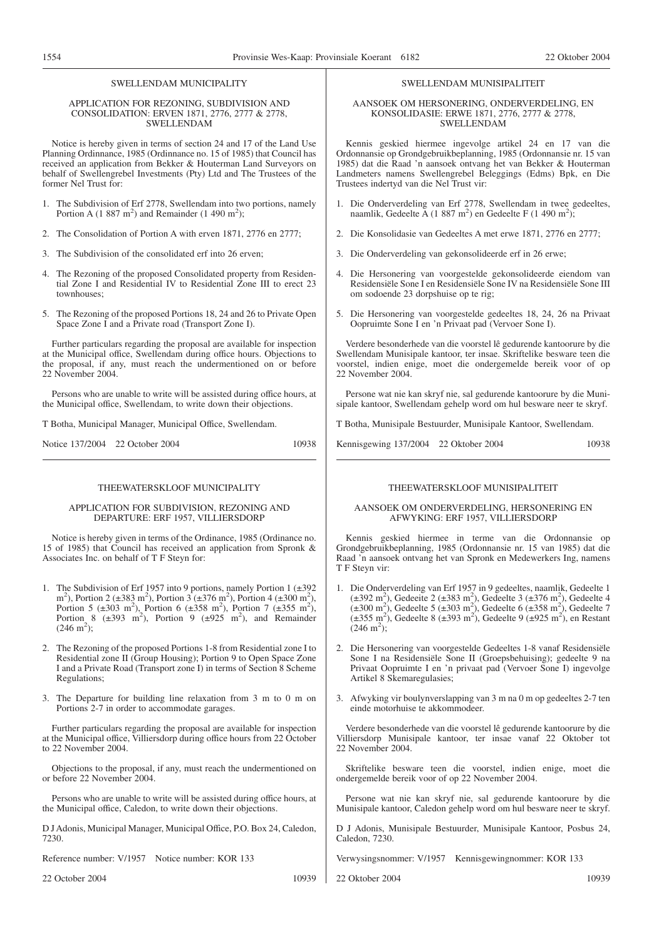#### SWELLENDAM MUNICIPALITY

#### APPLICATION FOR REZONING, SUBDIVISION AND CONSOLIDATION: ERVEN 1871, 2776, 2777 & 2778, SWELLENDAM

Notice is hereby given in terms of section 24 and 17 of the Land Use Planning Ordinnance, 1985 (Ordinnance no. 15 of 1985) that Council has received an application from Bekker & Houterman Land Surveyors on behalf of Swellengrebel Investments (Pty) Ltd and The Trustees of the former Nel Trust for:

- 1. The Subdivision of Erf 2778, Swellendam into two portions, namely Portion A  $(1\ 887\ m^2)$  and Remainder  $(1\ 490\ m^2)$ ;
- 2. The Consolidation of Portion A with erven 1871, 2776 en 2777;
- 3. The Subdivision of the consolidated erf into 26 erven;
- 4. The Rezoning of the proposed Consolidated property from Residential Zone I and Residential IV to Residential Zone III to erect 23 townhouses;
- 5. The Rezoning of the proposed Portions 18, 24 and 26 to Private Open Space Zone I and a Private road (Transport Zone I).

Further particulars regarding the proposal are available for inspection at the Municipal office, Swellendam during office hours. Objections to the proposal, if any, must reach the undermentioned on or before 22 November 2004.

Persons who are unable to write will be assisted during office hours, at the Municipal office, Swellendam, to write down their objections.

T Botha, Municipal Manager, Municipal Office, Swellendam.

Notice 137/2004 22 October 2004 10938

# THEEWATERSKLOOF MUNICIPALITY

#### APPLICATION FOR SUBDIVISION, REZONING AND DEPARTURE: ERF 1957, VILLIERSDORP

Notice is hereby given in terms of the Ordinance, 1985 (Ordinance no. 15 of 1985) that Council has received an application from Spronk & Associates Inc. on behalf of T F Steyn for:

- 1. The Subdivision of Erf 1957 into 9 portions, namely Portion 1  $(\pm 392)$ m<sup>2</sup>), Portion 2 ( $\pm 383$  m<sup>2</sup>), Portion 3 ( $\pm 376$  m<sup>2</sup>), Portion 4 ( $\pm 300$  m<sup>2</sup>), Portion 5 ( $\pm 303$  m<sup>2</sup>), Portion 6 ( $\pm 358$  m<sup>2</sup>), Portion 7 ( $\pm 355$  m<sup>2</sup>), Portion 8 ( $\pm$ 393 m<sup>2</sup>), Portion 9 ( $\pm$ 925 m<sup>2</sup>), and Remainder  $(246 \text{ m}^2);$
- 2. The Rezoning of the proposed Portions 1-8 from Residential zone I to Residential zone II (Group Housing); Portion 9 to Open Space Zone I and a Private Road (Transport zone I) in terms of Section 8 Scheme Regulations;
- 3. The Departure for building line relaxation from 3 m to 0 m on Portions 2-7 in order to accommodate garages.

Further particulars regarding the proposal are available for inspection at the Municipal office, Villiersdorp during office hours from 22 October to 22 November 2004.

Objections to the proposal, if any, must reach the undermentioned on or before 22 November 2004.

Persons who are unable to write will be assisted during office hours, at the Municipal office, Caledon, to write down their objections.

D J Adonis, Municipal Manager, Municipal Office, P.O. Box 24, Caledon, 7230.

Reference number: V/1957 Notice number: KOR 133

22 October 2004 10939

#### SWELLENDAM MUNISIPALITEIT

#### AANSOEK OM HERSONERING, ONDERVERDELING, EN KONSOLIDASIE: ERWE 1871, 2776, 2777 & 2778, SWELLENDAM

Kennis geskied hiermee ingevolge artikel 24 en 17 van die Ordonnansie op Grondgebruikbeplanning, 1985 (Ordonnansie nr. 15 van 1985) dat die Raad 'n aansoek ontvang het van Bekker & Houterman Landmeters namens Swellengrebel Beleggings (Edms) Bpk, en Die Trustees indertyd van die Nel Trust vir:

- 1. Die Onderverdeling van Erf 2778, Swellendam in twee gedeeltes, naamlik, Gedeelte A (1 887 m<sup>2</sup>) en Gedeelte F (1 490 m<sup>2</sup>);
- 2. Die Konsolidasie van Gedeeltes A met erwe 1871, 2776 en 2777;
- 3. Die Onderverdeling van gekonsolideerde erf in 26 erwe;
- 4. Die Hersonering van voorgestelde gekonsolideerde eiendom van Residensiële Sone I en Residensiële Sone IV na Residensiële Sone III om sodoende 23 dorpshuise op te rig;
- 5. Die Hersonering van voorgestelde gedeeltes 18, 24, 26 na Privaat Oopruimte Sone I en 'n Privaat pad (Vervoer Sone I).

Verdere besonderhede van die voorstel lê gedurende kantoorure by die Swellendam Munisipale kantoor, ter insae. Skriftelike besware teen die voorstel, indien enige, moet die ondergemelde bereik voor of op 22 November 2004.

Persone wat nie kan skryf nie, sal gedurende kantoorure by die Munisipale kantoor, Swellendam gehelp word om hul besware neer te skryf.

T Botha, Munisipale Bestuurder, Munisipale Kantoor, Swellendam.

Kennisgewing 137/2004 22 Oktober 2004 10938

# THEEWATERSKLOOF MUNISIPALITEIT

#### AANSOEK OM ONDERVERDELING, HERSONERlNG EN AFWYKlNG: ERF 1957, VILLIERSDORP

Kennis geskied hiermee in terme van die Ordonnansie op Grondgebruikbeplanning, 1985 (Ordonnansie nr. 15 van 1985) dat die Raad 'n aansoek ontvang het van Spronk en Medewerkers Ing, namens T F Steyn vir:

- 1. Die Onderverdeling van Erf 1957 in 9 gedeeltes, naamlik, Gedeelte 1  $(\pm 392 \text{ m}^2)$ , Gedeeite 2 ( $\pm 383 \text{ m}^2$ ), Gedeelte 3 ( $\pm 376 \text{ m}^2$ ), Gedeelte 4  $(\pm 300 \text{ m}^2)$ , Gedeelte 5  $(\pm 303 \text{ m}^2)$ , Gedeelte 6  $(\pm 358 \text{ m}^2)$ , Gedeelte 7  $(\pm 355 \text{ m}^2)$ , Gedeelte 8  $(\pm 393 \text{ m}^2)$ , Gedeelte 9  $(\pm 925 \text{ m}^2)$ , en Restant  $(246 \text{ m}^2);$
- 2. Die Hersonering van voorgestelde Gedeeltes 1-8 vanaf Residensiële Sone I na Residensiële Sone II (Groepsbehuising); gedeelte 9 na Privaat Oopruimte I en 'n privaat pad (Vervoer Sone I) ingevolge Artikel 8 Skemaregulasies;
- 3. Afwyking vir boulynverslapping van 3 m na 0 m op gedeeltes 2-7 ten einde motorhuise te akkommodeer.

Verdere besonderhede van die voorstel lê gedurende kantoorure by die Villiersdorp Munisipale kantoor, ter insae vanaf 22 Oktober tot 22 November 2004.

Skriftelike besware teen die voorstel, indien enige, moet die ondergemelde bereik voor of op 22 November 2004.

Persone wat nie kan skryf nie, sal gedurende kantoorure by die Munisipale kantoor, Caledon gehelp word om hul besware neer te skryf.

D J Adonis, Munisipale Bestuurder, Munisipale Kantoor, Posbus 24, Caledon, 7230.

Verwysingsnommer: V/1957 Kennisgewingnommer: KOR 133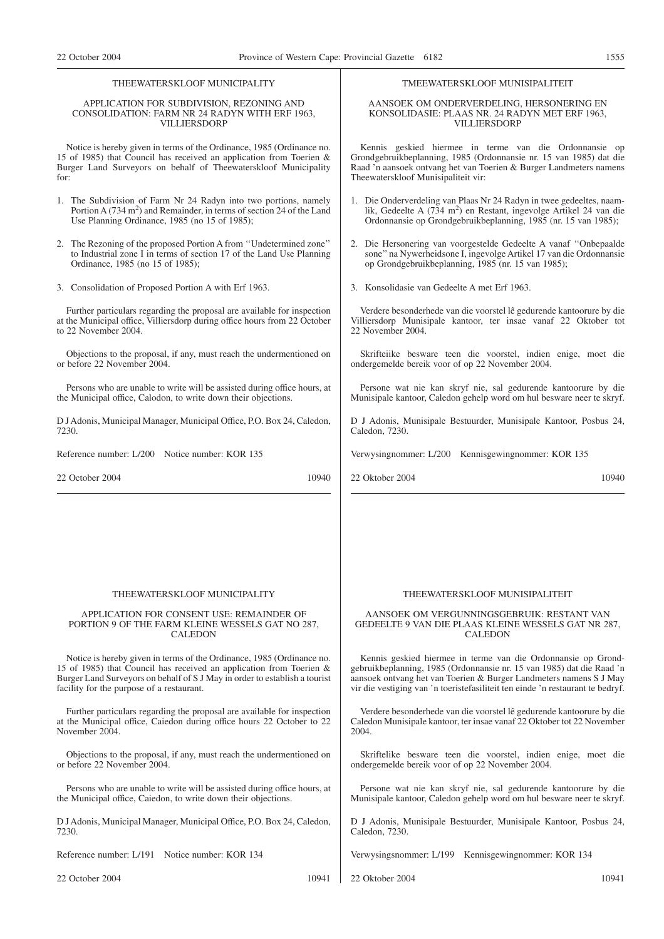## THEEWATERSKLOOF MUNICIPALITY

#### APPLICATION FOR SUBDIVISION, REZONING AND CONSOLIDATION: FARM NR 24 RADYN WITH ERF 1963, VILLIERSDORP

Notice is hereby given in terms of the Ordinance, 1985 (Ordinance no. 15 of 1985) that Council has received an application from Toerien & Burger Land Surveyors on behalf of Theewaterskloof Municipality for:

- 1. The Subdivision of Farm Nr 24 Radyn into two portions, namely Portion A  $(734 \text{ m}^2)$  and Remainder, in terms of section 24 of the Land Use Planning Ordinance, 1985 (no 15 of 1985);
- 2. The Rezoning of the proposed Portion A from ''Undetermined zone'' to Industrial zone I in terms of section 17 of the Land Use Planning Ordinance, 1985 (no 15 of 1985);
- 3. Consolidation of Proposed Portion A with Erf 1963.

Further particulars regarding the proposal are available for inspection at the Municipal office, Villiersdorp during office hours from 22 October to 22 November 2004

Objections to the proposal, if any, must reach the undermentioned on or before 22 November 2004.

Persons who are unable to write will be assisted during office hours, at the Municipal office, Calodon, to write down their objections.

D J Adonis, Municipal Manager, Municipal Office, P.O. Box 24, Caledon, 7230.

Reference number: L/200 Notice number: KOR 135

22 October 2004 10940

# TMEEWATERSKLOOF MUNISIPALITEIT

#### AANSOEK OM ONDERVERDELING, HERSONERING EN KONSOLIDASIE: PLAAS NR. 24 RADYN MET ERF 1963, **VILLIERSDORP**

Kennis geskied hiermee in terme van die Ordonnansie op Grondgebruikbeplanning, 1985 (Ordonnansie nr. 15 van 1985) dat die Raad 'n aansoek ontvang het van Toerien & Burger Landmeters namens Theewaterskloof Munisipaliteit vir:

- 1. Die Onderverdeling van Plaas Nr 24 Radyn in twee gedeeltes, naamlik, Gedeelte A (734 m<sup>2</sup>) en Restant, ingevolge Artikel 24 van die Ordonnansie op Grondgebruikbeplanning, 1985 (nr. 15 van 1985);
- 2. Die Hersonering van voorgestelde Gedeelte A vanaf ''Onbepaalde sone'' na Nywerheidsone I, ingevolge Artikel 17 van die Ordonnansie op Grondgebruikbeplanning, 1985 (nr. 15 van 1985);
- 3. Konsolidasie van Gedeelte A met Erf 1963.

Verdere besonderhede van die voorstel lê gedurende kantoorure by die Villiersdorp Munisipale kantoor, ter insae vanaf 22 Oktober tot 22 November 2004.

Skrifteiike besware teen die voorstel, indien enige, moet die ondergemelde bereik voor of op 22 November 2004.

Persone wat nie kan skryf nie, sal gedurende kantoorure by die Munisipale kantoor, Caledon gehelp word om hul besware neer te skryf.

D J Adonis, Munisipale Bestuurder, Munisipale Kantoor, Posbus 24, Caledon, 7230.

Verwysingnommer: L/200 Kennisgewingnommer: KOR 135

22 Oktober 2004 10940

#### THEEWATERSKLOOF MUNICIPALITY

#### APPLICATION FOR CONSENT USE: REMAINDER OF PORTION 9 OF THE FARM KLEINE WESSELS GAT NO 287, CALEDON

Notice is hereby given in terms of the Ordinance, 1985 (Ordinance no. 15 of 1985) that Council has received an application from Toerien & Burger Land Surveyors on behalf of S J May in order to establish a tourist facility for the purpose of a restaurant.

Further particulars regarding the proposal are available for inspection at the Municipal office, Caiedon during office hours 22 October to 22 November 2004

Objections to the proposal, if any, must reach the undermentioned on or before 22 November 2004.

Persons who are unable to write will be assisted during office hours, at the Municipal office, Caiedon, to write down their objections.

D J Adonis, Municipal Manager, Municipal Office, P.O. Box 24, Caledon, 7230.

Reference number: L/191 Notice number: KOR 134

22 October 2004 10941

#### THEEWATERSKLOOF MUNISIPALITEIT

#### AANSOEK OM VERGUNNINGSGEBRUIK: RESTANT VAN GEDEELTE 9 VAN DIE PLAAS KLEINE WESSELS GAT NR 287, CALEDON

Kennis geskied hiermee in terme van die Ordonnansie op Grondgebruikbeplanning, 1985 (Ordonnansie nr. 15 van 1985) dat die Raad 'n aansoek ontvang het van Toerien & Burger Landmeters namens S J May vir die vestiging van 'n toeristefasiliteit ten einde 'n restaurant te bedryf.

Verdere besonderhede van die voorstel lê gedurende kantoorure by die Caledon Munisipale kantoor, ter insae vanaf 22 Oktober tot 22 November 2004.

Skriftelike besware teen die voorstel, indien enige, moet die ondergemelde bereik voor of op 22 November 2004.

Persone wat nie kan skryf nie, sal gedurende kantoorure by die Munisipale kantoor, Caledon gehelp word om hul besware neer te skryf.

D J Adonis, Munisipale Bestuurder, Munisipale Kantoor, Posbus 24, Caledon, 7230.

Verwysingsnommer: L/199 Kennisgewingnommer: KOR 134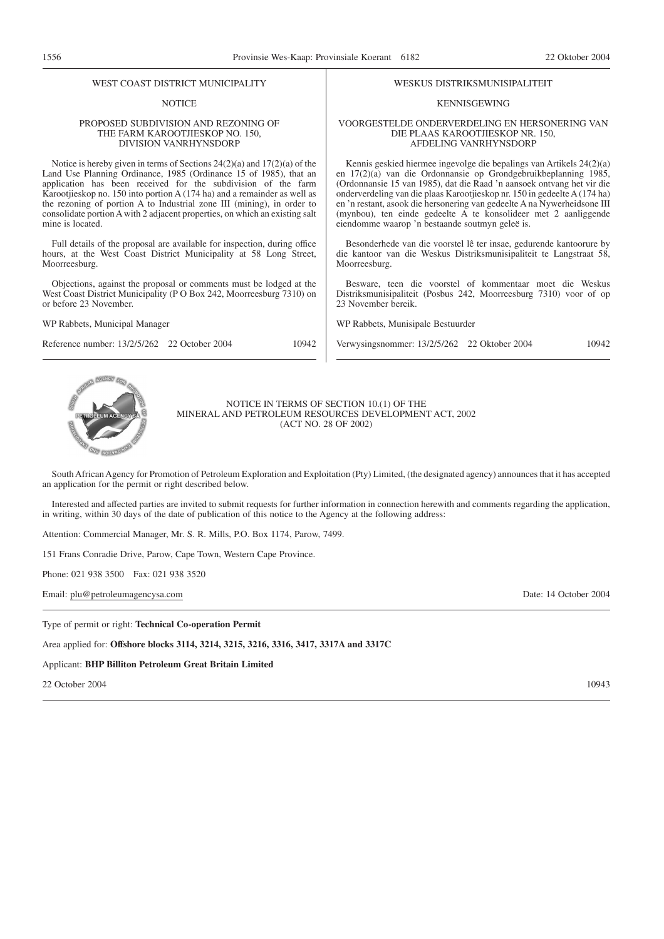#### WEST COAST DISTRICT MUNICIPALITY

# **NOTICE**

#### PROPOSED SUBDIVISION AND REZONING OF THE FARM KAROOTJIESKOP NO. 150, DIVISION VANRHYNSDORP

Notice is hereby given in terms of Sections 24(2)(a) and 17(2)(a) of the Land Use Planning Ordinance, 1985 (Ordinance 15 of 1985), that an application has been received for the subdivision of the farm Karootjieskop no. 150 into portion A (174 ha) and a remainder as well as the rezoning of portion A to Industrial zone III (mining), in order to consolidate portion A with 2 adjacent properties, on which an existing salt mine is located.

Full details of the proposal are available for inspection, during office hours, at the West Coast District Municipality at 58 Long Street, Moorreesburg.

Objections, against the proposal or comments must be lodged at the West Coast District Municipality (P O Box 242, Moorreesburg 7310) on or before 23 November.

WP Rabbets, Municipal Manager

Reference number: 13/2/5/262 22 October 2004 10942

#### WESKUS DISTRIKSMUNISIPALITEIT

#### KENNISGEWING

#### VOORGESTELDE ONDERVERDELING EN HERSONERING VAN DIE PLAAS KAROOTJIESKOP NR. 150, AFDELING VANRHYNSDORP

Kennis geskied hiermee ingevolge die bepalings van Artikels 24(2)(a) en 17(2)(a) van die Ordonnansie op Grondgebruikbeplanning 1985, (Ordonnansie 15 van 1985), dat die Raad 'n aansoek ontvang het vir die onderverdeling van die plaas Karootjieskop nr. 150 in gedeelte A (174 ha) en 'n restant, asook die hersonering van gedeelte A na Nywerheidsone III (mynbou), ten einde gedeelte A te konsolideer met 2 aanliggende eiendomme waarop 'n bestaande soutmyn geleë is.

Besonderhede van die voorstel lê ter insae, gedurende kantoorure by die kantoor van die Weskus Distriksmunisipaliteit te Langstraat 58, Moorreesburg.

Besware, teen die voorstel of kommentaar moet die Weskus Distriksmunisipaliteit (Posbus 242, Moorreesburg 7310) voor of op 23 November bereik.

WP Rabbets, Munisipale Bestuurder

Verwysingsnommer: 13/2/5/262 22 Oktober 2004 10942



#### NOTICE IN TERMS OF SECTION 10.(1) OF THE MINERAL AND PETROLEUM RESOURCES DEVELOPMENT ACT, 2002 (ACT NO. 28 OF 2002)

South African Agency for Promotion of Petroleum Exploration and Exploitation (Pty) Limited, (the designated agency) announces that it has accepted an application for the permit or right described below.

Interested and affected parties are invited to submit requests for further information in connection herewith and comments regarding the application, in writing, within 30 days of the date of publication of this notice to the Agency at the following address:

Attention: Commercial Manager, Mr. S. R. Mills, P.O. Box 1174, Parow, 7499.

151 Frans Conradie Drive, Parow, Cape Town, Western Cape Province.

Phone: 021 938 3500 Fax: 021 938 3520

Email: plu@petroleumagencysa.com Date: 14 October 2004

Type of permit or right: **Technical Co-operation Permit**

Area applied for: **Offshore blocks 3114, 3214, 3215, 3216, 3316, 3417, 3317A and 3317C**

Applicant: **BHP Billiton Petroleum Great Britain Limited**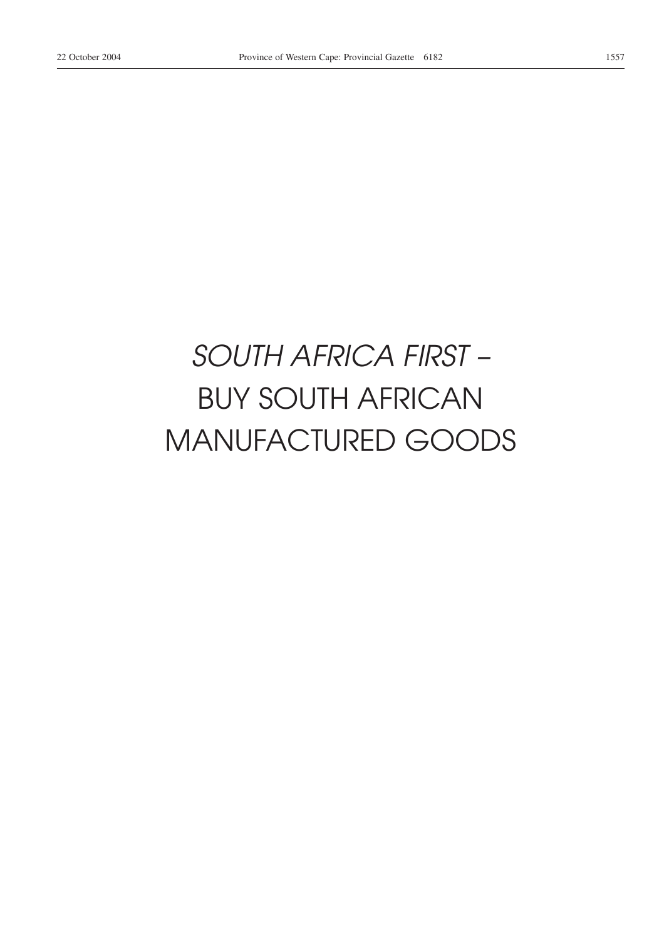# *SOUTH AFRICA FIRST –* BUY SOUTH AFRICAN MANUFACTURED GOODS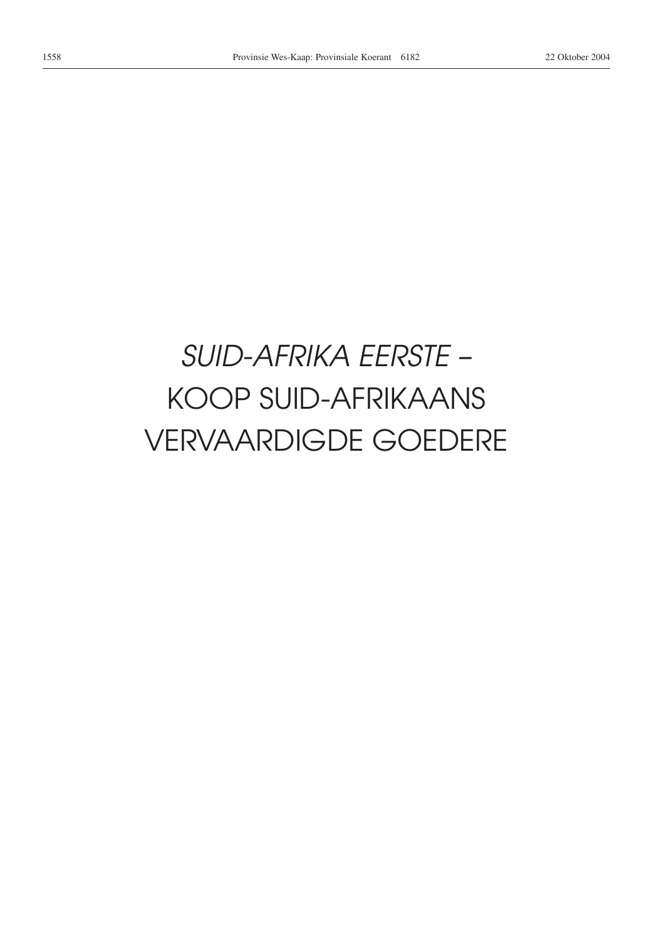# *SUID-AFRIKA EERSTE –* KOOP SUID-AFRIKAANS VERVAARDIGDE GOEDERE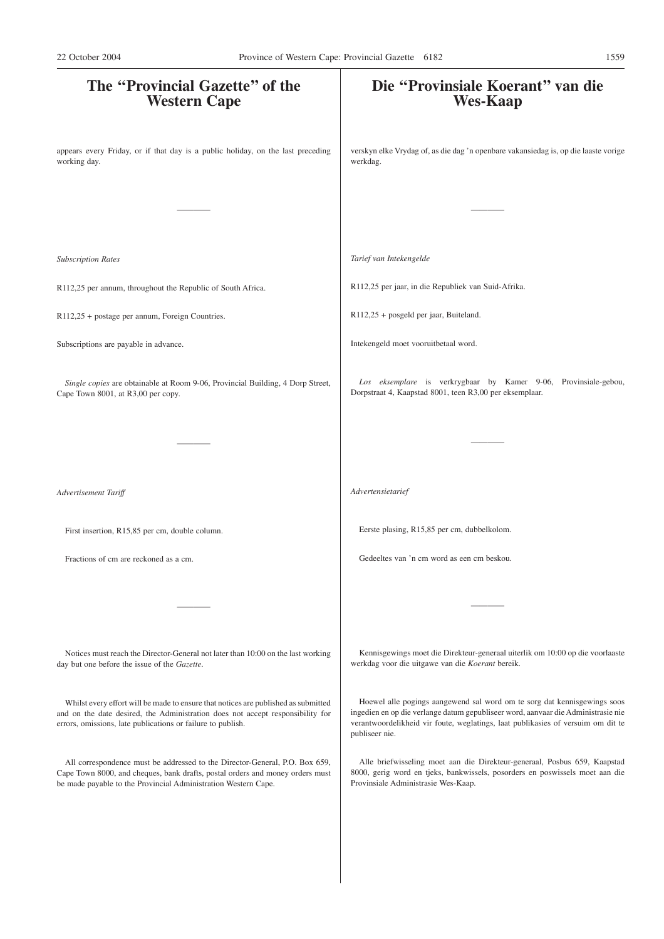| The "Provincial Gazette" of the<br><b>Western Cape</b>                                                                                                                                                                              | Die "Provinsiale Koerant" van die<br><b>Wes-Kaap</b>                                                                                                                                                                                                                |
|-------------------------------------------------------------------------------------------------------------------------------------------------------------------------------------------------------------------------------------|---------------------------------------------------------------------------------------------------------------------------------------------------------------------------------------------------------------------------------------------------------------------|
| appears every Friday, or if that day is a public holiday, on the last preceding<br>working day.                                                                                                                                     | verskyn elke Vrydag of, as die dag 'n openbare vakansiedag is, op die laaste vorige<br>werkdag.                                                                                                                                                                     |
|                                                                                                                                                                                                                                     |                                                                                                                                                                                                                                                                     |
| <b>Subscription Rates</b>                                                                                                                                                                                                           | Tarief van Intekengelde                                                                                                                                                                                                                                             |
| R112,25 per annum, throughout the Republic of South Africa.                                                                                                                                                                         | R112,25 per jaar, in die Republiek van Suid-Afrika.                                                                                                                                                                                                                 |
| R112,25 + postage per annum, Foreign Countries.                                                                                                                                                                                     | R112,25 + posgeld per jaar, Buiteland.                                                                                                                                                                                                                              |
| Subscriptions are payable in advance.                                                                                                                                                                                               | Intekengeld moet vooruitbetaal word.                                                                                                                                                                                                                                |
| Single copies are obtainable at Room 9-06, Provincial Building, 4 Dorp Street,<br>Cape Town 8001, at R3,00 per copy.                                                                                                                | Los eksemplare is verkrygbaar by Kamer 9-06, Provinsiale-gebou,<br>Dorpstraat 4, Kaapstad 8001, teen R3,00 per eksemplaar.                                                                                                                                          |
|                                                                                                                                                                                                                                     |                                                                                                                                                                                                                                                                     |
| Advertisement Tariff                                                                                                                                                                                                                | Advertensietarief                                                                                                                                                                                                                                                   |
| First insertion, R15,85 per cm, double column.                                                                                                                                                                                      | Eerste plasing, R15,85 per cm, dubbelkolom.                                                                                                                                                                                                                         |
| Fractions of cm are reckoned as a cm.                                                                                                                                                                                               | Gedeeltes van 'n cm word as een cm beskou.                                                                                                                                                                                                                          |
|                                                                                                                                                                                                                                     |                                                                                                                                                                                                                                                                     |
| Notices must reach the Director-General not later than 10:00 on the last working<br>day but one before the issue of the Gazette.                                                                                                    | Kennisgewings moet die Direkteur-generaal uiterlik om 10:00 op die voorlaaste<br>werkdag voor die uitgawe van die Koerant bereik.                                                                                                                                   |
| Whilst every effort will be made to ensure that notices are published as submitted<br>and on the date desired, the Administration does not accept responsibility for<br>errors, omissions, late publications or failure to publish. | Hoewel alle pogings aangewend sal word om te sorg dat kennisgewings soos<br>ingedien en op die verlange datum gepubliseer word, aanvaar die Administrasie nie<br>verantwoordelikheid vir foute, weglatings, laat publikasies of versuim om dit te<br>publiseer nie. |
| All correspondence must be addressed to the Director-General, P.O. Box 659,<br>Cape Town 8000, and cheques, bank drafts, postal orders and money orders must<br>be made payable to the Provincial Administration Western Cape.      | Alle briefwisseling moet aan die Direkteur-generaal, Posbus 659, Kaapstad<br>8000, gerig word en tjeks, bankwissels, posorders en poswissels moet aan die<br>Provinsiale Administrasie Wes-Kaap.                                                                    |
|                                                                                                                                                                                                                                     |                                                                                                                                                                                                                                                                     |